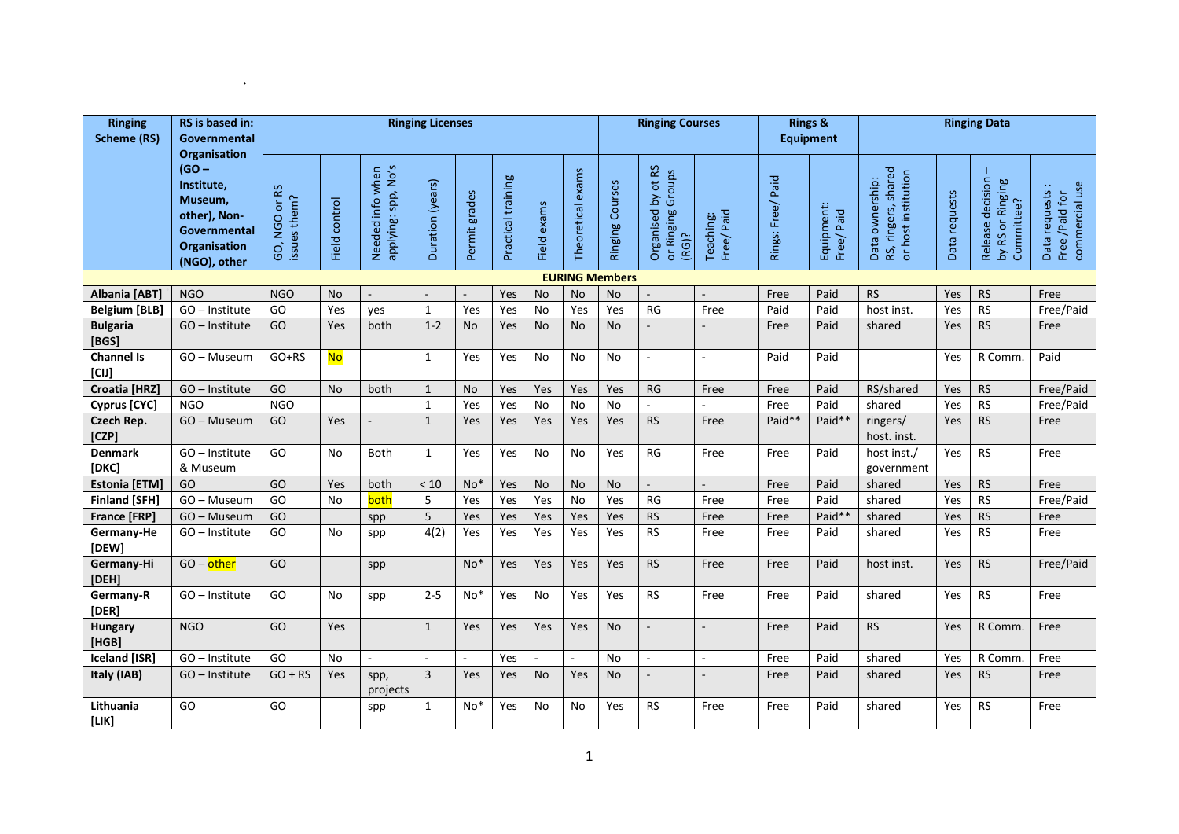| <b>Ringing</b><br><b>Scheme (RS)</b>                                                                                    | RS is based in:<br>Governmental | <b>Ringing Licenses</b> |                                         |                             |                | <b>Ringing Courses</b>   |             |                   | <b>Rings &amp;</b><br><b>Equipment</b> |                                                     | <b>Ringing Data</b>      |                          |                             |                                                               |                           |                                                    |                                                    |           |
|-------------------------------------------------------------------------------------------------------------------------|---------------------------------|-------------------------|-----------------------------------------|-----------------------------|----------------|--------------------------|-------------|-------------------|----------------------------------------|-----------------------------------------------------|--------------------------|--------------------------|-----------------------------|---------------------------------------------------------------|---------------------------|----------------------------------------------------|----------------------------------------------------|-----------|
| <b>Organisation</b><br>$(GO -$<br>Institute,<br>Museum,<br>other), Non-<br>Governmental<br>Organisation<br>(NGO), other | GO, NGO or RS<br>issues them?   | Field control           | applying: spp, No's<br>Needed info when | Duration (years)            | Permit grades  | Practical training       | Field exams | Theoretical exams | Ringing Courses                        | Organised by ot RS<br>Groups<br>or Ringing<br>(RG)? | Teaching:<br>Free/Paid   | Rings: Free/ Paid        | Equipment:<br>Paid<br>Free/ | RS, ringers, shared<br>or host institution<br>Data ownership: | Data requests             | Release decision<br>by RS or Ringing<br>Committee? | commercial use<br>Data requests:<br>Free /Paid for |           |
|                                                                                                                         |                                 |                         |                                         |                             |                |                          |             |                   |                                        | <b>EURING Members</b>                               |                          |                          |                             |                                                               |                           |                                                    |                                                    |           |
| Albania [ABT]                                                                                                           | <b>NGO</b>                      | <b>NGO</b>              | <b>No</b>                               | $\sim$                      |                | $\overline{\phantom{a}}$ | Yes         | <b>No</b>         | <b>No</b>                              | <b>No</b>                                           |                          |                          | Free                        | Paid                                                          | <b>RS</b>                 | Yes                                                | <b>RS</b>                                          | Free      |
| <b>Belgium [BLB]</b>                                                                                                    | GO - Institute                  | GO                      | Yes                                     | ves                         | $\mathbf{1}$   | Yes                      | Yes         | <b>No</b>         | Yes                                    | Yes                                                 | <b>RG</b>                | Free                     | Paid                        | Paid                                                          | host inst.                | Yes                                                | <b>RS</b>                                          | Free/Paid |
| <b>Bulgaria</b><br>[BGS]                                                                                                | GO - Institute                  | GO                      | Yes                                     | both                        | $1 - 2$        | <b>No</b>                | Yes         | <b>No</b>         | No                                     | <b>No</b>                                           |                          |                          | Free                        | Paid                                                          | shared                    | Yes                                                | <b>RS</b>                                          | Free      |
| <b>Channel Is</b><br>[CIJ]                                                                                              | GO-Museum                       | $GO+RS$                 | <b>No</b>                               |                             | 1              | Yes                      | Yes         | No                | No                                     | No                                                  | $\sim$                   | $\sim$                   | Paid                        | Paid                                                          |                           | Yes                                                | R Comm.                                            | Paid      |
| Croatia [HRZ]                                                                                                           | GO - Institute                  | GO                      | <b>No</b>                               | both                        | $\mathbf{1}$   | <b>No</b>                | Yes         | Yes               | Yes                                    | Yes                                                 | <b>RG</b>                | Free                     | Free                        | Paid                                                          | RS/shared                 | Yes                                                | <b>RS</b>                                          | Free/Paid |
| Cyprus [CYC]                                                                                                            | <b>NGO</b>                      | <b>NGO</b>              |                                         |                             | $\mathbf{1}$   | Yes                      | Yes         | <b>No</b>         | <b>No</b>                              | <b>No</b>                                           | $\sim$                   |                          | Free                        | Paid                                                          | shared                    | Yes                                                | <b>RS</b>                                          | Free/Paid |
| Czech Rep.<br>[CZP]                                                                                                     | GO - Museum                     | GO                      | Yes                                     | $\overline{\phantom{a}}$    | $\mathbf{1}$   | Yes                      | Yes         | Yes               | Yes                                    | Yes                                                 | <b>RS</b>                | Free                     | Paid**                      | Paid**                                                        | ringers/<br>host. inst.   | Yes                                                | <b>RS</b>                                          | Free      |
| <b>Denmark</b><br>[DKC]                                                                                                 | GO-Institute<br>& Museum        | GO                      | <b>No</b>                               | <b>Both</b>                 | $\mathbf{1}$   | Yes                      | Yes         | No                | No                                     | Yes                                                 | RG                       | Free                     | Free                        | Paid                                                          | host inst./<br>government | Yes                                                | <b>RS</b>                                          | Free      |
| <b>Estonia</b> [ETM]                                                                                                    | GO                              | GO                      | Yes                                     | both                        | < 10           | $No*$                    | Yes         | <b>No</b>         | <b>No</b>                              | <b>No</b>                                           | $\overline{\phantom{a}}$ |                          | Free                        | Paid                                                          | shared                    | Yes                                                | <b>RS</b>                                          | Free      |
| <b>Finland [SFH]</b>                                                                                                    | GO-Museum                       | GO                      | <b>No</b>                               | both                        | 5              | Yes                      | Yes         | Yes               | No                                     | Yes                                                 | <b>RG</b>                | Free                     | Free                        | Paid                                                          | shared                    | Yes                                                | <b>RS</b>                                          | Free/Paid |
| France [FRP]                                                                                                            | GO-Museum                       | GO                      |                                         | spp                         | 5              | Yes                      | Yes         | Yes               | Yes                                    | Yes                                                 | <b>RS</b>                | Free                     | Free                        | Paid*                                                         | shared                    | Yes                                                | <b>RS</b>                                          | Free      |
| Germany-He<br>[DEW]                                                                                                     | GO - Institute                  | GO                      | No                                      | spp                         | 4(2)           | Yes                      | Yes         | Yes               | Yes                                    | Yes                                                 | R <sub>S</sub>           | Free                     | Free                        | Paid                                                          | shared                    | Yes                                                | <b>RS</b>                                          | Free      |
| Germany-Hi<br>[DEH]                                                                                                     | $GO$ – other                    | GO                      |                                         | spp                         |                | $No*$                    | Yes         | Yes               | Yes                                    | Yes                                                 | <b>RS</b>                | Free                     | Free                        | Paid                                                          | host inst.                | Yes                                                | <b>RS</b>                                          | Free/Paid |
| Germany-R<br>[DER]                                                                                                      | GO-Institute                    | GO                      | <b>No</b>                               | spp                         | $2 - 5$        | $No*$                    | Yes         | No                | Yes                                    | Yes                                                 | <b>RS</b>                | Free                     | Free                        | Paid                                                          | shared                    | Yes                                                | <b>RS</b>                                          | Free      |
| <b>Hungary</b><br>[HGB]                                                                                                 | <b>NGO</b>                      | GO                      | Yes                                     |                             | $\mathbf{1}$   | Yes                      | Yes         | Yes               | Yes                                    | <b>No</b>                                           | $\overline{a}$           | $\overline{a}$           | Free                        | Paid                                                          | <b>RS</b>                 | Yes                                                | R Comm.                                            | Free      |
| <b>Iceland [ISR]</b>                                                                                                    | GO-Institute                    | GO                      | <b>No</b>                               | $\mathcal{L}_{\mathcal{A}}$ | ÷.             | $\blacksquare$           | Yes         |                   | $\blacksquare$                         | No                                                  | $\sim$                   | $\overline{\phantom{a}}$ | Free                        | Paid                                                          | shared                    | Yes                                                | R Comm.                                            | Free      |
| Italy (IAB)                                                                                                             | GO - Institute                  | $GO + RS$               | Yes                                     | spp,<br>projects            | $\overline{3}$ | Yes                      | Yes         | <b>No</b>         | Yes                                    | <b>No</b>                                           | $\overline{\phantom{a}}$ | $\overline{a}$           | Free                        | Paid                                                          | shared                    | Yes                                                | <b>RS</b>                                          | Free      |
| Lithuania<br>[LIK]                                                                                                      | GO                              | GO                      |                                         | spp                         | 1              | $No*$                    | Yes         | No                | No                                     | Yes                                                 | <b>RS</b>                | Free                     | Free                        | Paid                                                          | shared                    | Yes                                                | <b>RS</b>                                          | Free      |

 $\mathcal{L}^{\text{max}}(\mathcal{L}^{\text{max}})$  . The set of  $\mathcal{L}^{\text{max}}$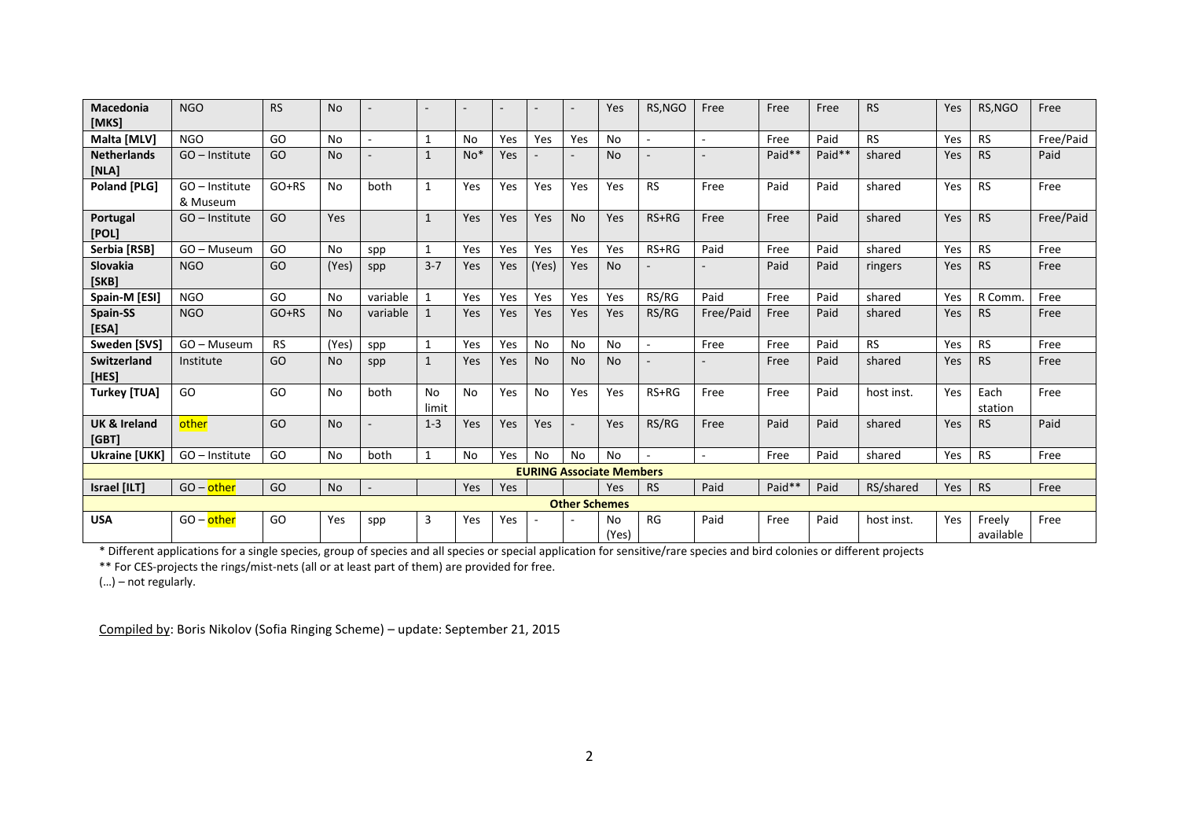| <b>Macedonia</b><br>[MKS]        | <b>NGO</b>                 | <b>RS</b> | <b>No</b> |                          |              | $\overline{\phantom{a}}$ |            |           | $\sim$    | Yes                             | RS, NGO                  | Free                     | Free   | Free   | <b>RS</b>  | Yes        | RS, NGO             | Free      |
|----------------------------------|----------------------------|-----------|-----------|--------------------------|--------------|--------------------------|------------|-----------|-----------|---------------------------------|--------------------------|--------------------------|--------|--------|------------|------------|---------------------|-----------|
| Malta [MLV]                      | <b>NGO</b>                 | GO        | <b>No</b> | $\sim$                   | 1            | <b>No</b>                | Yes        | Yes       | Yes       | <b>No</b>                       | $\sim$                   | ÷,                       | Free   | Paid   | <b>RS</b>  | Yes        | <b>RS</b>           | Free/Paid |
| <b>Netherlands</b><br>[NLA]      | GO - Institute             | GO        | <b>No</b> | $\overline{a}$           | $\mathbf{1}$ | $No*$                    | Yes        |           |           | <b>No</b>                       |                          |                          | Paid** | Paid** | shared     | Yes        | <b>RS</b>           | Paid      |
| Poland [PLG]                     | GO - Institute<br>& Museum | $GO+RS$   | <b>No</b> | both                     | 1            | Yes                      | Yes        | Yes       | Yes       | Yes                             | <b>RS</b>                | Free                     | Paid   | Paid   | shared     | Yes        | <b>RS</b>           | Free      |
| Portugal<br>[POL]                | GO - Institute             | GO        | Yes       |                          | $\mathbf{1}$ | Yes                      | Yes        | Yes       | <b>No</b> | Yes                             | $RS+RG$                  | Free                     | Free   | Paid   | shared     | <b>Yes</b> | <b>RS</b>           | Free/Paid |
| Serbia [RSB]                     | GO - Museum                | GO        | No        | spp                      | $\mathbf{1}$ | Yes                      | Yes        | Yes       | Yes       | Yes                             | RS+RG                    | Paid                     | Free   | Paid   | shared     | Yes        | <b>RS</b>           | Free      |
| Slovakia<br>[SKB]                | <b>NGO</b>                 | GO        | (Yes)     | spp                      | $3 - 7$      | Yes                      | Yes        | (Yes)     | Yes       | <b>No</b>                       |                          |                          | Paid   | Paid   | ringers    | Yes        | <b>RS</b>           | Free      |
| Spain-M [ESI]                    | <b>NGO</b>                 | GO        | No        | variable                 | 1            | Yes                      | Yes        | Yes       | Yes       | Yes                             | RS/RG                    | Paid                     | Free   | Paid   | shared     | Yes        | R Comm              | Free      |
| Spain-SS<br>[ESA]                | <b>NGO</b>                 | $GO+RS$   | <b>No</b> | variable                 | $\mathbf{1}$ | Yes                      | Yes        | Yes       | Yes       | Yes                             | RS/RG                    | Free/Paid                | Free   | Paid   | shared     | Yes        | <b>RS</b>           | Free      |
| Sweden [SVS]                     | GO - Museum                | <b>RS</b> | (Yes)     | spp                      |              | Yes                      | Yes        | No        | No        | No                              | $\overline{\phantom{a}}$ | Free                     | Free   | Paid   | <b>RS</b>  | Yes        | <b>RS</b>           | Free      |
| Switzerland<br>[HES]             | Institute                  | GO        | <b>No</b> | spp                      | $\mathbf{1}$ | Yes                      | Yes        | <b>No</b> | <b>No</b> | <b>No</b>                       |                          |                          | Free   | Paid   | shared     | Yes        | <b>RS</b>           | Free      |
| <b>Turkey [TUA]</b>              | GO                         | GO        | No        | both                     | No<br>limit  | No                       | Yes        | No        | Yes       | Yes                             | RS+RG                    | Free                     | Free   | Paid   | host inst. | Yes        | Each<br>station     | Free      |
| <b>UK &amp; Ireland</b><br>[GBT] | other                      | GO        | <b>No</b> | $\overline{\phantom{a}}$ | $1 - 3$      | Yes                      | Yes        | Yes       | $\sim$    | Yes                             | RS/RG                    | Free                     | Paid   | Paid   | shared     | <b>Yes</b> | <b>RS</b>           | Paid      |
| <b>Ukraine [UKK]</b>             | GO - Institute             | GO        | <b>No</b> | both                     | $\mathbf{1}$ | <b>No</b>                | Yes        | <b>No</b> | <b>No</b> | <b>No</b>                       | $\sim$                   | $\overline{\phantom{a}}$ | Free   | Paid   | shared     | Yes        | <b>RS</b>           | Free      |
|                                  |                            |           |           |                          |              |                          |            |           |           | <b>EURING Associate Members</b> |                          |                          |        |        |            |            |                     |           |
| Israel [ILT]                     | $GO$ – other               | GO        | <b>No</b> | $\overline{\phantom{a}}$ |              | Yes                      | Yes        |           |           | Yes                             | <b>RS</b>                | Paid                     | Paid** | Paid   | RS/shared  | Yes        | <b>RS</b>           | Free      |
|                                  | <b>Other Schemes</b>       |           |           |                          |              |                          |            |           |           |                                 |                          |                          |        |        |            |            |                     |           |
| <b>USA</b>                       | $GO$ – other               | GO        | Yes       | spp                      | 3            | Yes                      | <b>Yes</b> |           |           | No<br>(Yes)                     | RG                       | Paid                     | Free   | Paid   | host inst. | Yes        | Freely<br>available | Free      |

\* Different applications for a single species, group of species and all species or special application for sensitive/rare species and bird colonies or different projects

\*\* For CES-projects the rings/mist-nets (all or at least part of them) are provided for free.

(…) – not regularly.

Compiled by: Boris Nikolov (Sofia Ringing Scheme) – update: September 21, 2015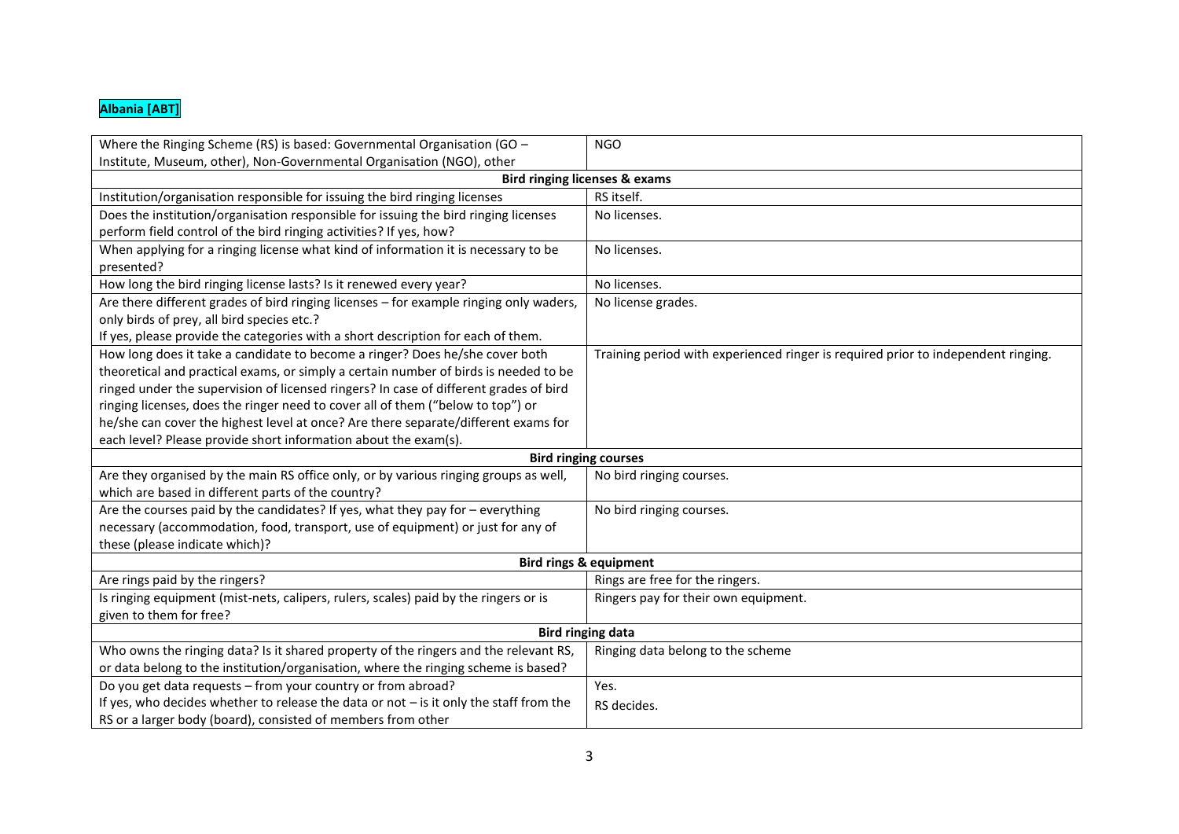## **Albania [ABT]**

| Where the Ringing Scheme (RS) is based: Governmental Organisation (GO -                  | <b>NGO</b>                                                                        |  |  |  |  |  |  |
|------------------------------------------------------------------------------------------|-----------------------------------------------------------------------------------|--|--|--|--|--|--|
| Institute, Museum, other), Non-Governmental Organisation (NGO), other                    |                                                                                   |  |  |  |  |  |  |
| <b>Bird ringing licenses &amp; exams</b>                                                 |                                                                                   |  |  |  |  |  |  |
| Institution/organisation responsible for issuing the bird ringing licenses               | RS itself.                                                                        |  |  |  |  |  |  |
| Does the institution/organisation responsible for issuing the bird ringing licenses      | No licenses.                                                                      |  |  |  |  |  |  |
| perform field control of the bird ringing activities? If yes, how?                       |                                                                                   |  |  |  |  |  |  |
| When applying for a ringing license what kind of information it is necessary to be       | No licenses.                                                                      |  |  |  |  |  |  |
| presented?                                                                               |                                                                                   |  |  |  |  |  |  |
| How long the bird ringing license lasts? Is it renewed every year?                       | No licenses.                                                                      |  |  |  |  |  |  |
| Are there different grades of bird ringing licenses - for example ringing only waders,   | No license grades.                                                                |  |  |  |  |  |  |
| only birds of prey, all bird species etc.?                                               |                                                                                   |  |  |  |  |  |  |
| If yes, please provide the categories with a short description for each of them.         |                                                                                   |  |  |  |  |  |  |
| How long does it take a candidate to become a ringer? Does he/she cover both             | Training period with experienced ringer is required prior to independent ringing. |  |  |  |  |  |  |
| theoretical and practical exams, or simply a certain number of birds is needed to be     |                                                                                   |  |  |  |  |  |  |
| ringed under the supervision of licensed ringers? In case of different grades of bird    |                                                                                   |  |  |  |  |  |  |
| ringing licenses, does the ringer need to cover all of them ("below to top") or          |                                                                                   |  |  |  |  |  |  |
| he/she can cover the highest level at once? Are there separate/different exams for       |                                                                                   |  |  |  |  |  |  |
| each level? Please provide short information about the exam(s).                          |                                                                                   |  |  |  |  |  |  |
|                                                                                          | <b>Bird ringing courses</b>                                                       |  |  |  |  |  |  |
| Are they organised by the main RS office only, or by various ringing groups as well,     | No bird ringing courses.                                                          |  |  |  |  |  |  |
| which are based in different parts of the country?                                       |                                                                                   |  |  |  |  |  |  |
| Are the courses paid by the candidates? If yes, what they pay for - everything           | No bird ringing courses.                                                          |  |  |  |  |  |  |
| necessary (accommodation, food, transport, use of equipment) or just for any of          |                                                                                   |  |  |  |  |  |  |
| these (please indicate which)?                                                           |                                                                                   |  |  |  |  |  |  |
|                                                                                          | <b>Bird rings &amp; equipment</b>                                                 |  |  |  |  |  |  |
| Are rings paid by the ringers?                                                           | Rings are free for the ringers.                                                   |  |  |  |  |  |  |
| Is ringing equipment (mist-nets, calipers, rulers, scales) paid by the ringers or is     | Ringers pay for their own equipment.                                              |  |  |  |  |  |  |
| given to them for free?                                                                  |                                                                                   |  |  |  |  |  |  |
| <b>Bird ringing data</b>                                                                 |                                                                                   |  |  |  |  |  |  |
| Who owns the ringing data? Is it shared property of the ringers and the relevant RS,     | Ringing data belong to the scheme                                                 |  |  |  |  |  |  |
| or data belong to the institution/organisation, where the ringing scheme is based?       |                                                                                   |  |  |  |  |  |  |
| Do you get data requests - from your country or from abroad?                             | Yes.                                                                              |  |  |  |  |  |  |
| If yes, who decides whether to release the data or not $-$ is it only the staff from the | RS decides.                                                                       |  |  |  |  |  |  |
| RS or a larger body (board), consisted of members from other                             |                                                                                   |  |  |  |  |  |  |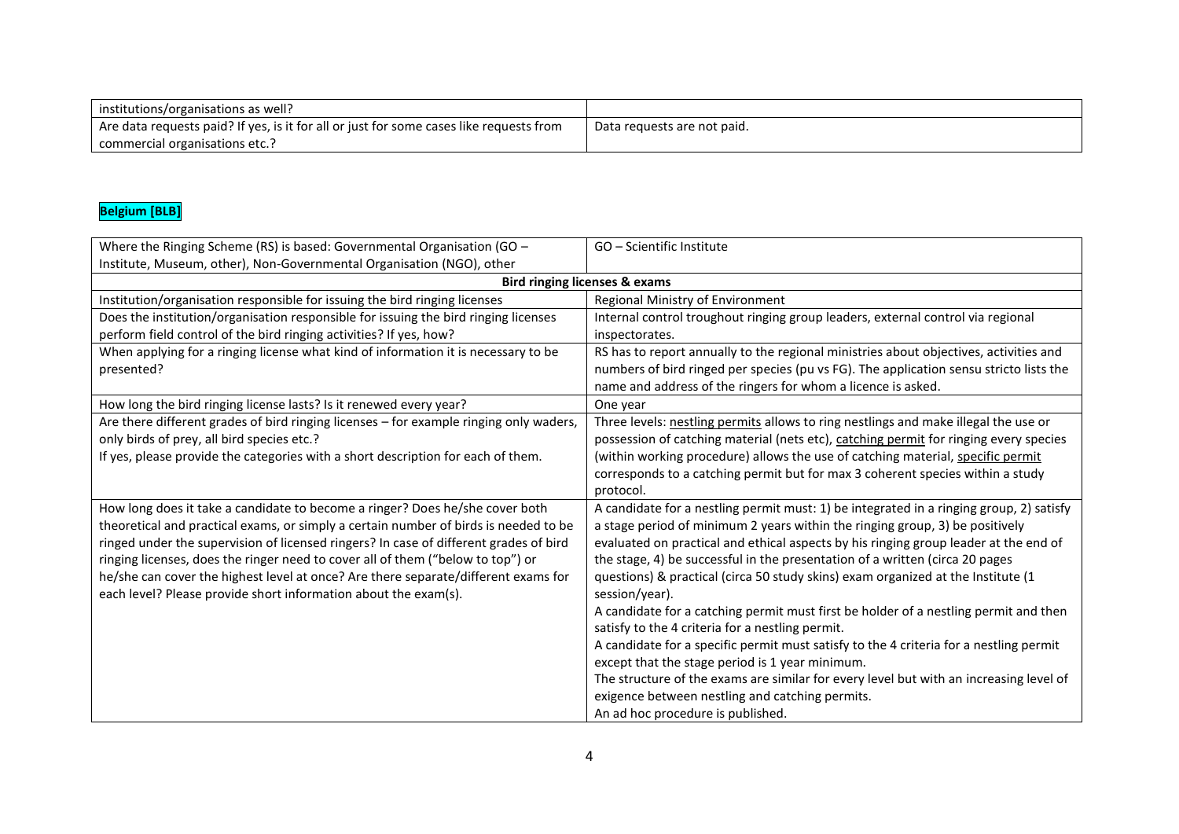| institutions/organisations as well?                                                     |                             |
|-----------------------------------------------------------------------------------------|-----------------------------|
| Are data requests paid? If yes, is it for all or just for some cases like requests from | Data requests are not paid. |
| commercial organisations etc                                                            |                             |

## **Belgium [BLB]**

| Where the Ringing Scheme (RS) is based: Governmental Organisation (GO -                | GO - Scientific Institute                                                               |  |  |  |  |  |
|----------------------------------------------------------------------------------------|-----------------------------------------------------------------------------------------|--|--|--|--|--|
| Institute, Museum, other), Non-Governmental Organisation (NGO), other                  |                                                                                         |  |  |  |  |  |
| <b>Bird ringing licenses &amp; exams</b>                                               |                                                                                         |  |  |  |  |  |
| Institution/organisation responsible for issuing the bird ringing licenses             | Regional Ministry of Environment                                                        |  |  |  |  |  |
| Does the institution/organisation responsible for issuing the bird ringing licenses    | Internal control troughout ringing group leaders, external control via regional         |  |  |  |  |  |
| perform field control of the bird ringing activities? If yes, how?                     | inspectorates.                                                                          |  |  |  |  |  |
| When applying for a ringing license what kind of information it is necessary to be     | RS has to report annually to the regional ministries about objectives, activities and   |  |  |  |  |  |
| presented?                                                                             | numbers of bird ringed per species (pu vs FG). The application sensu stricto lists the  |  |  |  |  |  |
|                                                                                        | name and address of the ringers for whom a licence is asked.                            |  |  |  |  |  |
| How long the bird ringing license lasts? Is it renewed every year?                     | One year                                                                                |  |  |  |  |  |
| Are there different grades of bird ringing licenses - for example ringing only waders, | Three levels: nestling permits allows to ring nestlings and make illegal the use or     |  |  |  |  |  |
| only birds of prey, all bird species etc.?                                             | possession of catching material (nets etc), catching permit for ringing every species   |  |  |  |  |  |
| If yes, please provide the categories with a short description for each of them.       | (within working procedure) allows the use of catching material, specific permit         |  |  |  |  |  |
|                                                                                        | corresponds to a catching permit but for max 3 coherent species within a study          |  |  |  |  |  |
|                                                                                        | protocol.                                                                               |  |  |  |  |  |
| How long does it take a candidate to become a ringer? Does he/she cover both           | A candidate for a nestling permit must: 1) be integrated in a ringing group, 2) satisfy |  |  |  |  |  |
| theoretical and practical exams, or simply a certain number of birds is needed to be   | a stage period of minimum 2 years within the ringing group, 3) be positively            |  |  |  |  |  |
| ringed under the supervision of licensed ringers? In case of different grades of bird  | evaluated on practical and ethical aspects by his ringing group leader at the end of    |  |  |  |  |  |
| ringing licenses, does the ringer need to cover all of them ("below to top") or        | the stage, 4) be successful in the presentation of a written (circa 20 pages            |  |  |  |  |  |
| he/she can cover the highest level at once? Are there separate/different exams for     | questions) & practical (circa 50 study skins) exam organized at the Institute (1        |  |  |  |  |  |
| each level? Please provide short information about the exam(s).                        | session/year).                                                                          |  |  |  |  |  |
|                                                                                        | A candidate for a catching permit must first be holder of a nestling permit and then    |  |  |  |  |  |
|                                                                                        | satisfy to the 4 criteria for a nestling permit.                                        |  |  |  |  |  |
|                                                                                        | A candidate for a specific permit must satisfy to the 4 criteria for a nestling permit  |  |  |  |  |  |
|                                                                                        | except that the stage period is 1 year minimum.                                         |  |  |  |  |  |
|                                                                                        | The structure of the exams are similar for every level but with an increasing level of  |  |  |  |  |  |
|                                                                                        | exigence between nestling and catching permits.                                         |  |  |  |  |  |
|                                                                                        | An ad hoc procedure is published.                                                       |  |  |  |  |  |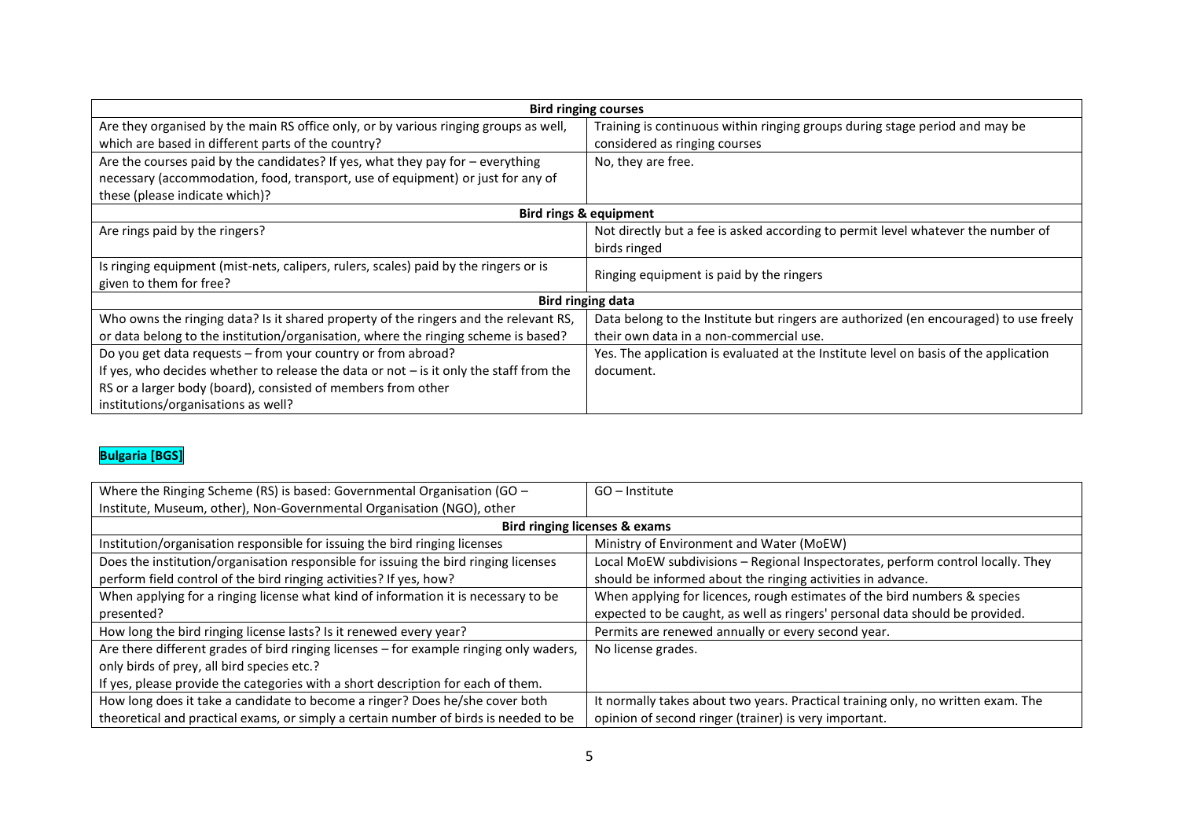| <b>Bird ringing courses</b>                                                              |                                                                                       |  |  |  |  |  |  |
|------------------------------------------------------------------------------------------|---------------------------------------------------------------------------------------|--|--|--|--|--|--|
| Are they organised by the main RS office only, or by various ringing groups as well,     | Training is continuous within ringing groups during stage period and may be           |  |  |  |  |  |  |
| which are based in different parts of the country?                                       | considered as ringing courses                                                         |  |  |  |  |  |  |
| Are the courses paid by the candidates? If yes, what they pay for $-$ everything         | No, they are free.                                                                    |  |  |  |  |  |  |
| necessary (accommodation, food, transport, use of equipment) or just for any of          |                                                                                       |  |  |  |  |  |  |
| these (please indicate which)?                                                           |                                                                                       |  |  |  |  |  |  |
|                                                                                          | <b>Bird rings &amp; equipment</b>                                                     |  |  |  |  |  |  |
| Are rings paid by the ringers?                                                           | Not directly but a fee is asked according to permit level whatever the number of      |  |  |  |  |  |  |
|                                                                                          | birds ringed                                                                          |  |  |  |  |  |  |
| Is ringing equipment (mist-nets, calipers, rulers, scales) paid by the ringers or is     | Ringing equipment is paid by the ringers                                              |  |  |  |  |  |  |
| given to them for free?                                                                  |                                                                                       |  |  |  |  |  |  |
|                                                                                          | <b>Bird ringing data</b>                                                              |  |  |  |  |  |  |
| Who owns the ringing data? Is it shared property of the ringers and the relevant RS,     | Data belong to the Institute but ringers are authorized (en encouraged) to use freely |  |  |  |  |  |  |
| or data belong to the institution/organisation, where the ringing scheme is based?       | their own data in a non-commercial use.                                               |  |  |  |  |  |  |
| Do you get data requests - from your country or from abroad?                             | Yes. The application is evaluated at the Institute level on basis of the application  |  |  |  |  |  |  |
| If yes, who decides whether to release the data or not $-$ is it only the staff from the | document.                                                                             |  |  |  |  |  |  |
| RS or a larger body (board), consisted of members from other                             |                                                                                       |  |  |  |  |  |  |
| institutions/organisations as well?                                                      |                                                                                       |  |  |  |  |  |  |

## **Bulgaria [BGS]**

| Where the Ringing Scheme (RS) is based: Governmental Organisation (GO $-$              | $GO$ – Institute                                                                 |
|----------------------------------------------------------------------------------------|----------------------------------------------------------------------------------|
| Institute, Museum, other), Non-Governmental Organisation (NGO), other                  |                                                                                  |
|                                                                                        | Bird ringing licenses & exams                                                    |
| Institution/organisation responsible for issuing the bird ringing licenses             | Ministry of Environment and Water (MoEW)                                         |
| Does the institution/organisation responsible for issuing the bird ringing licenses    | Local MoEW subdivisions - Regional Inspectorates, perform control locally. They  |
| perform field control of the bird ringing activities? If yes, how?                     | should be informed about the ringing activities in advance.                      |
| When applying for a ringing license what kind of information it is necessary to be     | When applying for licences, rough estimates of the bird numbers & species        |
| presented?                                                                             | expected to be caught, as well as ringers' personal data should be provided.     |
| How long the bird ringing license lasts? Is it renewed every year?                     | Permits are renewed annually or every second year.                               |
| Are there different grades of bird ringing licenses – for example ringing only waders, | No license grades.                                                               |
| only birds of prey, all bird species etc.?                                             |                                                                                  |
| If yes, please provide the categories with a short description for each of them.       |                                                                                  |
| How long does it take a candidate to become a ringer? Does he/she cover both           | It normally takes about two years. Practical training only, no written exam. The |
| theoretical and practical exams, or simply a certain number of birds is needed to be   | opinion of second ringer (trainer) is very important.                            |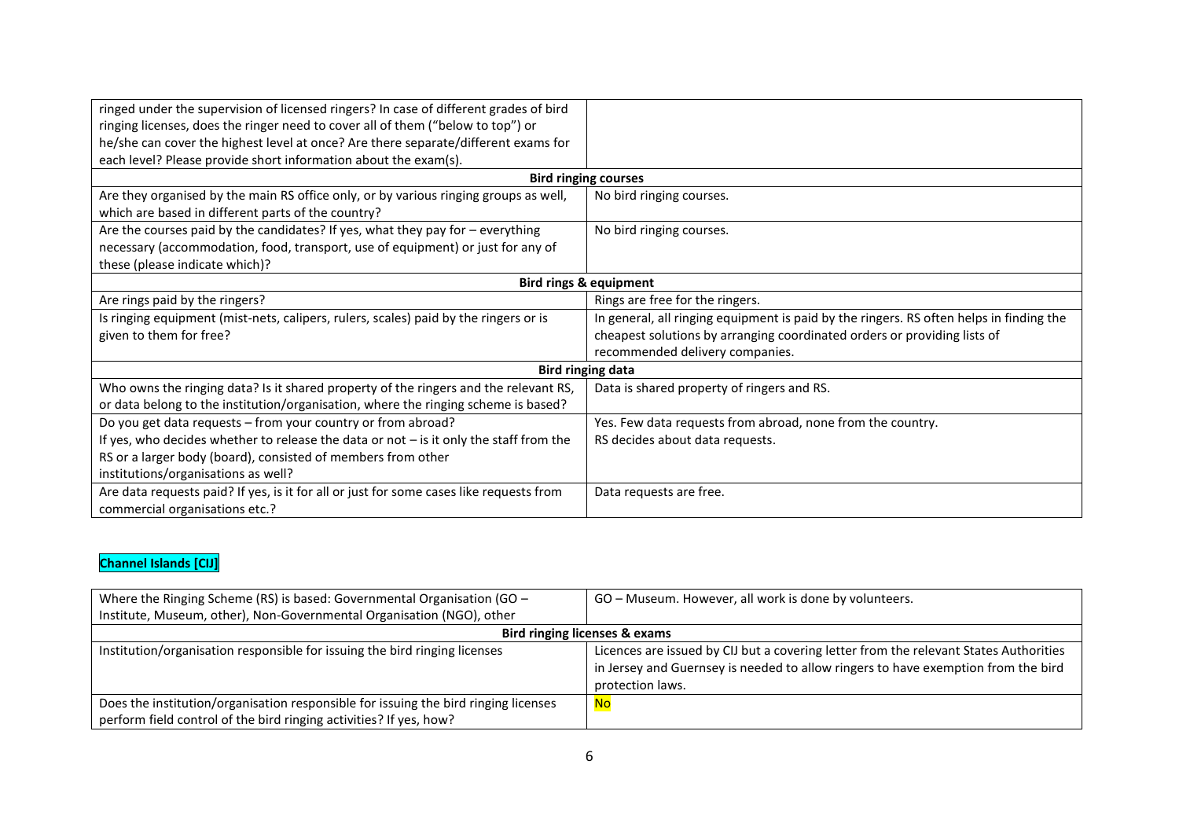| ringed under the supervision of licensed ringers? In case of different grades of bird<br>ringing licenses, does the ringer need to cover all of them ("below to top") or<br>he/she can cover the highest level at once? Are there separate/different exams for<br>each level? Please provide short information about the exam(s). |                                                                                                                                                                                                        |
|-----------------------------------------------------------------------------------------------------------------------------------------------------------------------------------------------------------------------------------------------------------------------------------------------------------------------------------|--------------------------------------------------------------------------------------------------------------------------------------------------------------------------------------------------------|
|                                                                                                                                                                                                                                                                                                                                   | <b>Bird ringing courses</b>                                                                                                                                                                            |
| Are they organised by the main RS office only, or by various ringing groups as well,<br>which are based in different parts of the country?                                                                                                                                                                                        | No bird ringing courses.                                                                                                                                                                               |
| Are the courses paid by the candidates? If yes, what they pay for $-$ everything<br>necessary (accommodation, food, transport, use of equipment) or just for any of<br>these (please indicate which)?                                                                                                                             | No bird ringing courses.                                                                                                                                                                               |
|                                                                                                                                                                                                                                                                                                                                   | <b>Bird rings &amp; equipment</b>                                                                                                                                                                      |
| Are rings paid by the ringers?                                                                                                                                                                                                                                                                                                    | Rings are free for the ringers.                                                                                                                                                                        |
| Is ringing equipment (mist-nets, calipers, rulers, scales) paid by the ringers or is<br>given to them for free?                                                                                                                                                                                                                   | In general, all ringing equipment is paid by the ringers. RS often helps in finding the<br>cheapest solutions by arranging coordinated orders or providing lists of<br>recommended delivery companies. |
|                                                                                                                                                                                                                                                                                                                                   | <b>Bird ringing data</b>                                                                                                                                                                               |
| Who owns the ringing data? Is it shared property of the ringers and the relevant RS,<br>or data belong to the institution/organisation, where the ringing scheme is based?                                                                                                                                                        | Data is shared property of ringers and RS.                                                                                                                                                             |
| Do you get data requests - from your country or from abroad?<br>If yes, who decides whether to release the data or not $-$ is it only the staff from the<br>RS or a larger body (board), consisted of members from other<br>institutions/organisations as well?                                                                   | Yes. Few data requests from abroad, none from the country.<br>RS decides about data requests.                                                                                                          |
| Are data requests paid? If yes, is it for all or just for some cases like requests from<br>commercial organisations etc.?                                                                                                                                                                                                         | Data requests are free.                                                                                                                                                                                |

## **Channel Islands [CIJ]**

| Where the Ringing Scheme (RS) is based: Governmental Organisation (GO $-$           | GO - Museum. However, all work is done by volunteers.                                 |
|-------------------------------------------------------------------------------------|---------------------------------------------------------------------------------------|
| Institute, Museum, other), Non-Governmental Organisation (NGO), other               |                                                                                       |
|                                                                                     | Bird ringing licenses & exams                                                         |
| Institution/organisation responsible for issuing the bird ringing licenses          | Licences are issued by CIJ but a covering letter from the relevant States Authorities |
|                                                                                     | in Jersey and Guernsey is needed to allow ringers to have exemption from the bird     |
|                                                                                     | protection laws.                                                                      |
| Does the institution/organisation responsible for issuing the bird ringing licenses | <mark>No</mark>                                                                       |
| perform field control of the bird ringing activities? If yes, how?                  |                                                                                       |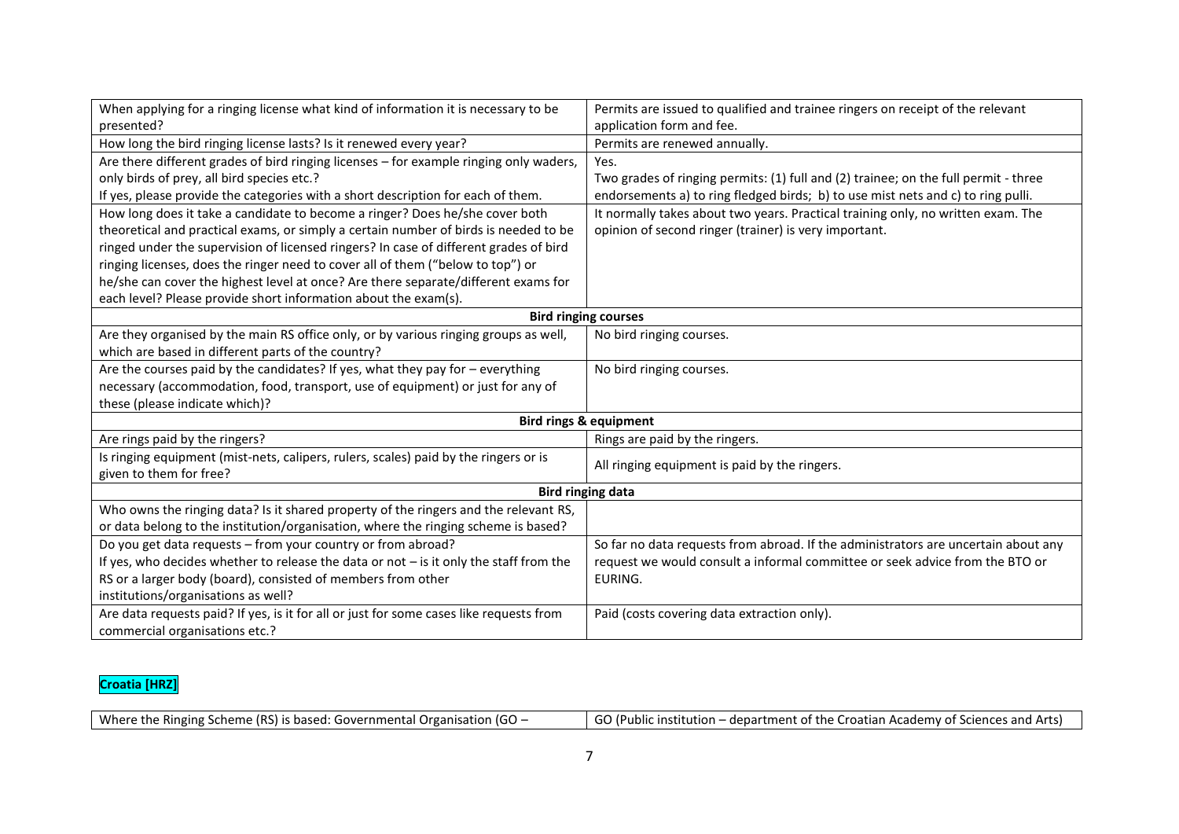| When applying for a ringing license what kind of information it is necessary to be       | Permits are issued to qualified and trainee ringers on receipt of the relevant      |
|------------------------------------------------------------------------------------------|-------------------------------------------------------------------------------------|
| presented?                                                                               | application form and fee.                                                           |
| How long the bird ringing license lasts? Is it renewed every year?                       | Permits are renewed annually.                                                       |
| Are there different grades of bird ringing licenses - for example ringing only waders,   | Yes.                                                                                |
| only birds of prey, all bird species etc.?                                               | Two grades of ringing permits: (1) full and (2) trainee; on the full permit - three |
| If yes, please provide the categories with a short description for each of them.         | endorsements a) to ring fledged birds; b) to use mist nets and c) to ring pulli.    |
| How long does it take a candidate to become a ringer? Does he/she cover both             | It normally takes about two years. Practical training only, no written exam. The    |
| theoretical and practical exams, or simply a certain number of birds is needed to be     | opinion of second ringer (trainer) is very important.                               |
| ringed under the supervision of licensed ringers? In case of different grades of bird    |                                                                                     |
| ringing licenses, does the ringer need to cover all of them ("below to top") or          |                                                                                     |
| he/she can cover the highest level at once? Are there separate/different exams for       |                                                                                     |
| each level? Please provide short information about the exam(s).                          |                                                                                     |
|                                                                                          | <b>Bird ringing courses</b>                                                         |
| Are they organised by the main RS office only, or by various ringing groups as well,     | No bird ringing courses.                                                            |
| which are based in different parts of the country?                                       |                                                                                     |
| Are the courses paid by the candidates? If yes, what they pay for - everything           | No bird ringing courses.                                                            |
| necessary (accommodation, food, transport, use of equipment) or just for any of          |                                                                                     |
| these (please indicate which)?                                                           |                                                                                     |
|                                                                                          | <b>Bird rings &amp; equipment</b>                                                   |
| Are rings paid by the ringers?                                                           | Rings are paid by the ringers.                                                      |
| Is ringing equipment (mist-nets, calipers, rulers, scales) paid by the ringers or is     | All ringing equipment is paid by the ringers.                                       |
| given to them for free?                                                                  |                                                                                     |
|                                                                                          | <b>Bird ringing data</b>                                                            |
| Who owns the ringing data? Is it shared property of the ringers and the relevant RS,     |                                                                                     |
| or data belong to the institution/organisation, where the ringing scheme is based?       |                                                                                     |
| Do you get data requests - from your country or from abroad?                             | So far no data requests from abroad. If the administrators are uncertain about any  |
| If yes, who decides whether to release the data or not $-$ is it only the staff from the | request we would consult a informal committee or seek advice from the BTO or        |
| RS or a larger body (board), consisted of members from other                             | EURING.                                                                             |
| institutions/organisations as well?                                                      |                                                                                     |
| Are data requests paid? If yes, is it for all or just for some cases like requests from  | Paid (costs covering data extraction only).                                         |
| commercial organisations etc.?                                                           |                                                                                     |

#### **Croatia [HRZ]**

| Where the Ringing Scheme (RS) is based: Governmental Organisation (GO $-$ | GO (Public institution – department of the Croatian Academy of Sciences and Arts) |
|---------------------------------------------------------------------------|-----------------------------------------------------------------------------------|
|                                                                           |                                                                                   |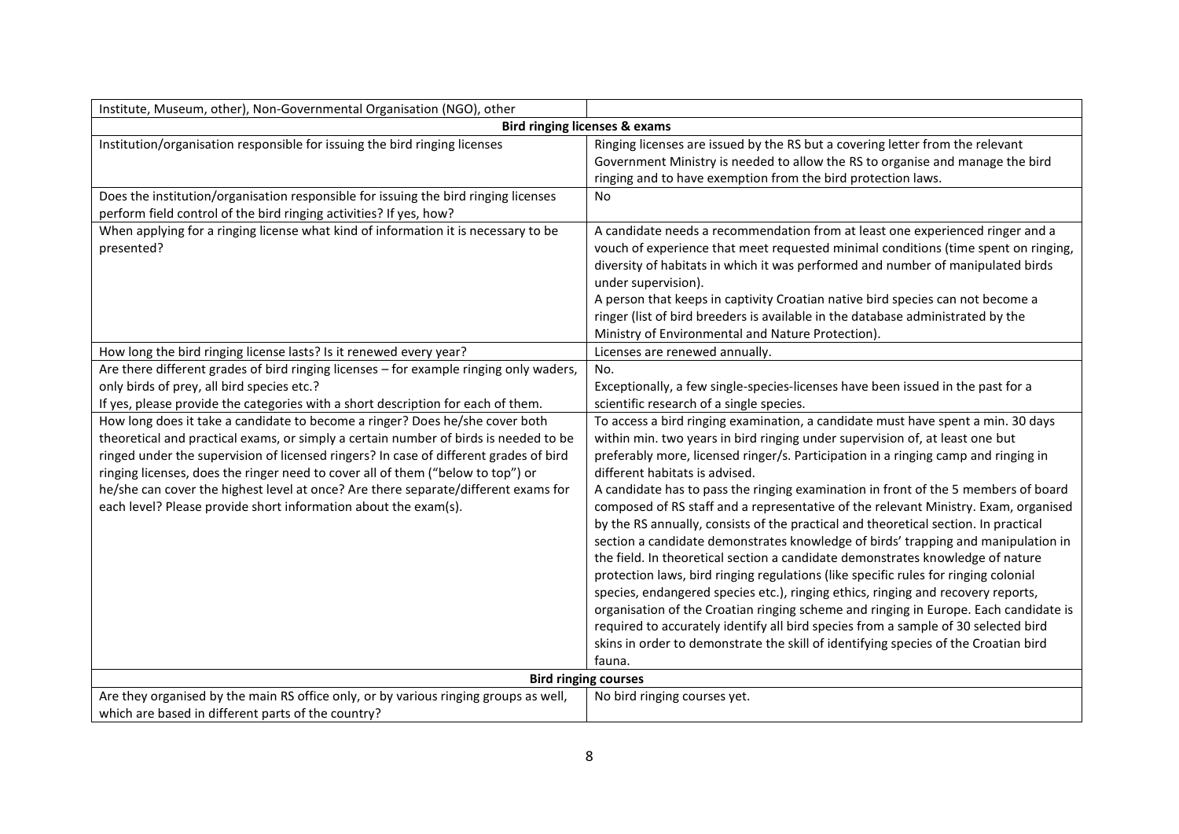| Institute, Museum, other), Non-Governmental Organisation (NGO), other                                                                                                                                                                                                                                                                                                                                                     |                                                                                                                                                                                                                                                                                                                                                                                                                                                                                                                                                                                                                                                                                                                                                                                                                                                                                                                                                                                                                                                                                                           |
|---------------------------------------------------------------------------------------------------------------------------------------------------------------------------------------------------------------------------------------------------------------------------------------------------------------------------------------------------------------------------------------------------------------------------|-----------------------------------------------------------------------------------------------------------------------------------------------------------------------------------------------------------------------------------------------------------------------------------------------------------------------------------------------------------------------------------------------------------------------------------------------------------------------------------------------------------------------------------------------------------------------------------------------------------------------------------------------------------------------------------------------------------------------------------------------------------------------------------------------------------------------------------------------------------------------------------------------------------------------------------------------------------------------------------------------------------------------------------------------------------------------------------------------------------|
|                                                                                                                                                                                                                                                                                                                                                                                                                           | <b>Bird ringing licenses &amp; exams</b>                                                                                                                                                                                                                                                                                                                                                                                                                                                                                                                                                                                                                                                                                                                                                                                                                                                                                                                                                                                                                                                                  |
| Institution/organisation responsible for issuing the bird ringing licenses                                                                                                                                                                                                                                                                                                                                                | Ringing licenses are issued by the RS but a covering letter from the relevant<br>Government Ministry is needed to allow the RS to organise and manage the bird<br>ringing and to have exemption from the bird protection laws.                                                                                                                                                                                                                                                                                                                                                                                                                                                                                                                                                                                                                                                                                                                                                                                                                                                                            |
| Does the institution/organisation responsible for issuing the bird ringing licenses<br>perform field control of the bird ringing activities? If yes, how?                                                                                                                                                                                                                                                                 | <b>No</b>                                                                                                                                                                                                                                                                                                                                                                                                                                                                                                                                                                                                                                                                                                                                                                                                                                                                                                                                                                                                                                                                                                 |
| When applying for a ringing license what kind of information it is necessary to be<br>presented?                                                                                                                                                                                                                                                                                                                          | A candidate needs a recommendation from at least one experienced ringer and a<br>vouch of experience that meet requested minimal conditions (time spent on ringing,<br>diversity of habitats in which it was performed and number of manipulated birds<br>under supervision).<br>A person that keeps in captivity Croatian native bird species can not become a<br>ringer (list of bird breeders is available in the database administrated by the<br>Ministry of Environmental and Nature Protection).                                                                                                                                                                                                                                                                                                                                                                                                                                                                                                                                                                                                   |
| How long the bird ringing license lasts? Is it renewed every year?                                                                                                                                                                                                                                                                                                                                                        | Licenses are renewed annually.                                                                                                                                                                                                                                                                                                                                                                                                                                                                                                                                                                                                                                                                                                                                                                                                                                                                                                                                                                                                                                                                            |
| Are there different grades of bird ringing licenses - for example ringing only waders,<br>only birds of prey, all bird species etc.?<br>If yes, please provide the categories with a short description for each of them.<br>How long does it take a candidate to become a ringer? Does he/she cover both                                                                                                                  | No.<br>Exceptionally, a few single-species-licenses have been issued in the past for a<br>scientific research of a single species.<br>To access a bird ringing examination, a candidate must have spent a min. 30 days                                                                                                                                                                                                                                                                                                                                                                                                                                                                                                                                                                                                                                                                                                                                                                                                                                                                                    |
| theoretical and practical exams, or simply a certain number of birds is needed to be<br>ringed under the supervision of licensed ringers? In case of different grades of bird<br>ringing licenses, does the ringer need to cover all of them ("below to top") or<br>he/she can cover the highest level at once? Are there separate/different exams for<br>each level? Please provide short information about the exam(s). | within min. two years in bird ringing under supervision of, at least one but<br>preferably more, licensed ringer/s. Participation in a ringing camp and ringing in<br>different habitats is advised.<br>A candidate has to pass the ringing examination in front of the 5 members of board<br>composed of RS staff and a representative of the relevant Ministry. Exam, organised<br>by the RS annually, consists of the practical and theoretical section. In practical<br>section a candidate demonstrates knowledge of birds' trapping and manipulation in<br>the field. In theoretical section a candidate demonstrates knowledge of nature<br>protection laws, bird ringing regulations (like specific rules for ringing colonial<br>species, endangered species etc.), ringing ethics, ringing and recovery reports,<br>organisation of the Croatian ringing scheme and ringing in Europe. Each candidate is<br>required to accurately identify all bird species from a sample of 30 selected bird<br>skins in order to demonstrate the skill of identifying species of the Croatian bird<br>fauna. |
|                                                                                                                                                                                                                                                                                                                                                                                                                           | <b>Bird ringing courses</b>                                                                                                                                                                                                                                                                                                                                                                                                                                                                                                                                                                                                                                                                                                                                                                                                                                                                                                                                                                                                                                                                               |
| Are they organised by the main RS office only, or by various ringing groups as well,<br>which are based in different parts of the country?                                                                                                                                                                                                                                                                                | No bird ringing courses yet.                                                                                                                                                                                                                                                                                                                                                                                                                                                                                                                                                                                                                                                                                                                                                                                                                                                                                                                                                                                                                                                                              |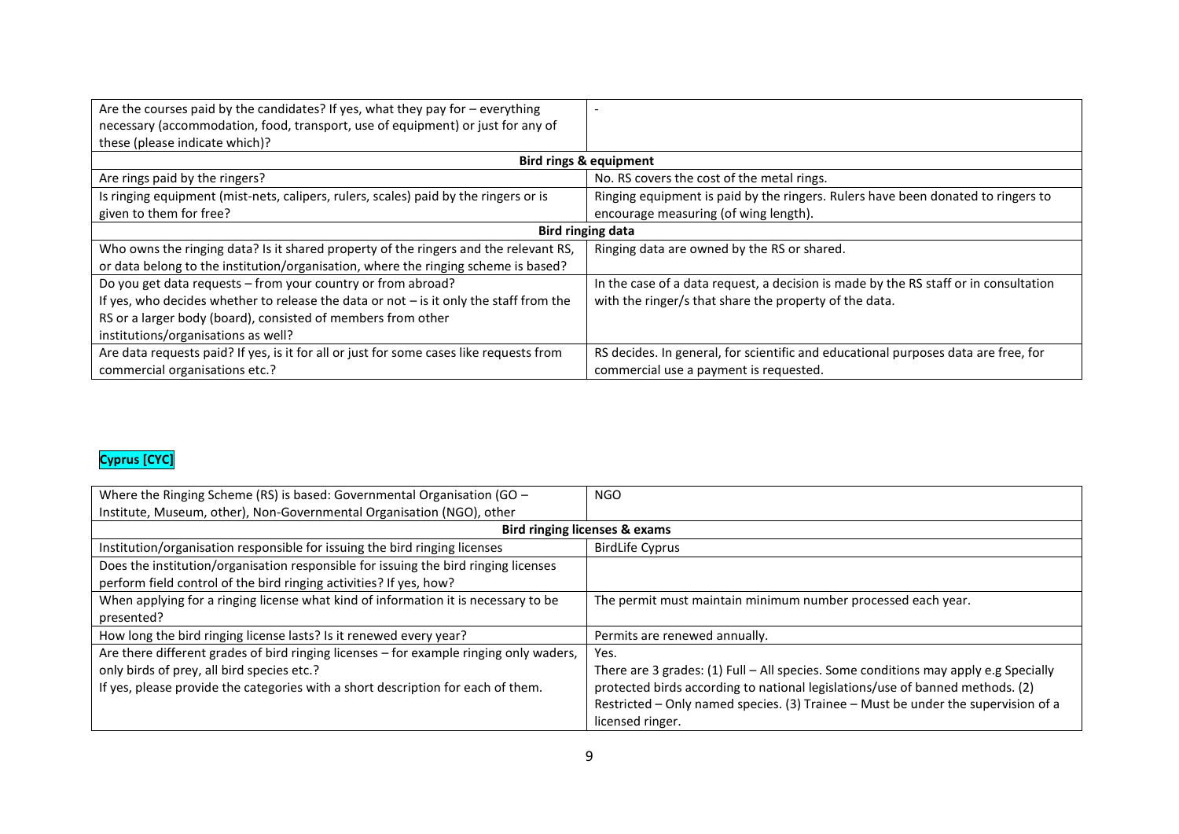| Are the courses paid by the candidates? If yes, what they pay for $-$ everything<br>necessary (accommodation, food, transport, use of equipment) or just for any of<br>these (please indicate which)? |                                                                                      |  |
|-------------------------------------------------------------------------------------------------------------------------------------------------------------------------------------------------------|--------------------------------------------------------------------------------------|--|
| Bird rings & equipment                                                                                                                                                                                |                                                                                      |  |
| Are rings paid by the ringers?                                                                                                                                                                        | No. RS covers the cost of the metal rings.                                           |  |
| Is ringing equipment (mist-nets, calipers, rulers, scales) paid by the ringers or is                                                                                                                  | Ringing equipment is paid by the ringers. Rulers have been donated to ringers to     |  |
| given to them for free?                                                                                                                                                                               | encourage measuring (of wing length).                                                |  |
| <b>Bird ringing data</b>                                                                                                                                                                              |                                                                                      |  |
| Who owns the ringing data? Is it shared property of the ringers and the relevant RS,                                                                                                                  | Ringing data are owned by the RS or shared.                                          |  |
| or data belong to the institution/organisation, where the ringing scheme is based?                                                                                                                    |                                                                                      |  |
| Do you get data requests - from your country or from abroad?                                                                                                                                          | In the case of a data request, a decision is made by the RS staff or in consultation |  |
| If yes, who decides whether to release the data or not $-$ is it only the staff from the                                                                                                              | with the ringer/s that share the property of the data.                               |  |
| RS or a larger body (board), consisted of members from other                                                                                                                                          |                                                                                      |  |
| institutions/organisations as well?                                                                                                                                                                   |                                                                                      |  |
| Are data requests paid? If yes, is it for all or just for some cases like requests from                                                                                                               | RS decides. In general, for scientific and educational purposes data are free, for   |  |
| commercial organisations etc.?                                                                                                                                                                        | commercial use a payment is requested.                                               |  |

## **Cyprus [CYC]**

| Where the Ringing Scheme (RS) is based: Governmental Organisation (GO $-$              | <b>NGO</b>                                                                          |
|----------------------------------------------------------------------------------------|-------------------------------------------------------------------------------------|
| Institute, Museum, other), Non-Governmental Organisation (NGO), other                  |                                                                                     |
| Bird ringing licenses & exams                                                          |                                                                                     |
| Institution/organisation responsible for issuing the bird ringing licenses             | <b>BirdLife Cyprus</b>                                                              |
| Does the institution/organisation responsible for issuing the bird ringing licenses    |                                                                                     |
| perform field control of the bird ringing activities? If yes, how?                     |                                                                                     |
| When applying for a ringing license what kind of information it is necessary to be     | The permit must maintain minimum number processed each year.                        |
| presented?                                                                             |                                                                                     |
| How long the bird ringing license lasts? Is it renewed every year?                     | Permits are renewed annually.                                                       |
| Are there different grades of bird ringing licenses - for example ringing only waders, | Yes.                                                                                |
| only birds of prey, all bird species etc.?                                             | There are 3 grades: (1) Full - All species. Some conditions may apply e.g Specially |
| If yes, please provide the categories with a short description for each of them.       | protected birds according to national legislations/use of banned methods. (2)       |
|                                                                                        | Restricted - Only named species. (3) Trainee - Must be under the supervision of a   |
|                                                                                        | licensed ringer.                                                                    |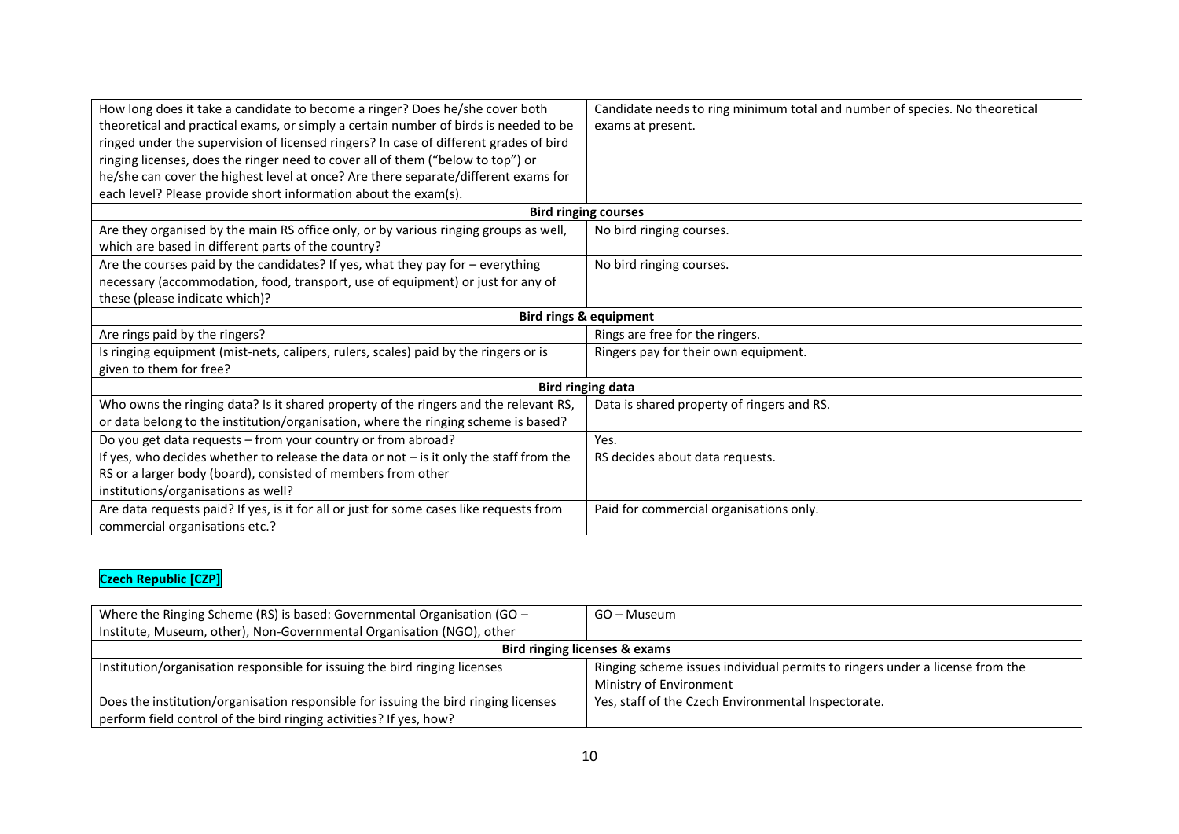| How long does it take a candidate to become a ringer? Does he/she cover both             | Candidate needs to ring minimum total and number of species. No theoretical |  |
|------------------------------------------------------------------------------------------|-----------------------------------------------------------------------------|--|
| theoretical and practical exams, or simply a certain number of birds is needed to be     | exams at present.                                                           |  |
| ringed under the supervision of licensed ringers? In case of different grades of bird    |                                                                             |  |
| ringing licenses, does the ringer need to cover all of them ("below to top") or          |                                                                             |  |
| he/she can cover the highest level at once? Are there separate/different exams for       |                                                                             |  |
| each level? Please provide short information about the exam(s).                          |                                                                             |  |
|                                                                                          | <b>Bird ringing courses</b>                                                 |  |
| Are they organised by the main RS office only, or by various ringing groups as well,     | No bird ringing courses.                                                    |  |
| which are based in different parts of the country?                                       |                                                                             |  |
| Are the courses paid by the candidates? If yes, what they pay for $-$ everything         | No bird ringing courses.                                                    |  |
| necessary (accommodation, food, transport, use of equipment) or just for any of          |                                                                             |  |
| these (please indicate which)?                                                           |                                                                             |  |
| <b>Bird rings &amp; equipment</b>                                                        |                                                                             |  |
| Are rings paid by the ringers?                                                           | Rings are free for the ringers.                                             |  |
| Is ringing equipment (mist-nets, calipers, rulers, scales) paid by the ringers or is     | Ringers pay for their own equipment.                                        |  |
| given to them for free?                                                                  |                                                                             |  |
| <b>Bird ringing data</b>                                                                 |                                                                             |  |
| Who owns the ringing data? Is it shared property of the ringers and the relevant RS,     | Data is shared property of ringers and RS.                                  |  |
| or data belong to the institution/organisation, where the ringing scheme is based?       |                                                                             |  |
| Do you get data requests - from your country or from abroad?                             | Yes.                                                                        |  |
| If yes, who decides whether to release the data or not $-$ is it only the staff from the | RS decides about data requests.                                             |  |
| RS or a larger body (board), consisted of members from other                             |                                                                             |  |
| institutions/organisations as well?                                                      |                                                                             |  |
| Are data requests paid? If yes, is it for all or just for some cases like requests from  | Paid for commercial organisations only.                                     |  |
| commercial organisations etc.?                                                           |                                                                             |  |

#### **Czech Republic [CZP]**

| Where the Ringing Scheme (RS) is based: Governmental Organisation (GO $-$<br>Institute, Museum, other), Non-Governmental Organisation (NGO), other | GO – Museum                                                                  |  |
|----------------------------------------------------------------------------------------------------------------------------------------------------|------------------------------------------------------------------------------|--|
| Bird ringing licenses & exams                                                                                                                      |                                                                              |  |
| Institution/organisation responsible for issuing the bird ringing licenses                                                                         | Ringing scheme issues individual permits to ringers under a license from the |  |
|                                                                                                                                                    | Ministry of Environment                                                      |  |
| Does the institution/organisation responsible for issuing the bird ringing licenses                                                                | Yes, staff of the Czech Environmental Inspectorate.                          |  |
| perform field control of the bird ringing activities? If yes, how?                                                                                 |                                                                              |  |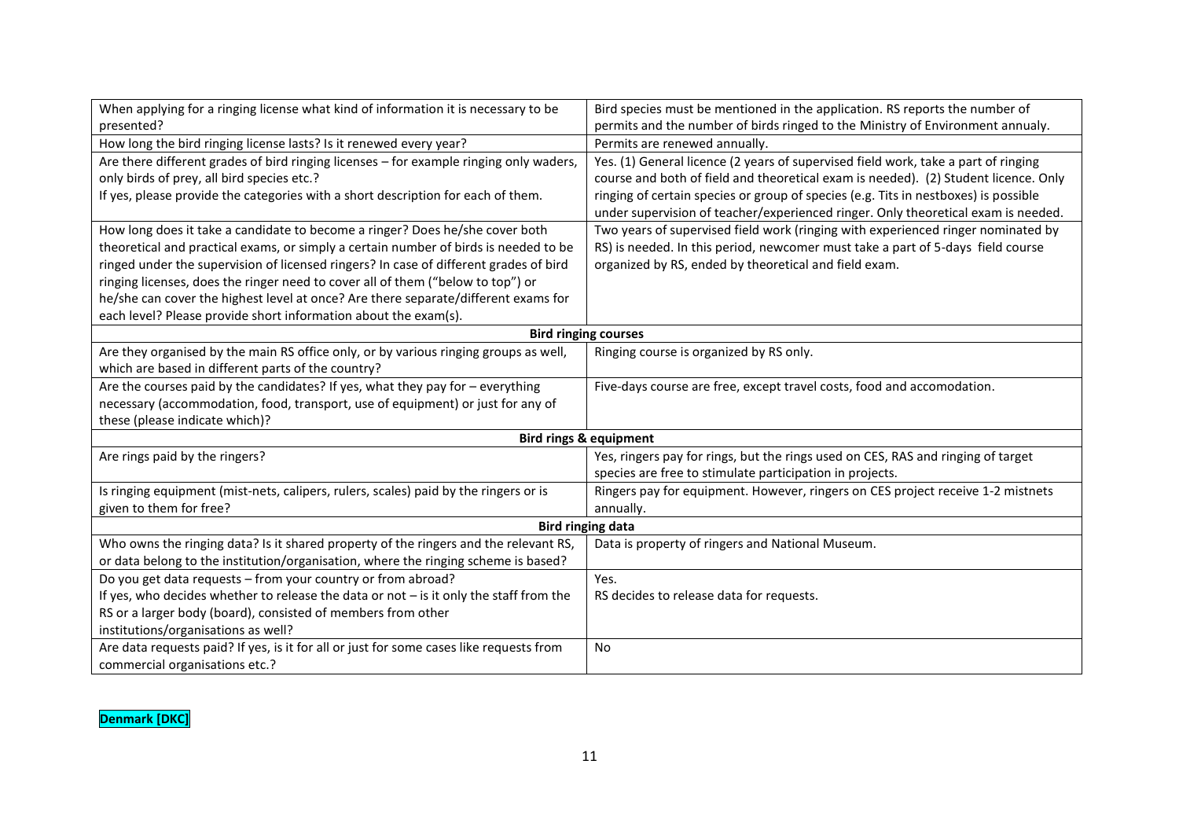| When applying for a ringing license what kind of information it is necessary to be       | Bird species must be mentioned in the application. RS reports the number of         |  |
|------------------------------------------------------------------------------------------|-------------------------------------------------------------------------------------|--|
| presented?                                                                               | permits and the number of birds ringed to the Ministry of Environment annualy.      |  |
| How long the bird ringing license lasts? Is it renewed every year?                       | Permits are renewed annually.                                                       |  |
| Are there different grades of bird ringing licenses - for example ringing only waders,   | Yes. (1) General licence (2 years of supervised field work, take a part of ringing  |  |
| only birds of prey, all bird species etc.?                                               | course and both of field and theoretical exam is needed). (2) Student licence. Only |  |
| If yes, please provide the categories with a short description for each of them.         | ringing of certain species or group of species (e.g. Tits in nestboxes) is possible |  |
|                                                                                          | under supervision of teacher/experienced ringer. Only theoretical exam is needed.   |  |
| How long does it take a candidate to become a ringer? Does he/she cover both             | Two years of supervised field work (ringing with experienced ringer nominated by    |  |
| theoretical and practical exams, or simply a certain number of birds is needed to be     | RS) is needed. In this period, newcomer must take a part of 5-days field course     |  |
| ringed under the supervision of licensed ringers? In case of different grades of bird    | organized by RS, ended by theoretical and field exam.                               |  |
| ringing licenses, does the ringer need to cover all of them ("below to top") or          |                                                                                     |  |
| he/she can cover the highest level at once? Are there separate/different exams for       |                                                                                     |  |
| each level? Please provide short information about the exam(s).                          |                                                                                     |  |
|                                                                                          | <b>Bird ringing courses</b>                                                         |  |
| Are they organised by the main RS office only, or by various ringing groups as well,     | Ringing course is organized by RS only.                                             |  |
| which are based in different parts of the country?                                       |                                                                                     |  |
| Are the courses paid by the candidates? If yes, what they pay for $-$ everything         | Five-days course are free, except travel costs, food and accomodation.              |  |
| necessary (accommodation, food, transport, use of equipment) or just for any of          |                                                                                     |  |
| these (please indicate which)?                                                           |                                                                                     |  |
| <b>Bird rings &amp; equipment</b>                                                        |                                                                                     |  |
| Are rings paid by the ringers?                                                           | Yes, ringers pay for rings, but the rings used on CES, RAS and ringing of target    |  |
|                                                                                          | species are free to stimulate participation in projects.                            |  |
| Is ringing equipment (mist-nets, calipers, rulers, scales) paid by the ringers or is     | Ringers pay for equipment. However, ringers on CES project receive 1-2 mistnets     |  |
| given to them for free?                                                                  | annually.                                                                           |  |
| <b>Bird ringing data</b>                                                                 |                                                                                     |  |
| Who owns the ringing data? Is it shared property of the ringers and the relevant RS,     | Data is property of ringers and National Museum.                                    |  |
| or data belong to the institution/organisation, where the ringing scheme is based?       |                                                                                     |  |
| Do you get data requests - from your country or from abroad?                             | Yes.                                                                                |  |
| If yes, who decides whether to release the data or not $-$ is it only the staff from the | RS decides to release data for requests.                                            |  |
| RS or a larger body (board), consisted of members from other                             |                                                                                     |  |
| institutions/organisations as well?                                                      |                                                                                     |  |
| Are data requests paid? If yes, is it for all or just for some cases like requests from  | <b>No</b>                                                                           |  |
| commercial organisations etc.?                                                           |                                                                                     |  |

**Denmark [DKC]**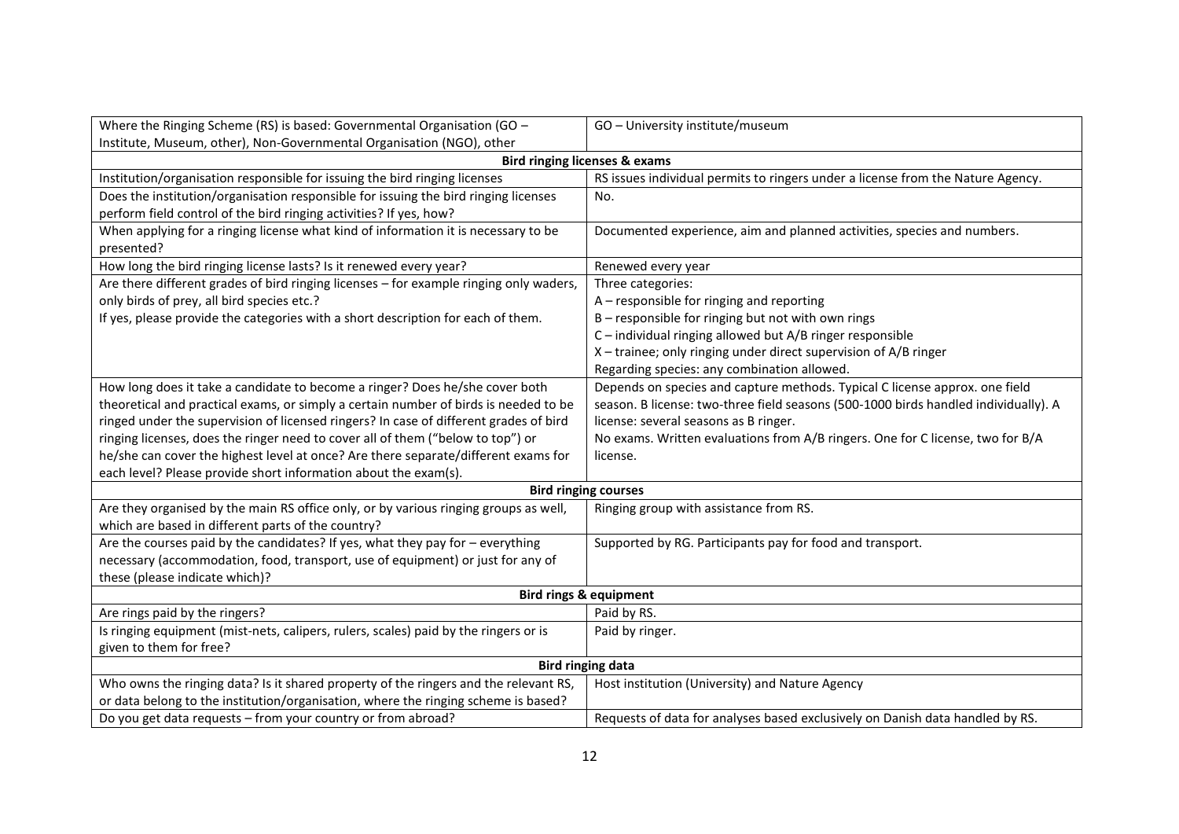| Where the Ringing Scheme (RS) is based: Governmental Organisation (GO -                          | GO - University institute/museum                                                    |  |
|--------------------------------------------------------------------------------------------------|-------------------------------------------------------------------------------------|--|
| Institute, Museum, other), Non-Governmental Organisation (NGO), other                            |                                                                                     |  |
|                                                                                                  | <b>Bird ringing licenses &amp; exams</b>                                            |  |
| Institution/organisation responsible for issuing the bird ringing licenses                       | RS issues individual permits to ringers under a license from the Nature Agency.     |  |
| Does the institution/organisation responsible for issuing the bird ringing licenses              | No.                                                                                 |  |
| perform field control of the bird ringing activities? If yes, how?                               |                                                                                     |  |
| When applying for a ringing license what kind of information it is necessary to be<br>presented? | Documented experience, aim and planned activities, species and numbers.             |  |
| How long the bird ringing license lasts? Is it renewed every year?                               | Renewed every year                                                                  |  |
| Are there different grades of bird ringing licenses - for example ringing only waders,           | Three categories:                                                                   |  |
| only birds of prey, all bird species etc.?                                                       | A - responsible for ringing and reporting                                           |  |
| If yes, please provide the categories with a short description for each of them.                 | B - responsible for ringing but not with own rings                                  |  |
|                                                                                                  | C-individual ringing allowed but A/B ringer responsible                             |  |
|                                                                                                  | X-trainee; only ringing under direct supervision of A/B ringer                      |  |
|                                                                                                  | Regarding species: any combination allowed.                                         |  |
| How long does it take a candidate to become a ringer? Does he/she cover both                     | Depends on species and capture methods. Typical C license approx. one field         |  |
| theoretical and practical exams, or simply a certain number of birds is needed to be             | season. B license: two-three field seasons (500-1000 birds handled individually). A |  |
| ringed under the supervision of licensed ringers? In case of different grades of bird            | license: several seasons as B ringer.                                               |  |
| ringing licenses, does the ringer need to cover all of them ("below to top") or                  | No exams. Written evaluations from A/B ringers. One for C license, two for B/A      |  |
| he/she can cover the highest level at once? Are there separate/different exams for               | license.                                                                            |  |
| each level? Please provide short information about the exam(s).                                  |                                                                                     |  |
|                                                                                                  | <b>Bird ringing courses</b>                                                         |  |
| Are they organised by the main RS office only, or by various ringing groups as well,             | Ringing group with assistance from RS.                                              |  |
| which are based in different parts of the country?                                               |                                                                                     |  |
| Are the courses paid by the candidates? If yes, what they pay for - everything                   | Supported by RG. Participants pay for food and transport.                           |  |
| necessary (accommodation, food, transport, use of equipment) or just for any of                  |                                                                                     |  |
| these (please indicate which)?                                                                   |                                                                                     |  |
| <b>Bird rings &amp; equipment</b>                                                                |                                                                                     |  |
| Are rings paid by the ringers?                                                                   | Paid by RS.                                                                         |  |
| Is ringing equipment (mist-nets, calipers, rulers, scales) paid by the ringers or is             | Paid by ringer.                                                                     |  |
| given to them for free?                                                                          |                                                                                     |  |
| <b>Bird ringing data</b>                                                                         |                                                                                     |  |
| Who owns the ringing data? Is it shared property of the ringers and the relevant RS,             | Host institution (University) and Nature Agency                                     |  |
| or data belong to the institution/organisation, where the ringing scheme is based?               |                                                                                     |  |
| Do you get data requests - from your country or from abroad?                                     | Requests of data for analyses based exclusively on Danish data handled by RS.       |  |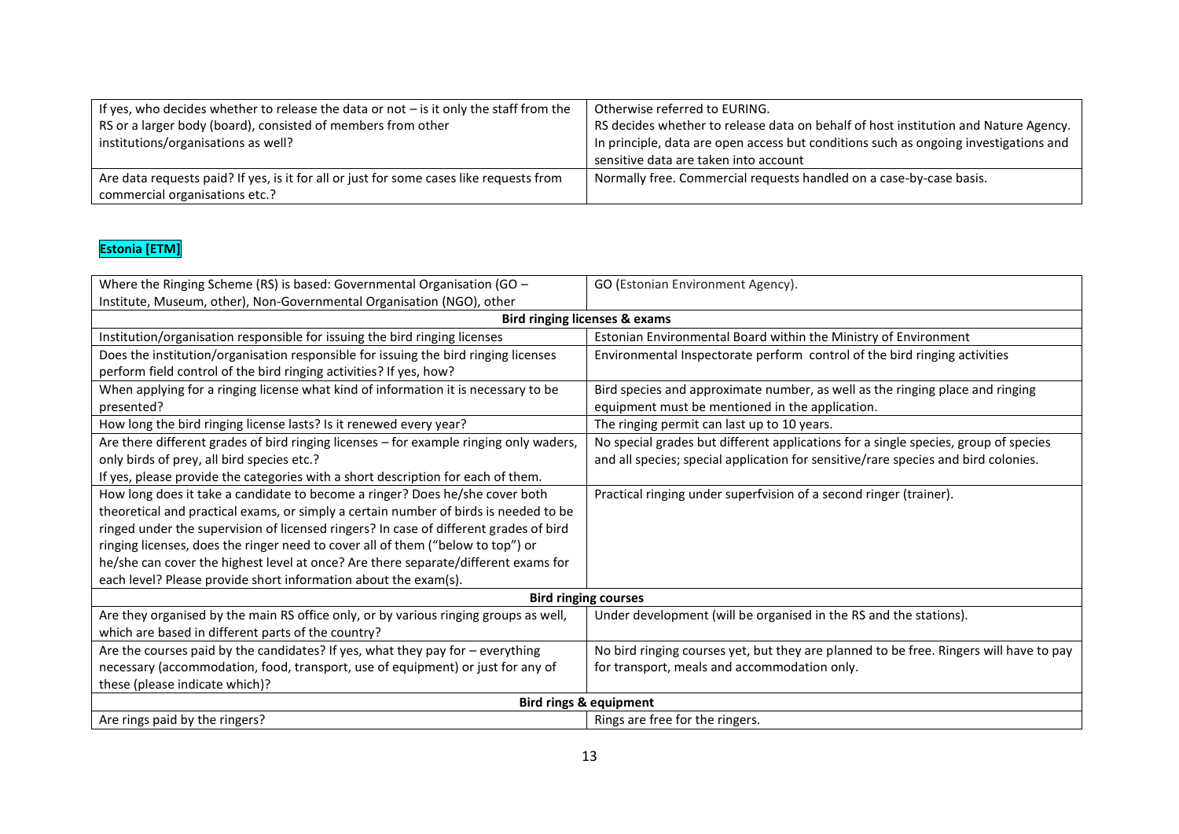| If yes, who decides whether to release the data or not $-$ is it only the staff from the<br>RS or a larger body (board), consisted of members from other<br>institutions/organisations as well? | Otherwise referred to EURING.<br>RS decides whether to release data on behalf of host institution and Nature Agency.<br>In principle, data are open access but conditions such as ongoing investigations and<br>sensitive data are taken into account |
|-------------------------------------------------------------------------------------------------------------------------------------------------------------------------------------------------|-------------------------------------------------------------------------------------------------------------------------------------------------------------------------------------------------------------------------------------------------------|
| Are data requests paid? If yes, is it for all or just for some cases like requests from<br>commercial organisations etc.?                                                                       | Normally free. Commercial requests handled on a case-by-case basis.                                                                                                                                                                                   |

## **Estonia [ETM]**

| Where the Ringing Scheme (RS) is based: Governmental Organisation (GO -                | GO (Estonian Environment Agency).                                                      |  |
|----------------------------------------------------------------------------------------|----------------------------------------------------------------------------------------|--|
| Institute, Museum, other), Non-Governmental Organisation (NGO), other                  |                                                                                        |  |
|                                                                                        | <b>Bird ringing licenses &amp; exams</b>                                               |  |
| Institution/organisation responsible for issuing the bird ringing licenses             | Estonian Environmental Board within the Ministry of Environment                        |  |
| Does the institution/organisation responsible for issuing the bird ringing licenses    | Environmental Inspectorate perform control of the bird ringing activities              |  |
| perform field control of the bird ringing activities? If yes, how?                     |                                                                                        |  |
| When applying for a ringing license what kind of information it is necessary to be     | Bird species and approximate number, as well as the ringing place and ringing          |  |
| presented?                                                                             | equipment must be mentioned in the application.                                        |  |
| How long the bird ringing license lasts? Is it renewed every year?                     | The ringing permit can last up to 10 years.                                            |  |
| Are there different grades of bird ringing licenses - for example ringing only waders, | No special grades but different applications for a single species, group of species    |  |
| only birds of prey, all bird species etc.?                                             | and all species; special application for sensitive/rare species and bird colonies.     |  |
| If yes, please provide the categories with a short description for each of them.       |                                                                                        |  |
| How long does it take a candidate to become a ringer? Does he/she cover both           | Practical ringing under superfvision of a second ringer (trainer).                     |  |
| theoretical and practical exams, or simply a certain number of birds is needed to be   |                                                                                        |  |
| ringed under the supervision of licensed ringers? In case of different grades of bird  |                                                                                        |  |
| ringing licenses, does the ringer need to cover all of them ("below to top") or        |                                                                                        |  |
| he/she can cover the highest level at once? Are there separate/different exams for     |                                                                                        |  |
| each level? Please provide short information about the exam(s).                        |                                                                                        |  |
| <b>Bird ringing courses</b>                                                            |                                                                                        |  |
| Are they organised by the main RS office only, or by various ringing groups as well,   | Under development (will be organised in the RS and the stations).                      |  |
| which are based in different parts of the country?                                     |                                                                                        |  |
| Are the courses paid by the candidates? If yes, what they pay for $-$ everything       | No bird ringing courses yet, but they are planned to be free. Ringers will have to pay |  |
| necessary (accommodation, food, transport, use of equipment) or just for any of        | for transport, meals and accommodation only.                                           |  |
| these (please indicate which)?                                                         |                                                                                        |  |
| <b>Bird rings &amp; equipment</b>                                                      |                                                                                        |  |
| Are rings paid by the ringers?                                                         | Rings are free for the ringers.                                                        |  |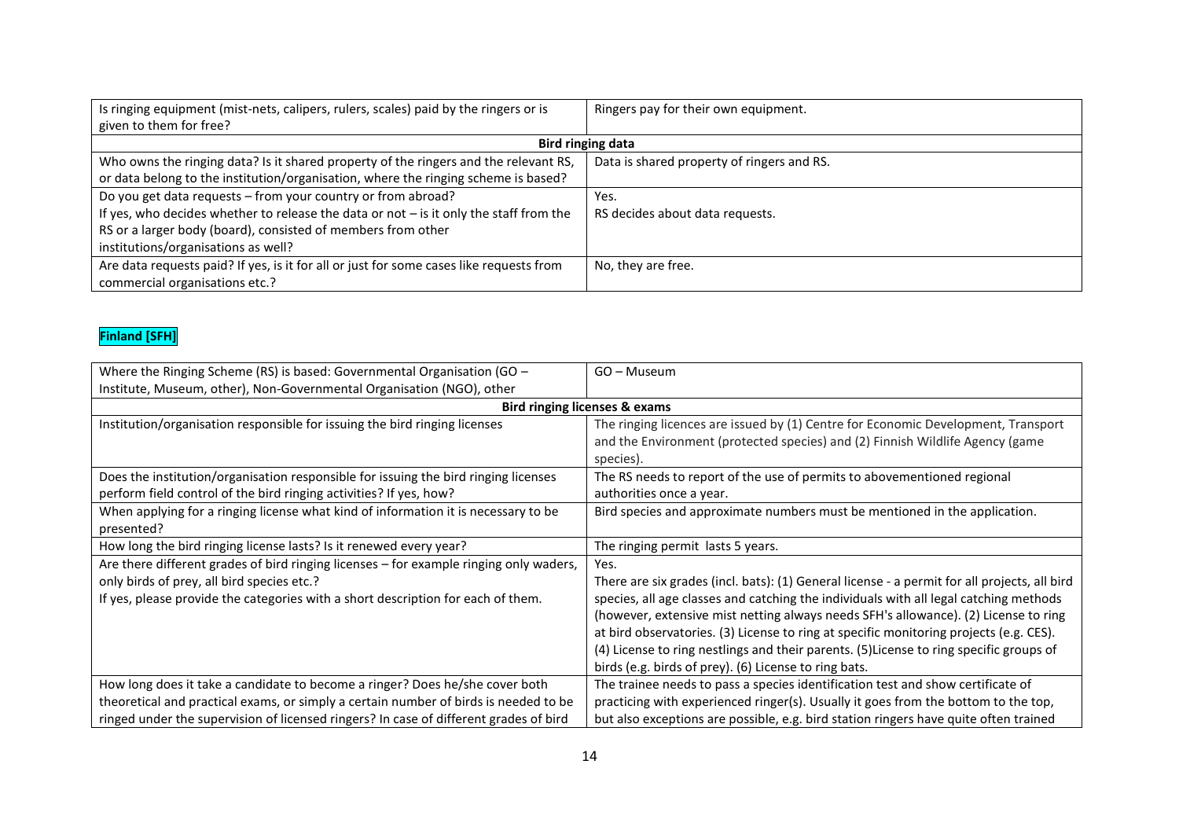| Is ringing equipment (mist-nets, calipers, rulers, scales) paid by the ringers or is     | Ringers pay for their own equipment.       |  |
|------------------------------------------------------------------------------------------|--------------------------------------------|--|
| given to them for free?                                                                  |                                            |  |
| Bird ringing data                                                                        |                                            |  |
| Who owns the ringing data? Is it shared property of the ringers and the relevant RS,     | Data is shared property of ringers and RS. |  |
| or data belong to the institution/organisation, where the ringing scheme is based?       |                                            |  |
| Do you get data requests - from your country or from abroad?                             | Yes.                                       |  |
| If yes, who decides whether to release the data or not $-$ is it only the staff from the | RS decides about data requests.            |  |
| RS or a larger body (board), consisted of members from other                             |                                            |  |
| institutions/organisations as well?                                                      |                                            |  |
| Are data requests paid? If yes, is it for all or just for some cases like requests from  | No, they are free.                         |  |
| commercial organisations etc.?                                                           |                                            |  |

## **Finland [SFH]**

| Where the Ringing Scheme (RS) is based: Governmental Organisation (GO $-$<br>Institute, Museum, other), Non-Governmental Organisation (NGO), other                                                                       | GO - Museum                                                                                                                                                                                                                                                                                                                                                                                                                                                                                                                        |
|--------------------------------------------------------------------------------------------------------------------------------------------------------------------------------------------------------------------------|------------------------------------------------------------------------------------------------------------------------------------------------------------------------------------------------------------------------------------------------------------------------------------------------------------------------------------------------------------------------------------------------------------------------------------------------------------------------------------------------------------------------------------|
| Bird ringing licenses & exams                                                                                                                                                                                            |                                                                                                                                                                                                                                                                                                                                                                                                                                                                                                                                    |
| Institution/organisation responsible for issuing the bird ringing licenses                                                                                                                                               | The ringing licences are issued by (1) Centre for Economic Development, Transport<br>and the Environment (protected species) and (2) Finnish Wildlife Agency (game<br>species).                                                                                                                                                                                                                                                                                                                                                    |
| Does the institution/organisation responsible for issuing the bird ringing licenses<br>perform field control of the bird ringing activities? If yes, how?                                                                | The RS needs to report of the use of permits to abovementioned regional<br>authorities once a year.                                                                                                                                                                                                                                                                                                                                                                                                                                |
| When applying for a ringing license what kind of information it is necessary to be<br>presented?                                                                                                                         | Bird species and approximate numbers must be mentioned in the application.                                                                                                                                                                                                                                                                                                                                                                                                                                                         |
| How long the bird ringing license lasts? Is it renewed every year?                                                                                                                                                       | The ringing permit lasts 5 years.                                                                                                                                                                                                                                                                                                                                                                                                                                                                                                  |
| Are there different grades of bird ringing licenses - for example ringing only waders,<br>only birds of prey, all bird species etc.?<br>If yes, please provide the categories with a short description for each of them. | Yes.<br>There are six grades (incl. bats): (1) General license - a permit for all projects, all bird<br>species, all age classes and catching the individuals with all legal catching methods<br>(however, extensive mist netting always needs SFH's allowance). (2) License to ring<br>at bird observatories. (3) License to ring at specific monitoring projects (e.g. CES).<br>(4) License to ring nestlings and their parents. (5) License to ring specific groups of<br>birds (e.g. birds of prey). (6) License to ring bats. |
| How long does it take a candidate to become a ringer? Does he/she cover both                                                                                                                                             | The trainee needs to pass a species identification test and show certificate of                                                                                                                                                                                                                                                                                                                                                                                                                                                    |
| theoretical and practical exams, or simply a certain number of birds is needed to be                                                                                                                                     | practicing with experienced ringer(s). Usually it goes from the bottom to the top,                                                                                                                                                                                                                                                                                                                                                                                                                                                 |
| ringed under the supervision of licensed ringers? In case of different grades of bird                                                                                                                                    | but also exceptions are possible, e.g. bird station ringers have quite often trained                                                                                                                                                                                                                                                                                                                                                                                                                                               |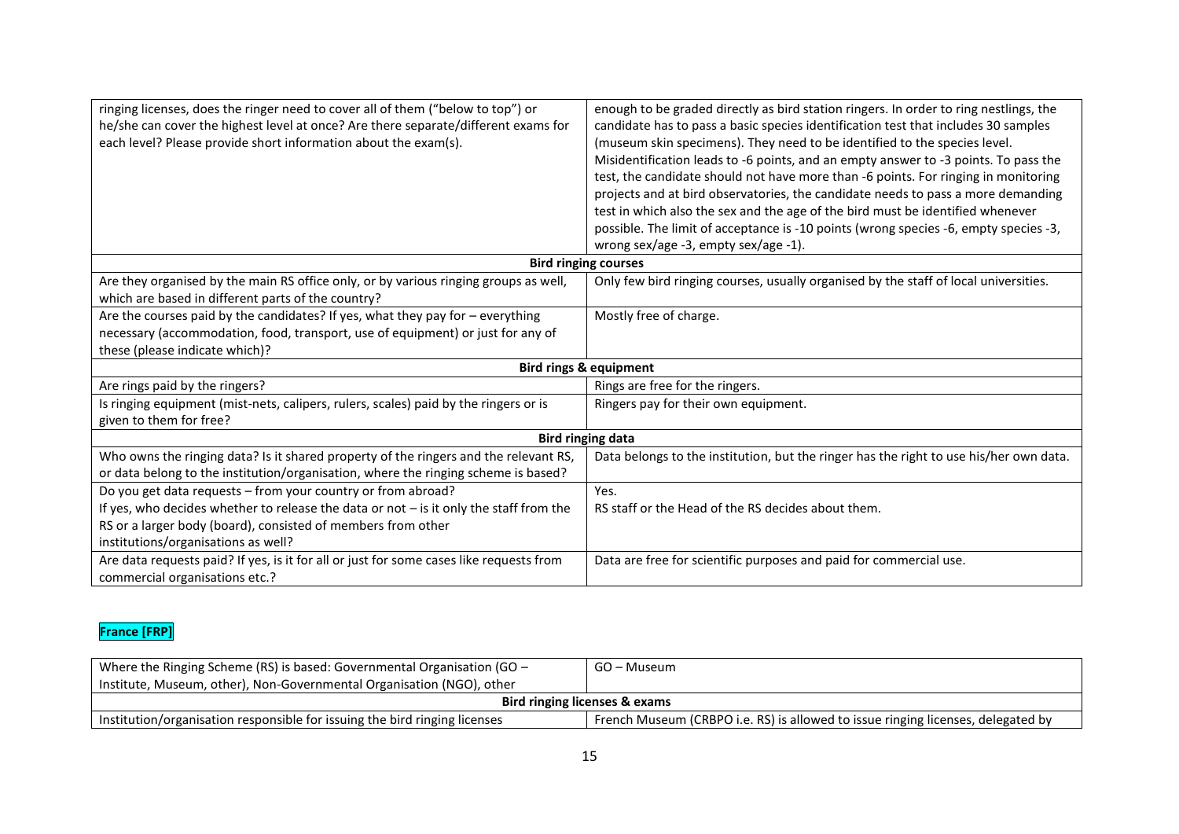| ringing licenses, does the ringer need to cover all of them ("below to top") or<br>he/she can cover the highest level at once? Are there separate/different exams for<br>each level? Please provide short information about the exam(s). | enough to be graded directly as bird station ringers. In order to ring nestlings, the<br>candidate has to pass a basic species identification test that includes 30 samples<br>(museum skin specimens). They need to be identified to the species level.<br>Misidentification leads to -6 points, and an empty answer to -3 points. To pass the<br>test, the candidate should not have more than -6 points. For ringing in monitoring<br>projects and at bird observatories, the candidate needs to pass a more demanding<br>test in which also the sex and the age of the bird must be identified whenever |  |
|------------------------------------------------------------------------------------------------------------------------------------------------------------------------------------------------------------------------------------------|-------------------------------------------------------------------------------------------------------------------------------------------------------------------------------------------------------------------------------------------------------------------------------------------------------------------------------------------------------------------------------------------------------------------------------------------------------------------------------------------------------------------------------------------------------------------------------------------------------------|--|
|                                                                                                                                                                                                                                          | possible. The limit of acceptance is -10 points (wrong species -6, empty species -3,<br>wrong sex/age -3, empty sex/age -1).                                                                                                                                                                                                                                                                                                                                                                                                                                                                                |  |
|                                                                                                                                                                                                                                          | <b>Bird ringing courses</b>                                                                                                                                                                                                                                                                                                                                                                                                                                                                                                                                                                                 |  |
| Are they organised by the main RS office only, or by various ringing groups as well,<br>which are based in different parts of the country?                                                                                               | Only few bird ringing courses, usually organised by the staff of local universities.                                                                                                                                                                                                                                                                                                                                                                                                                                                                                                                        |  |
| Are the courses paid by the candidates? If yes, what they pay for - everything<br>necessary (accommodation, food, transport, use of equipment) or just for any of<br>these (please indicate which)?                                      | Mostly free of charge.                                                                                                                                                                                                                                                                                                                                                                                                                                                                                                                                                                                      |  |
| <b>Bird rings &amp; equipment</b>                                                                                                                                                                                                        |                                                                                                                                                                                                                                                                                                                                                                                                                                                                                                                                                                                                             |  |
| Are rings paid by the ringers?                                                                                                                                                                                                           | Rings are free for the ringers.                                                                                                                                                                                                                                                                                                                                                                                                                                                                                                                                                                             |  |
| Is ringing equipment (mist-nets, calipers, rulers, scales) paid by the ringers or is<br>given to them for free?                                                                                                                          | Ringers pay for their own equipment.                                                                                                                                                                                                                                                                                                                                                                                                                                                                                                                                                                        |  |
| <b>Bird ringing data</b>                                                                                                                                                                                                                 |                                                                                                                                                                                                                                                                                                                                                                                                                                                                                                                                                                                                             |  |
| Who owns the ringing data? Is it shared property of the ringers and the relevant RS,<br>or data belong to the institution/organisation, where the ringing scheme is based?                                                               | Data belongs to the institution, but the ringer has the right to use his/her own data.                                                                                                                                                                                                                                                                                                                                                                                                                                                                                                                      |  |
| Do you get data requests - from your country or from abroad?                                                                                                                                                                             | Yes.                                                                                                                                                                                                                                                                                                                                                                                                                                                                                                                                                                                                        |  |
| If yes, who decides whether to release the data or not $-$ is it only the staff from the<br>RS or a larger body (board), consisted of members from other<br>institutions/organisations as well?                                          | RS staff or the Head of the RS decides about them.                                                                                                                                                                                                                                                                                                                                                                                                                                                                                                                                                          |  |
| Are data requests paid? If yes, is it for all or just for some cases like requests from<br>commercial organisations etc.?                                                                                                                | Data are free for scientific purposes and paid for commercial use.                                                                                                                                                                                                                                                                                                                                                                                                                                                                                                                                          |  |

## **France [FRP]**

| Where the Ringing Scheme (RS) is based: Governmental Organisation (GO $-$  | GO – Museum                                                                      |  |
|----------------------------------------------------------------------------|----------------------------------------------------------------------------------|--|
| Institute, Museum, other), Non-Governmental Organisation (NGO), other      |                                                                                  |  |
| <b>Bird ringing licenses &amp; exams</b>                                   |                                                                                  |  |
| Institution/organisation responsible for issuing the bird ringing licenses | French Museum (CRBPO i.e. RS) is allowed to issue ringing licenses, delegated by |  |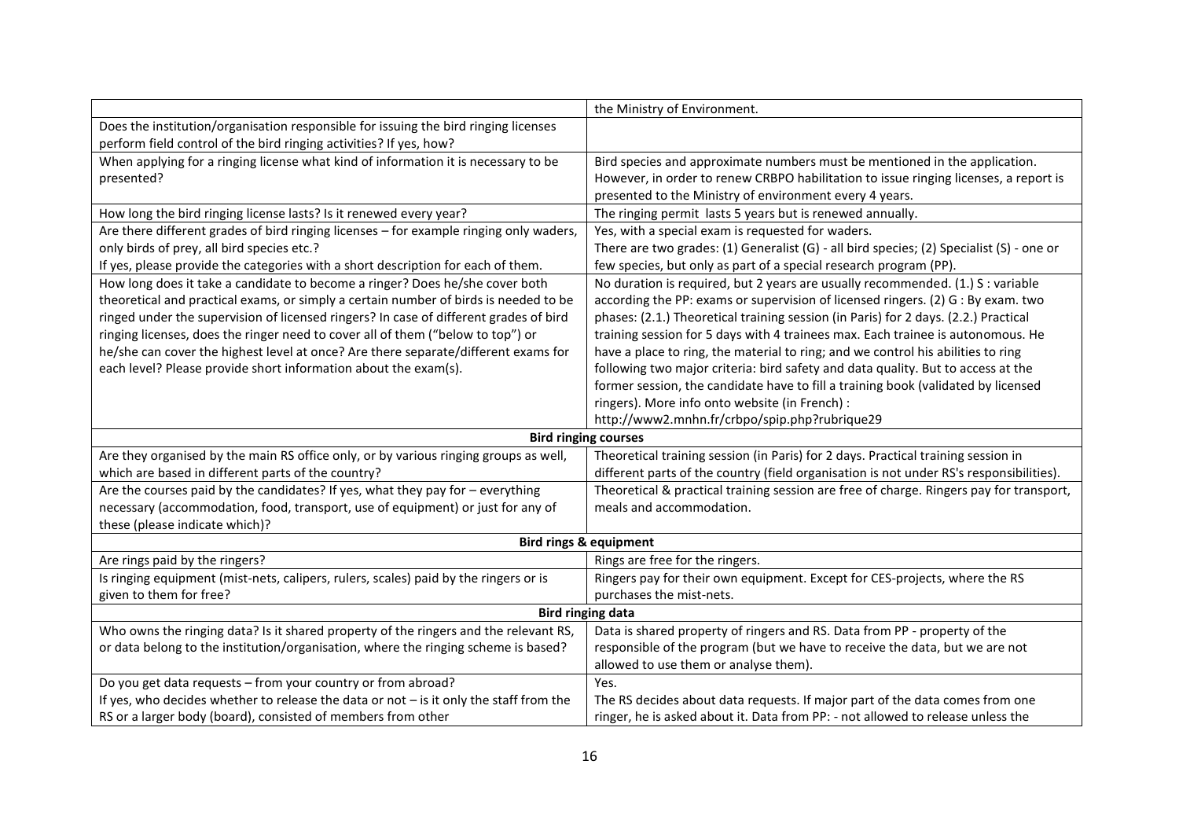|                                                                                          | the Ministry of Environment.                                                             |
|------------------------------------------------------------------------------------------|------------------------------------------------------------------------------------------|
| Does the institution/organisation responsible for issuing the bird ringing licenses      |                                                                                          |
| perform field control of the bird ringing activities? If yes, how?                       |                                                                                          |
| When applying for a ringing license what kind of information it is necessary to be       | Bird species and approximate numbers must be mentioned in the application.               |
| presented?                                                                               | However, in order to renew CRBPO habilitation to issue ringing licenses, a report is     |
|                                                                                          | presented to the Ministry of environment every 4 years.                                  |
| How long the bird ringing license lasts? Is it renewed every year?                       | The ringing permit lasts 5 years but is renewed annually.                                |
| Are there different grades of bird ringing licenses - for example ringing only waders,   | Yes, with a special exam is requested for waders.                                        |
| only birds of prey, all bird species etc.?                                               | There are two grades: (1) Generalist (G) - all bird species; (2) Specialist (S) - one or |
| If yes, please provide the categories with a short description for each of them.         | few species, but only as part of a special research program (PP).                        |
| How long does it take a candidate to become a ringer? Does he/she cover both             | No duration is required, but 2 years are usually recommended. (1.) S : variable          |
| theoretical and practical exams, or simply a certain number of birds is needed to be     | according the PP: exams or supervision of licensed ringers. (2) G : By exam. two         |
| ringed under the supervision of licensed ringers? In case of different grades of bird    | phases: (2.1.) Theoretical training session (in Paris) for 2 days. (2.2.) Practical      |
| ringing licenses, does the ringer need to cover all of them ("below to top") or          | training session for 5 days with 4 trainees max. Each trainee is autonomous. He          |
| he/she can cover the highest level at once? Are there separate/different exams for       | have a place to ring, the material to ring; and we control his abilities to ring         |
| each level? Please provide short information about the exam(s).                          | following two major criteria: bird safety and data quality. But to access at the         |
|                                                                                          | former session, the candidate have to fill a training book (validated by licensed        |
|                                                                                          | ringers). More info onto website (in French) :                                           |
|                                                                                          | http://www2.mnhn.fr/crbpo/spip.php?rubrique29                                            |
|                                                                                          | <b>Bird ringing courses</b>                                                              |
| Are they organised by the main RS office only, or by various ringing groups as well,     | Theoretical training session (in Paris) for 2 days. Practical training session in        |
| which are based in different parts of the country?                                       | different parts of the country (field organisation is not under RS's responsibilities).  |
| Are the courses paid by the candidates? If yes, what they pay for $-$ everything         | Theoretical & practical training session are free of charge. Ringers pay for transport,  |
| necessary (accommodation, food, transport, use of equipment) or just for any of          | meals and accommodation.                                                                 |
| these (please indicate which)?                                                           |                                                                                          |
| <b>Bird rings &amp; equipment</b>                                                        |                                                                                          |
| Are rings paid by the ringers?                                                           | Rings are free for the ringers.                                                          |
| Is ringing equipment (mist-nets, calipers, rulers, scales) paid by the ringers or is     | Ringers pay for their own equipment. Except for CES-projects, where the RS               |
| given to them for free?                                                                  | purchases the mist-nets.                                                                 |
| <b>Bird ringing data</b>                                                                 |                                                                                          |
| Who owns the ringing data? Is it shared property of the ringers and the relevant RS,     | Data is shared property of ringers and RS. Data from PP - property of the                |
| or data belong to the institution/organisation, where the ringing scheme is based?       | responsible of the program (but we have to receive the data, but we are not              |
|                                                                                          | allowed to use them or analyse them).                                                    |
| Do you get data requests - from your country or from abroad?                             | Yes.                                                                                     |
| If yes, who decides whether to release the data or not $-$ is it only the staff from the | The RS decides about data requests. If major part of the data comes from one             |
| RS or a larger body (board), consisted of members from other                             | ringer, he is asked about it. Data from PP: - not allowed to release unless the          |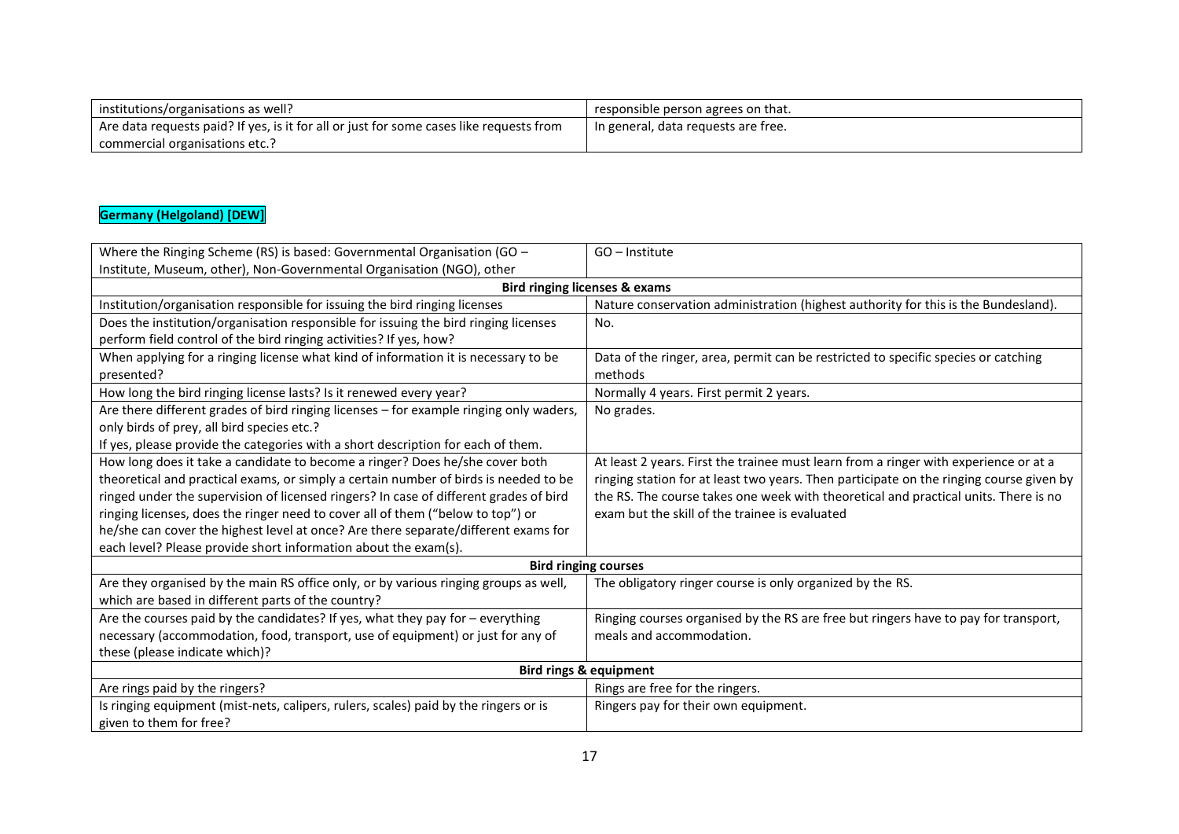| institutions/organisations as well?                                                     | responsible person agrees on that.    |
|-----------------------------------------------------------------------------------------|---------------------------------------|
| Are data requests paid? If yes, is it for all or just for some cases like requests from | I In general, data requests are free. |
| commercial organisations etc.?                                                          |                                       |

#### **Germany (Helgoland) [DEW]**

| Where the Ringing Scheme (RS) is based: Governmental Organisation (GO $-$              | GO - Institute                                                                          |  |
|----------------------------------------------------------------------------------------|-----------------------------------------------------------------------------------------|--|
| Institute, Museum, other), Non-Governmental Organisation (NGO), other                  |                                                                                         |  |
| <b>Bird ringing licenses &amp; exams</b>                                               |                                                                                         |  |
| Institution/organisation responsible for issuing the bird ringing licenses             | Nature conservation administration (highest authority for this is the Bundesland).      |  |
| Does the institution/organisation responsible for issuing the bird ringing licenses    | No.                                                                                     |  |
| perform field control of the bird ringing activities? If yes, how?                     |                                                                                         |  |
| When applying for a ringing license what kind of information it is necessary to be     | Data of the ringer, area, permit can be restricted to specific species or catching      |  |
| presented?                                                                             | methods                                                                                 |  |
| How long the bird ringing license lasts? Is it renewed every year?                     | Normally 4 years. First permit 2 years.                                                 |  |
| Are there different grades of bird ringing licenses - for example ringing only waders, | No grades.                                                                              |  |
| only birds of prey, all bird species etc.?                                             |                                                                                         |  |
| If yes, please provide the categories with a short description for each of them.       |                                                                                         |  |
| How long does it take a candidate to become a ringer? Does he/she cover both           | At least 2 years. First the trainee must learn from a ringer with experience or at a    |  |
| theoretical and practical exams, or simply a certain number of birds is needed to be   | ringing station for at least two years. Then participate on the ringing course given by |  |
| ringed under the supervision of licensed ringers? In case of different grades of bird  | the RS. The course takes one week with theoretical and practical units. There is no     |  |
| ringing licenses, does the ringer need to cover all of them ("below to top") or        | exam but the skill of the trainee is evaluated                                          |  |
| he/she can cover the highest level at once? Are there separate/different exams for     |                                                                                         |  |
| each level? Please provide short information about the exam(s).                        |                                                                                         |  |
|                                                                                        | <b>Bird ringing courses</b>                                                             |  |
| Are they organised by the main RS office only, or by various ringing groups as well,   | The obligatory ringer course is only organized by the RS.                               |  |
| which are based in different parts of the country?                                     |                                                                                         |  |
| Are the courses paid by the candidates? If yes, what they pay for - everything         | Ringing courses organised by the RS are free but ringers have to pay for transport,     |  |
| necessary (accommodation, food, transport, use of equipment) or just for any of        | meals and accommodation.                                                                |  |
| these (please indicate which)?                                                         |                                                                                         |  |
| <b>Bird rings &amp; equipment</b>                                                      |                                                                                         |  |
| Are rings paid by the ringers?                                                         | Rings are free for the ringers.                                                         |  |
| Is ringing equipment (mist-nets, calipers, rulers, scales) paid by the ringers or is   | Ringers pay for their own equipment.                                                    |  |
| given to them for free?                                                                |                                                                                         |  |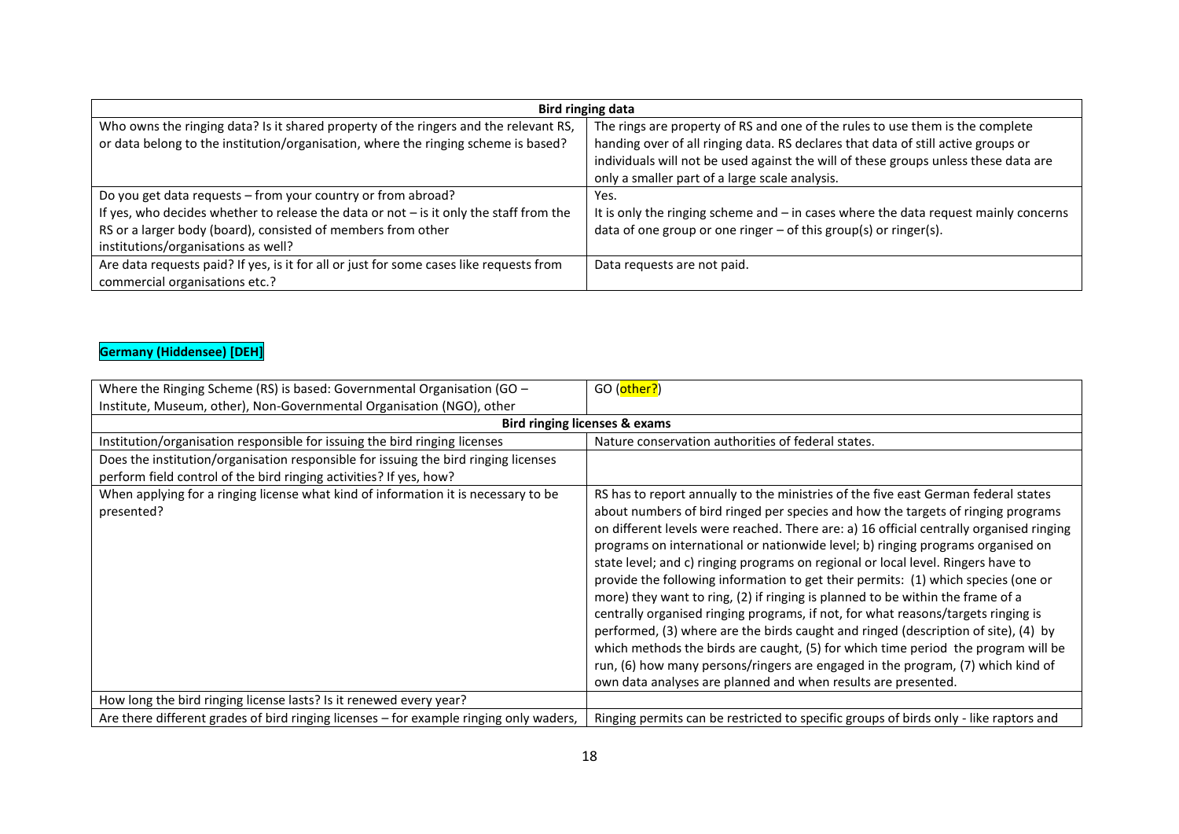| <b>Bird ringing data</b>                                                                 |                                                                                       |
|------------------------------------------------------------------------------------------|---------------------------------------------------------------------------------------|
| Who owns the ringing data? Is it shared property of the ringers and the relevant RS,     | The rings are property of RS and one of the rules to use them is the complete         |
| or data belong to the institution/organisation, where the ringing scheme is based?       | handing over of all ringing data. RS declares that data of still active groups or     |
|                                                                                          | individuals will not be used against the will of these groups unless these data are   |
|                                                                                          | only a smaller part of a large scale analysis.                                        |
| Do you get data requests - from your country or from abroad?                             | Yes.                                                                                  |
| If yes, who decides whether to release the data or not $-$ is it only the staff from the | It is only the ringing scheme and $-$ in cases where the data request mainly concerns |
| RS or a larger body (board), consisted of members from other                             | data of one group or one ringer $-$ of this group(s) or ringer(s).                    |
| institutions/organisations as well?                                                      |                                                                                       |
| Are data requests paid? If yes, is it for all or just for some cases like requests from  | Data requests are not paid.                                                           |
| commercial organisations etc.?                                                           |                                                                                       |

## **Germany (Hiddensee) [DEH]**

| Where the Ringing Scheme (RS) is based: Governmental Organisation (GO -                                                                                   | GO (other?)                                                                                                                                                                                                                                                                                                                                                                                                                                                                                                                                                                                                                                                                                                                                                                                                                                                                                                                                                                                                                         |
|-----------------------------------------------------------------------------------------------------------------------------------------------------------|-------------------------------------------------------------------------------------------------------------------------------------------------------------------------------------------------------------------------------------------------------------------------------------------------------------------------------------------------------------------------------------------------------------------------------------------------------------------------------------------------------------------------------------------------------------------------------------------------------------------------------------------------------------------------------------------------------------------------------------------------------------------------------------------------------------------------------------------------------------------------------------------------------------------------------------------------------------------------------------------------------------------------------------|
| Institute, Museum, other), Non-Governmental Organisation (NGO), other                                                                                     |                                                                                                                                                                                                                                                                                                                                                                                                                                                                                                                                                                                                                                                                                                                                                                                                                                                                                                                                                                                                                                     |
|                                                                                                                                                           | <b>Bird ringing licenses &amp; exams</b>                                                                                                                                                                                                                                                                                                                                                                                                                                                                                                                                                                                                                                                                                                                                                                                                                                                                                                                                                                                            |
| Institution/organisation responsible for issuing the bird ringing licenses                                                                                | Nature conservation authorities of federal states.                                                                                                                                                                                                                                                                                                                                                                                                                                                                                                                                                                                                                                                                                                                                                                                                                                                                                                                                                                                  |
| Does the institution/organisation responsible for issuing the bird ringing licenses<br>perform field control of the bird ringing activities? If yes, how? |                                                                                                                                                                                                                                                                                                                                                                                                                                                                                                                                                                                                                                                                                                                                                                                                                                                                                                                                                                                                                                     |
| When applying for a ringing license what kind of information it is necessary to be<br>presented?                                                          | RS has to report annually to the ministries of the five east German federal states<br>about numbers of bird ringed per species and how the targets of ringing programs<br>on different levels were reached. There are: a) 16 official centrally organised ringing<br>programs on international or nationwide level; b) ringing programs organised on<br>state level; and c) ringing programs on regional or local level. Ringers have to<br>provide the following information to get their permits: (1) which species (one or<br>more) they want to ring, (2) if ringing is planned to be within the frame of a<br>centrally organised ringing programs, if not, for what reasons/targets ringing is<br>performed, (3) where are the birds caught and ringed (description of site), (4) by<br>which methods the birds are caught, (5) for which time period the program will be<br>run, (6) how many persons/ringers are engaged in the program, (7) which kind of<br>own data analyses are planned and when results are presented. |
| How long the bird ringing license lasts? Is it renewed every year?                                                                                        |                                                                                                                                                                                                                                                                                                                                                                                                                                                                                                                                                                                                                                                                                                                                                                                                                                                                                                                                                                                                                                     |
| Are there different grades of bird ringing licenses - for example ringing only waders,                                                                    | Ringing permits can be restricted to specific groups of birds only - like raptors and                                                                                                                                                                                                                                                                                                                                                                                                                                                                                                                                                                                                                                                                                                                                                                                                                                                                                                                                               |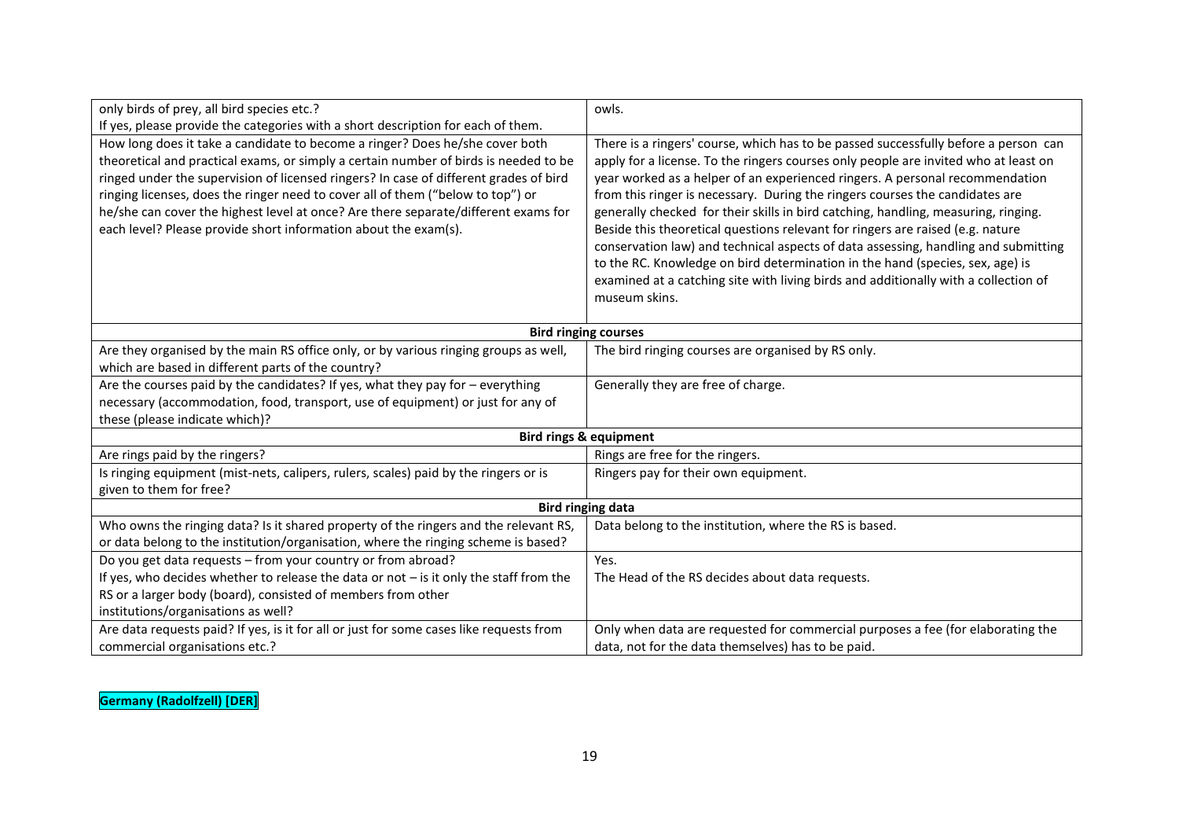| only birds of prey, all bird species etc.?                                                                                                 | owls.                                                                               |
|--------------------------------------------------------------------------------------------------------------------------------------------|-------------------------------------------------------------------------------------|
| If yes, please provide the categories with a short description for each of them.                                                           |                                                                                     |
| How long does it take a candidate to become a ringer? Does he/she cover both                                                               | There is a ringers' course, which has to be passed successfully before a person can |
| theoretical and practical exams, or simply a certain number of birds is needed to be                                                       | apply for a license. To the ringers courses only people are invited who at least on |
| ringed under the supervision of licensed ringers? In case of different grades of bird                                                      | year worked as a helper of an experienced ringers. A personal recommendation        |
| ringing licenses, does the ringer need to cover all of them ("below to top") or                                                            | from this ringer is necessary. During the ringers courses the candidates are        |
| he/she can cover the highest level at once? Are there separate/different exams for                                                         | generally checked for their skills in bird catching, handling, measuring, ringing.  |
| each level? Please provide short information about the exam(s).                                                                            | Beside this theoretical questions relevant for ringers are raised (e.g. nature      |
|                                                                                                                                            | conservation law) and technical aspects of data assessing, handling and submitting  |
|                                                                                                                                            | to the RC. Knowledge on bird determination in the hand (species, sex, age) is       |
|                                                                                                                                            | examined at a catching site with living birds and additionally with a collection of |
|                                                                                                                                            | museum skins.                                                                       |
|                                                                                                                                            |                                                                                     |
|                                                                                                                                            | <b>Bird ringing courses</b>                                                         |
| Are they organised by the main RS office only, or by various ringing groups as well,<br>which are based in different parts of the country? | The bird ringing courses are organised by RS only.                                  |
| Are the courses paid by the candidates? If yes, what they pay for $-$ everything                                                           | Generally they are free of charge.                                                  |
| necessary (accommodation, food, transport, use of equipment) or just for any of                                                            |                                                                                     |
| these (please indicate which)?                                                                                                             |                                                                                     |
|                                                                                                                                            | <b>Bird rings &amp; equipment</b>                                                   |
| Are rings paid by the ringers?                                                                                                             | Rings are free for the ringers.                                                     |
| Is ringing equipment (mist-nets, calipers, rulers, scales) paid by the ringers or is                                                       | Ringers pay for their own equipment.                                                |
| given to them for free?                                                                                                                    |                                                                                     |
| <b>Bird ringing data</b>                                                                                                                   |                                                                                     |
| Who owns the ringing data? Is it shared property of the ringers and the relevant RS,                                                       | Data belong to the institution, where the RS is based.                              |
| or data belong to the institution/organisation, where the ringing scheme is based?                                                         |                                                                                     |
| Do you get data requests - from your country or from abroad?                                                                               | Yes.                                                                                |
| If yes, who decides whether to release the data or not $-$ is it only the staff from the                                                   | The Head of the RS decides about data requests.                                     |
| RS or a larger body (board), consisted of members from other                                                                               |                                                                                     |
| institutions/organisations as well?                                                                                                        |                                                                                     |
| Are data requests paid? If yes, is it for all or just for some cases like requests from                                                    | Only when data are requested for commercial purposes a fee (for elaborating the     |
| commercial organisations etc.?                                                                                                             | data, not for the data themselves) has to be paid.                                  |

**Germany (Radolfzell) [DER]**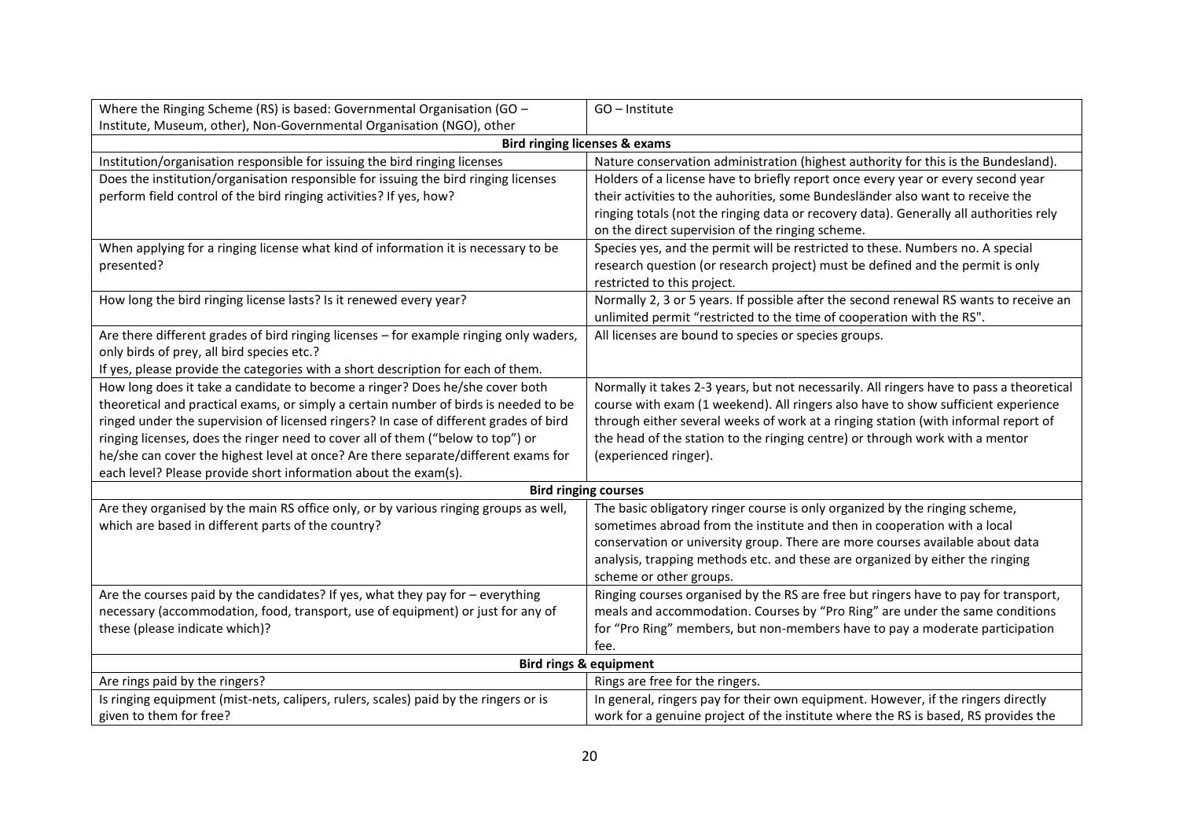| <b>Bird ringing licenses &amp; exams</b><br>Institution/organisation responsible for issuing the bird ringing licenses<br>Nature conservation administration (highest authority for this is the Bundesland).<br>Does the institution/organisation responsible for issuing the bird ringing licenses<br>Holders of a license have to briefly report once every year or every second year<br>their activities to the auhorities, some Bundesländer also want to receive the<br>perform field control of the bird ringing activities? If yes, how?<br>ringing totals (not the ringing data or recovery data). Generally all authorities rely<br>on the direct supervision of the ringing scheme.<br>When applying for a ringing license what kind of information it is necessary to be<br>Species yes, and the permit will be restricted to these. Numbers no. A special<br>research question (or research project) must be defined and the permit is only<br>presented?<br>restricted to this project.<br>How long the bird ringing license lasts? Is it renewed every year?<br>Normally 2, 3 or 5 years. If possible after the second renewal RS wants to receive an<br>unlimited permit "restricted to the time of cooperation with the RS".<br>Are there different grades of bird ringing licenses - for example ringing only waders,<br>All licenses are bound to species or species groups.<br>only birds of prey, all bird species etc.?<br>If yes, please provide the categories with a short description for each of them.<br>How long does it take a candidate to become a ringer? Does he/she cover both<br>Normally it takes 2-3 years, but not necessarily. All ringers have to pass a theoretical<br>theoretical and practical exams, or simply a certain number of birds is needed to be<br>course with exam (1 weekend). All ringers also have to show sufficient experience<br>ringed under the supervision of licensed ringers? In case of different grades of bird<br>through either several weeks of work at a ringing station (with informal report of<br>ringing licenses, does the ringer need to cover all of them ("below to top") or<br>the head of the station to the ringing centre) or through work with a mentor<br>he/she can cover the highest level at once? Are there separate/different exams for<br>(experienced ringer).<br>each level? Please provide short information about the exam(s).<br><b>Bird ringing courses</b><br>Are they organised by the main RS office only, or by various ringing groups as well,<br>The basic obligatory ringer course is only organized by the ringing scheme,<br>which are based in different parts of the country?<br>sometimes abroad from the institute and then in cooperation with a local<br>conservation or university group. There are more courses available about data<br>analysis, trapping methods etc. and these are organized by either the ringing<br>scheme or other groups.<br>Are the courses paid by the candidates? If yes, what they pay for - everything<br>Ringing courses organised by the RS are free but ringers have to pay for transport,<br>meals and accommodation. Courses by "Pro Ring" are under the same conditions<br>necessary (accommodation, food, transport, use of equipment) or just for any of<br>for "Pro Ring" members, but non-members have to pay a moderate participation<br>these (please indicate which)?<br>fee.<br>Bird rings & equipment<br>Are rings paid by the ringers?<br>Rings are free for the ringers. | Where the Ringing Scheme (RS) is based: Governmental Organisation (GO $-$ | GO - Institute |  |
|-----------------------------------------------------------------------------------------------------------------------------------------------------------------------------------------------------------------------------------------------------------------------------------------------------------------------------------------------------------------------------------------------------------------------------------------------------------------------------------------------------------------------------------------------------------------------------------------------------------------------------------------------------------------------------------------------------------------------------------------------------------------------------------------------------------------------------------------------------------------------------------------------------------------------------------------------------------------------------------------------------------------------------------------------------------------------------------------------------------------------------------------------------------------------------------------------------------------------------------------------------------------------------------------------------------------------------------------------------------------------------------------------------------------------------------------------------------------------------------------------------------------------------------------------------------------------------------------------------------------------------------------------------------------------------------------------------------------------------------------------------------------------------------------------------------------------------------------------------------------------------------------------------------------------------------------------------------------------------------------------------------------------------------------------------------------------------------------------------------------------------------------------------------------------------------------------------------------------------------------------------------------------------------------------------------------------------------------------------------------------------------------------------------------------------------------------------------------------------------------------------------------------------------------------------------------------------------------------------------------------------------------------------------------------------------------------------------------------------------------------------------------------------------------------------------------------------------------------------------------------------------------------------------------------------------------------------------------------------------------------------------------------------------------------------------------------------------------------------------------------------------------------------------------------------------------------------------------------------------------------------------------------------------------------------------------------------------------------------------------------------------------------------------------------------------------------------------------------------------------------------------------------------------------|---------------------------------------------------------------------------|----------------|--|
|                                                                                                                                                                                                                                                                                                                                                                                                                                                                                                                                                                                                                                                                                                                                                                                                                                                                                                                                                                                                                                                                                                                                                                                                                                                                                                                                                                                                                                                                                                                                                                                                                                                                                                                                                                                                                                                                                                                                                                                                                                                                                                                                                                                                                                                                                                                                                                                                                                                                                                                                                                                                                                                                                                                                                                                                                                                                                                                                                                                                                                                                                                                                                                                                                                                                                                                                                                                                                                                                                                                                         | Institute, Museum, other), Non-Governmental Organisation (NGO), other     |                |  |
|                                                                                                                                                                                                                                                                                                                                                                                                                                                                                                                                                                                                                                                                                                                                                                                                                                                                                                                                                                                                                                                                                                                                                                                                                                                                                                                                                                                                                                                                                                                                                                                                                                                                                                                                                                                                                                                                                                                                                                                                                                                                                                                                                                                                                                                                                                                                                                                                                                                                                                                                                                                                                                                                                                                                                                                                                                                                                                                                                                                                                                                                                                                                                                                                                                                                                                                                                                                                                                                                                                                                         |                                                                           |                |  |
|                                                                                                                                                                                                                                                                                                                                                                                                                                                                                                                                                                                                                                                                                                                                                                                                                                                                                                                                                                                                                                                                                                                                                                                                                                                                                                                                                                                                                                                                                                                                                                                                                                                                                                                                                                                                                                                                                                                                                                                                                                                                                                                                                                                                                                                                                                                                                                                                                                                                                                                                                                                                                                                                                                                                                                                                                                                                                                                                                                                                                                                                                                                                                                                                                                                                                                                                                                                                                                                                                                                                         |                                                                           |                |  |
|                                                                                                                                                                                                                                                                                                                                                                                                                                                                                                                                                                                                                                                                                                                                                                                                                                                                                                                                                                                                                                                                                                                                                                                                                                                                                                                                                                                                                                                                                                                                                                                                                                                                                                                                                                                                                                                                                                                                                                                                                                                                                                                                                                                                                                                                                                                                                                                                                                                                                                                                                                                                                                                                                                                                                                                                                                                                                                                                                                                                                                                                                                                                                                                                                                                                                                                                                                                                                                                                                                                                         |                                                                           |                |  |
|                                                                                                                                                                                                                                                                                                                                                                                                                                                                                                                                                                                                                                                                                                                                                                                                                                                                                                                                                                                                                                                                                                                                                                                                                                                                                                                                                                                                                                                                                                                                                                                                                                                                                                                                                                                                                                                                                                                                                                                                                                                                                                                                                                                                                                                                                                                                                                                                                                                                                                                                                                                                                                                                                                                                                                                                                                                                                                                                                                                                                                                                                                                                                                                                                                                                                                                                                                                                                                                                                                                                         |                                                                           |                |  |
|                                                                                                                                                                                                                                                                                                                                                                                                                                                                                                                                                                                                                                                                                                                                                                                                                                                                                                                                                                                                                                                                                                                                                                                                                                                                                                                                                                                                                                                                                                                                                                                                                                                                                                                                                                                                                                                                                                                                                                                                                                                                                                                                                                                                                                                                                                                                                                                                                                                                                                                                                                                                                                                                                                                                                                                                                                                                                                                                                                                                                                                                                                                                                                                                                                                                                                                                                                                                                                                                                                                                         |                                                                           |                |  |
|                                                                                                                                                                                                                                                                                                                                                                                                                                                                                                                                                                                                                                                                                                                                                                                                                                                                                                                                                                                                                                                                                                                                                                                                                                                                                                                                                                                                                                                                                                                                                                                                                                                                                                                                                                                                                                                                                                                                                                                                                                                                                                                                                                                                                                                                                                                                                                                                                                                                                                                                                                                                                                                                                                                                                                                                                                                                                                                                                                                                                                                                                                                                                                                                                                                                                                                                                                                                                                                                                                                                         |                                                                           |                |  |
|                                                                                                                                                                                                                                                                                                                                                                                                                                                                                                                                                                                                                                                                                                                                                                                                                                                                                                                                                                                                                                                                                                                                                                                                                                                                                                                                                                                                                                                                                                                                                                                                                                                                                                                                                                                                                                                                                                                                                                                                                                                                                                                                                                                                                                                                                                                                                                                                                                                                                                                                                                                                                                                                                                                                                                                                                                                                                                                                                                                                                                                                                                                                                                                                                                                                                                                                                                                                                                                                                                                                         |                                                                           |                |  |
|                                                                                                                                                                                                                                                                                                                                                                                                                                                                                                                                                                                                                                                                                                                                                                                                                                                                                                                                                                                                                                                                                                                                                                                                                                                                                                                                                                                                                                                                                                                                                                                                                                                                                                                                                                                                                                                                                                                                                                                                                                                                                                                                                                                                                                                                                                                                                                                                                                                                                                                                                                                                                                                                                                                                                                                                                                                                                                                                                                                                                                                                                                                                                                                                                                                                                                                                                                                                                                                                                                                                         |                                                                           |                |  |
|                                                                                                                                                                                                                                                                                                                                                                                                                                                                                                                                                                                                                                                                                                                                                                                                                                                                                                                                                                                                                                                                                                                                                                                                                                                                                                                                                                                                                                                                                                                                                                                                                                                                                                                                                                                                                                                                                                                                                                                                                                                                                                                                                                                                                                                                                                                                                                                                                                                                                                                                                                                                                                                                                                                                                                                                                                                                                                                                                                                                                                                                                                                                                                                                                                                                                                                                                                                                                                                                                                                                         |                                                                           |                |  |
|                                                                                                                                                                                                                                                                                                                                                                                                                                                                                                                                                                                                                                                                                                                                                                                                                                                                                                                                                                                                                                                                                                                                                                                                                                                                                                                                                                                                                                                                                                                                                                                                                                                                                                                                                                                                                                                                                                                                                                                                                                                                                                                                                                                                                                                                                                                                                                                                                                                                                                                                                                                                                                                                                                                                                                                                                                                                                                                                                                                                                                                                                                                                                                                                                                                                                                                                                                                                                                                                                                                                         |                                                                           |                |  |
|                                                                                                                                                                                                                                                                                                                                                                                                                                                                                                                                                                                                                                                                                                                                                                                                                                                                                                                                                                                                                                                                                                                                                                                                                                                                                                                                                                                                                                                                                                                                                                                                                                                                                                                                                                                                                                                                                                                                                                                                                                                                                                                                                                                                                                                                                                                                                                                                                                                                                                                                                                                                                                                                                                                                                                                                                                                                                                                                                                                                                                                                                                                                                                                                                                                                                                                                                                                                                                                                                                                                         |                                                                           |                |  |
|                                                                                                                                                                                                                                                                                                                                                                                                                                                                                                                                                                                                                                                                                                                                                                                                                                                                                                                                                                                                                                                                                                                                                                                                                                                                                                                                                                                                                                                                                                                                                                                                                                                                                                                                                                                                                                                                                                                                                                                                                                                                                                                                                                                                                                                                                                                                                                                                                                                                                                                                                                                                                                                                                                                                                                                                                                                                                                                                                                                                                                                                                                                                                                                                                                                                                                                                                                                                                                                                                                                                         |                                                                           |                |  |
|                                                                                                                                                                                                                                                                                                                                                                                                                                                                                                                                                                                                                                                                                                                                                                                                                                                                                                                                                                                                                                                                                                                                                                                                                                                                                                                                                                                                                                                                                                                                                                                                                                                                                                                                                                                                                                                                                                                                                                                                                                                                                                                                                                                                                                                                                                                                                                                                                                                                                                                                                                                                                                                                                                                                                                                                                                                                                                                                                                                                                                                                                                                                                                                                                                                                                                                                                                                                                                                                                                                                         |                                                                           |                |  |
|                                                                                                                                                                                                                                                                                                                                                                                                                                                                                                                                                                                                                                                                                                                                                                                                                                                                                                                                                                                                                                                                                                                                                                                                                                                                                                                                                                                                                                                                                                                                                                                                                                                                                                                                                                                                                                                                                                                                                                                                                                                                                                                                                                                                                                                                                                                                                                                                                                                                                                                                                                                                                                                                                                                                                                                                                                                                                                                                                                                                                                                                                                                                                                                                                                                                                                                                                                                                                                                                                                                                         |                                                                           |                |  |
|                                                                                                                                                                                                                                                                                                                                                                                                                                                                                                                                                                                                                                                                                                                                                                                                                                                                                                                                                                                                                                                                                                                                                                                                                                                                                                                                                                                                                                                                                                                                                                                                                                                                                                                                                                                                                                                                                                                                                                                                                                                                                                                                                                                                                                                                                                                                                                                                                                                                                                                                                                                                                                                                                                                                                                                                                                                                                                                                                                                                                                                                                                                                                                                                                                                                                                                                                                                                                                                                                                                                         |                                                                           |                |  |
|                                                                                                                                                                                                                                                                                                                                                                                                                                                                                                                                                                                                                                                                                                                                                                                                                                                                                                                                                                                                                                                                                                                                                                                                                                                                                                                                                                                                                                                                                                                                                                                                                                                                                                                                                                                                                                                                                                                                                                                                                                                                                                                                                                                                                                                                                                                                                                                                                                                                                                                                                                                                                                                                                                                                                                                                                                                                                                                                                                                                                                                                                                                                                                                                                                                                                                                                                                                                                                                                                                                                         |                                                                           |                |  |
|                                                                                                                                                                                                                                                                                                                                                                                                                                                                                                                                                                                                                                                                                                                                                                                                                                                                                                                                                                                                                                                                                                                                                                                                                                                                                                                                                                                                                                                                                                                                                                                                                                                                                                                                                                                                                                                                                                                                                                                                                                                                                                                                                                                                                                                                                                                                                                                                                                                                                                                                                                                                                                                                                                                                                                                                                                                                                                                                                                                                                                                                                                                                                                                                                                                                                                                                                                                                                                                                                                                                         |                                                                           |                |  |
|                                                                                                                                                                                                                                                                                                                                                                                                                                                                                                                                                                                                                                                                                                                                                                                                                                                                                                                                                                                                                                                                                                                                                                                                                                                                                                                                                                                                                                                                                                                                                                                                                                                                                                                                                                                                                                                                                                                                                                                                                                                                                                                                                                                                                                                                                                                                                                                                                                                                                                                                                                                                                                                                                                                                                                                                                                                                                                                                                                                                                                                                                                                                                                                                                                                                                                                                                                                                                                                                                                                                         |                                                                           |                |  |
|                                                                                                                                                                                                                                                                                                                                                                                                                                                                                                                                                                                                                                                                                                                                                                                                                                                                                                                                                                                                                                                                                                                                                                                                                                                                                                                                                                                                                                                                                                                                                                                                                                                                                                                                                                                                                                                                                                                                                                                                                                                                                                                                                                                                                                                                                                                                                                                                                                                                                                                                                                                                                                                                                                                                                                                                                                                                                                                                                                                                                                                                                                                                                                                                                                                                                                                                                                                                                                                                                                                                         |                                                                           |                |  |
|                                                                                                                                                                                                                                                                                                                                                                                                                                                                                                                                                                                                                                                                                                                                                                                                                                                                                                                                                                                                                                                                                                                                                                                                                                                                                                                                                                                                                                                                                                                                                                                                                                                                                                                                                                                                                                                                                                                                                                                                                                                                                                                                                                                                                                                                                                                                                                                                                                                                                                                                                                                                                                                                                                                                                                                                                                                                                                                                                                                                                                                                                                                                                                                                                                                                                                                                                                                                                                                                                                                                         |                                                                           |                |  |
|                                                                                                                                                                                                                                                                                                                                                                                                                                                                                                                                                                                                                                                                                                                                                                                                                                                                                                                                                                                                                                                                                                                                                                                                                                                                                                                                                                                                                                                                                                                                                                                                                                                                                                                                                                                                                                                                                                                                                                                                                                                                                                                                                                                                                                                                                                                                                                                                                                                                                                                                                                                                                                                                                                                                                                                                                                                                                                                                                                                                                                                                                                                                                                                                                                                                                                                                                                                                                                                                                                                                         |                                                                           |                |  |
|                                                                                                                                                                                                                                                                                                                                                                                                                                                                                                                                                                                                                                                                                                                                                                                                                                                                                                                                                                                                                                                                                                                                                                                                                                                                                                                                                                                                                                                                                                                                                                                                                                                                                                                                                                                                                                                                                                                                                                                                                                                                                                                                                                                                                                                                                                                                                                                                                                                                                                                                                                                                                                                                                                                                                                                                                                                                                                                                                                                                                                                                                                                                                                                                                                                                                                                                                                                                                                                                                                                                         |                                                                           |                |  |
|                                                                                                                                                                                                                                                                                                                                                                                                                                                                                                                                                                                                                                                                                                                                                                                                                                                                                                                                                                                                                                                                                                                                                                                                                                                                                                                                                                                                                                                                                                                                                                                                                                                                                                                                                                                                                                                                                                                                                                                                                                                                                                                                                                                                                                                                                                                                                                                                                                                                                                                                                                                                                                                                                                                                                                                                                                                                                                                                                                                                                                                                                                                                                                                                                                                                                                                                                                                                                                                                                                                                         |                                                                           |                |  |
|                                                                                                                                                                                                                                                                                                                                                                                                                                                                                                                                                                                                                                                                                                                                                                                                                                                                                                                                                                                                                                                                                                                                                                                                                                                                                                                                                                                                                                                                                                                                                                                                                                                                                                                                                                                                                                                                                                                                                                                                                                                                                                                                                                                                                                                                                                                                                                                                                                                                                                                                                                                                                                                                                                                                                                                                                                                                                                                                                                                                                                                                                                                                                                                                                                                                                                                                                                                                                                                                                                                                         |                                                                           |                |  |
|                                                                                                                                                                                                                                                                                                                                                                                                                                                                                                                                                                                                                                                                                                                                                                                                                                                                                                                                                                                                                                                                                                                                                                                                                                                                                                                                                                                                                                                                                                                                                                                                                                                                                                                                                                                                                                                                                                                                                                                                                                                                                                                                                                                                                                                                                                                                                                                                                                                                                                                                                                                                                                                                                                                                                                                                                                                                                                                                                                                                                                                                                                                                                                                                                                                                                                                                                                                                                                                                                                                                         |                                                                           |                |  |
|                                                                                                                                                                                                                                                                                                                                                                                                                                                                                                                                                                                                                                                                                                                                                                                                                                                                                                                                                                                                                                                                                                                                                                                                                                                                                                                                                                                                                                                                                                                                                                                                                                                                                                                                                                                                                                                                                                                                                                                                                                                                                                                                                                                                                                                                                                                                                                                                                                                                                                                                                                                                                                                                                                                                                                                                                                                                                                                                                                                                                                                                                                                                                                                                                                                                                                                                                                                                                                                                                                                                         |                                                                           |                |  |
|                                                                                                                                                                                                                                                                                                                                                                                                                                                                                                                                                                                                                                                                                                                                                                                                                                                                                                                                                                                                                                                                                                                                                                                                                                                                                                                                                                                                                                                                                                                                                                                                                                                                                                                                                                                                                                                                                                                                                                                                                                                                                                                                                                                                                                                                                                                                                                                                                                                                                                                                                                                                                                                                                                                                                                                                                                                                                                                                                                                                                                                                                                                                                                                                                                                                                                                                                                                                                                                                                                                                         |                                                                           |                |  |
|                                                                                                                                                                                                                                                                                                                                                                                                                                                                                                                                                                                                                                                                                                                                                                                                                                                                                                                                                                                                                                                                                                                                                                                                                                                                                                                                                                                                                                                                                                                                                                                                                                                                                                                                                                                                                                                                                                                                                                                                                                                                                                                                                                                                                                                                                                                                                                                                                                                                                                                                                                                                                                                                                                                                                                                                                                                                                                                                                                                                                                                                                                                                                                                                                                                                                                                                                                                                                                                                                                                                         |                                                                           |                |  |
|                                                                                                                                                                                                                                                                                                                                                                                                                                                                                                                                                                                                                                                                                                                                                                                                                                                                                                                                                                                                                                                                                                                                                                                                                                                                                                                                                                                                                                                                                                                                                                                                                                                                                                                                                                                                                                                                                                                                                                                                                                                                                                                                                                                                                                                                                                                                                                                                                                                                                                                                                                                                                                                                                                                                                                                                                                                                                                                                                                                                                                                                                                                                                                                                                                                                                                                                                                                                                                                                                                                                         |                                                                           |                |  |
|                                                                                                                                                                                                                                                                                                                                                                                                                                                                                                                                                                                                                                                                                                                                                                                                                                                                                                                                                                                                                                                                                                                                                                                                                                                                                                                                                                                                                                                                                                                                                                                                                                                                                                                                                                                                                                                                                                                                                                                                                                                                                                                                                                                                                                                                                                                                                                                                                                                                                                                                                                                                                                                                                                                                                                                                                                                                                                                                                                                                                                                                                                                                                                                                                                                                                                                                                                                                                                                                                                                                         |                                                                           |                |  |
|                                                                                                                                                                                                                                                                                                                                                                                                                                                                                                                                                                                                                                                                                                                                                                                                                                                                                                                                                                                                                                                                                                                                                                                                                                                                                                                                                                                                                                                                                                                                                                                                                                                                                                                                                                                                                                                                                                                                                                                                                                                                                                                                                                                                                                                                                                                                                                                                                                                                                                                                                                                                                                                                                                                                                                                                                                                                                                                                                                                                                                                                                                                                                                                                                                                                                                                                                                                                                                                                                                                                         |                                                                           |                |  |
|                                                                                                                                                                                                                                                                                                                                                                                                                                                                                                                                                                                                                                                                                                                                                                                                                                                                                                                                                                                                                                                                                                                                                                                                                                                                                                                                                                                                                                                                                                                                                                                                                                                                                                                                                                                                                                                                                                                                                                                                                                                                                                                                                                                                                                                                                                                                                                                                                                                                                                                                                                                                                                                                                                                                                                                                                                                                                                                                                                                                                                                                                                                                                                                                                                                                                                                                                                                                                                                                                                                                         |                                                                           |                |  |
| In general, ringers pay for their own equipment. However, if the ringers directly<br>Is ringing equipment (mist-nets, calipers, rulers, scales) paid by the ringers or is                                                                                                                                                                                                                                                                                                                                                                                                                                                                                                                                                                                                                                                                                                                                                                                                                                                                                                                                                                                                                                                                                                                                                                                                                                                                                                                                                                                                                                                                                                                                                                                                                                                                                                                                                                                                                                                                                                                                                                                                                                                                                                                                                                                                                                                                                                                                                                                                                                                                                                                                                                                                                                                                                                                                                                                                                                                                                                                                                                                                                                                                                                                                                                                                                                                                                                                                                               |                                                                           |                |  |
| work for a genuine project of the institute where the RS is based, RS provides the<br>given to them for free?                                                                                                                                                                                                                                                                                                                                                                                                                                                                                                                                                                                                                                                                                                                                                                                                                                                                                                                                                                                                                                                                                                                                                                                                                                                                                                                                                                                                                                                                                                                                                                                                                                                                                                                                                                                                                                                                                                                                                                                                                                                                                                                                                                                                                                                                                                                                                                                                                                                                                                                                                                                                                                                                                                                                                                                                                                                                                                                                                                                                                                                                                                                                                                                                                                                                                                                                                                                                                           |                                                                           |                |  |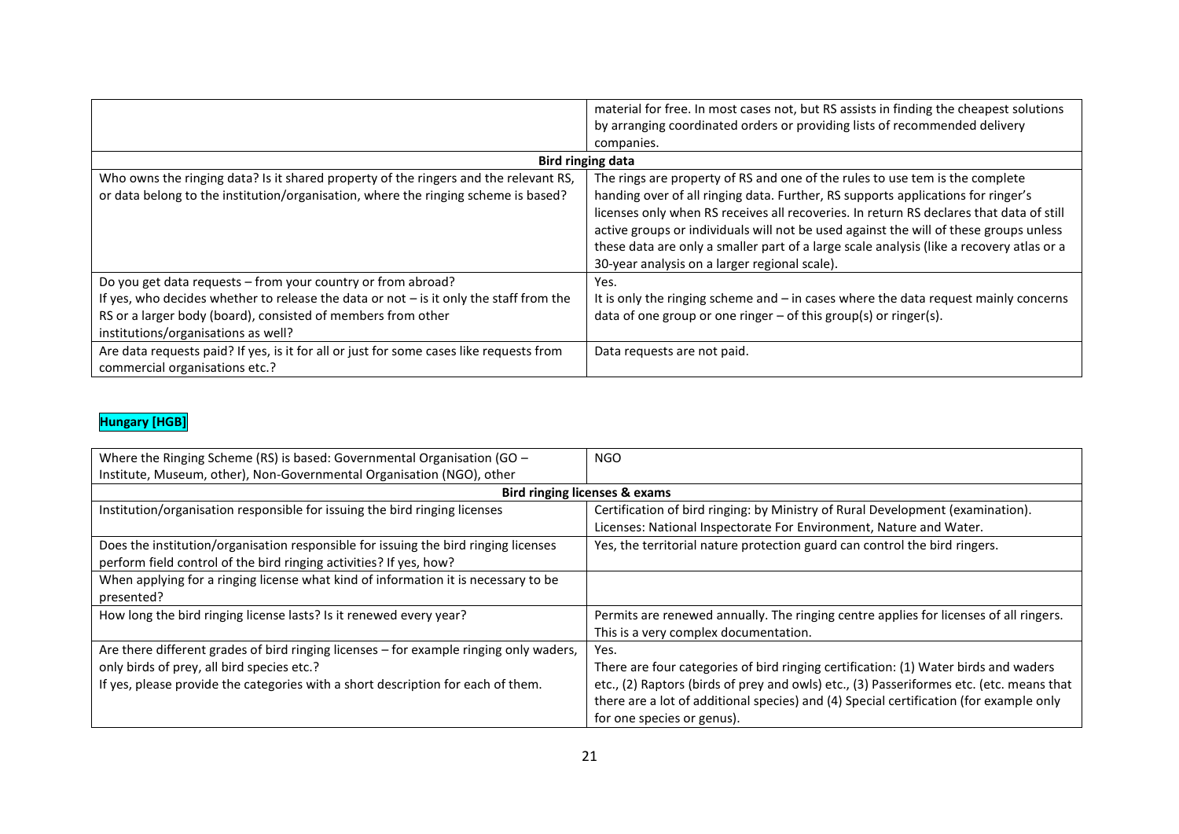|                                                                                          | material for free. In most cases not, but RS assists in finding the cheapest solutions   |
|------------------------------------------------------------------------------------------|------------------------------------------------------------------------------------------|
|                                                                                          | by arranging coordinated orders or providing lists of recommended delivery               |
|                                                                                          | companies.                                                                               |
|                                                                                          | Bird ringing data                                                                        |
| Who owns the ringing data? Is it shared property of the ringers and the relevant RS,     | The rings are property of RS and one of the rules to use tem is the complete             |
| or data belong to the institution/organisation, where the ringing scheme is based?       | handing over of all ringing data. Further, RS supports applications for ringer's         |
|                                                                                          | licenses only when RS receives all recoveries. In return RS declares that data of still  |
|                                                                                          | active groups or individuals will not be used against the will of these groups unless    |
|                                                                                          | these data are only a smaller part of a large scale analysis (like a recovery atlas or a |
|                                                                                          | 30-year analysis on a larger regional scale).                                            |
| Do you get data requests - from your country or from abroad?                             | Yes.                                                                                     |
| If yes, who decides whether to release the data or not $-$ is it only the staff from the | It is only the ringing scheme and - in cases where the data request mainly concerns      |
| RS or a larger body (board), consisted of members from other                             | data of one group or one ringer $-$ of this group(s) or ringer(s).                       |
| institutions/organisations as well?                                                      |                                                                                          |
| Are data requests paid? If yes, is it for all or just for some cases like requests from  | Data requests are not paid.                                                              |
| commercial organisations etc.?                                                           |                                                                                          |

## **Hungary [HGB]**

| Where the Ringing Scheme (RS) is based: Governmental Organisation (GO $-$              | <b>NGO</b>                                                                               |
|----------------------------------------------------------------------------------------|------------------------------------------------------------------------------------------|
| Institute, Museum, other), Non-Governmental Organisation (NGO), other                  |                                                                                          |
|                                                                                        | Bird ringing licenses & exams                                                            |
| Institution/organisation responsible for issuing the bird ringing licenses             | Certification of bird ringing: by Ministry of Rural Development (examination).           |
|                                                                                        | Licenses: National Inspectorate For Environment, Nature and Water.                       |
| Does the institution/organisation responsible for issuing the bird ringing licenses    | Yes, the territorial nature protection guard can control the bird ringers.               |
| perform field control of the bird ringing activities? If yes, how?                     |                                                                                          |
| When applying for a ringing license what kind of information it is necessary to be     |                                                                                          |
| presented?                                                                             |                                                                                          |
| How long the bird ringing license lasts? Is it renewed every year?                     | Permits are renewed annually. The ringing centre applies for licenses of all ringers.    |
|                                                                                        | This is a very complex documentation.                                                    |
| Are there different grades of bird ringing licenses – for example ringing only waders, | Yes.                                                                                     |
| only birds of prey, all bird species etc.?                                             | There are four categories of bird ringing certification: (1) Water birds and waders      |
| If yes, please provide the categories with a short description for each of them.       | etc., (2) Raptors (birds of prey and owls) etc., (3) Passeriformes etc. (etc. means that |
|                                                                                        | there are a lot of additional species) and (4) Special certification (for example only   |
|                                                                                        | for one species or genus).                                                               |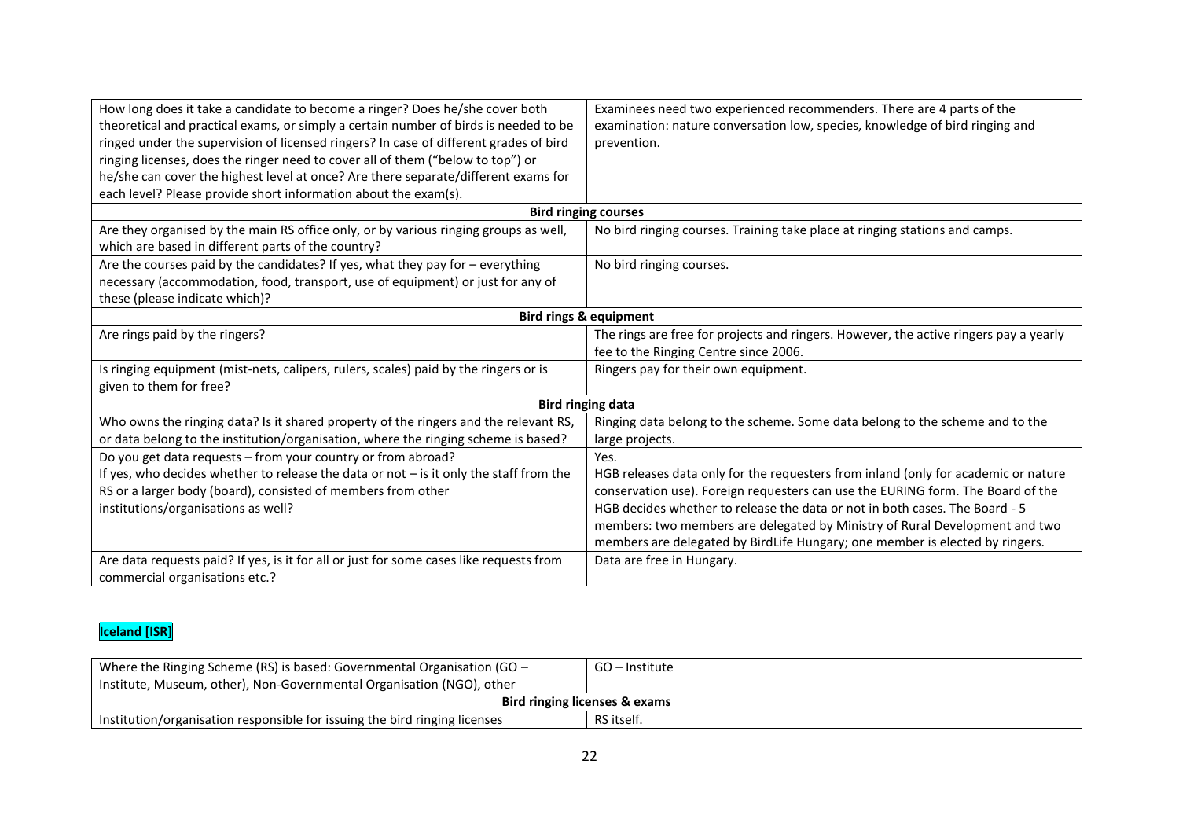| How long does it take a candidate to become a ringer? Does he/she cover both<br>theoretical and practical exams, or simply a certain number of birds is needed to be                                | Examinees need two experienced recommenders. There are 4 parts of the<br>examination: nature conversation low, species, knowledge of bird ringing and       |
|-----------------------------------------------------------------------------------------------------------------------------------------------------------------------------------------------------|-------------------------------------------------------------------------------------------------------------------------------------------------------------|
| ringed under the supervision of licensed ringers? In case of different grades of bird                                                                                                               | prevention.                                                                                                                                                 |
| ringing licenses, does the ringer need to cover all of them ("below to top") or                                                                                                                     |                                                                                                                                                             |
| he/she can cover the highest level at once? Are there separate/different exams for                                                                                                                  |                                                                                                                                                             |
| each level? Please provide short information about the exam(s).                                                                                                                                     |                                                                                                                                                             |
|                                                                                                                                                                                                     | <b>Bird ringing courses</b>                                                                                                                                 |
| Are they organised by the main RS office only, or by various ringing groups as well,<br>which are based in different parts of the country?                                                          | No bird ringing courses. Training take place at ringing stations and camps.                                                                                 |
| Are the courses paid by the candidates? If yes, what they pay for - everything<br>necessary (accommodation, food, transport, use of equipment) or just for any of<br>these (please indicate which)? | No bird ringing courses.                                                                                                                                    |
| <b>Bird rings &amp; equipment</b>                                                                                                                                                                   |                                                                                                                                                             |
| Are rings paid by the ringers?                                                                                                                                                                      | The rings are free for projects and ringers. However, the active ringers pay a yearly<br>fee to the Ringing Centre since 2006.                              |
| Is ringing equipment (mist-nets, calipers, rulers, scales) paid by the ringers or is<br>given to them for free?                                                                                     | Ringers pay for their own equipment.                                                                                                                        |
| <b>Bird ringing data</b>                                                                                                                                                                            |                                                                                                                                                             |
| Who owns the ringing data? Is it shared property of the ringers and the relevant RS,<br>or data belong to the institution/organisation, where the ringing scheme is based?                          | Ringing data belong to the scheme. Some data belong to the scheme and to the<br>large projects.                                                             |
| Do you get data requests - from your country or from abroad?                                                                                                                                        | Yes.                                                                                                                                                        |
| If yes, who decides whether to release the data or not $-$ is it only the staff from the                                                                                                            | HGB releases data only for the requesters from inland (only for academic or nature                                                                          |
| RS or a larger body (board), consisted of members from other                                                                                                                                        | conservation use). Foreign requesters can use the EURING form. The Board of the                                                                             |
| institutions/organisations as well?                                                                                                                                                                 | HGB decides whether to release the data or not in both cases. The Board - 5                                                                                 |
|                                                                                                                                                                                                     | members: two members are delegated by Ministry of Rural Development and two<br>members are delegated by BirdLife Hungary; one member is elected by ringers. |
| Are data requests paid? If yes, is it for all or just for some cases like requests from<br>commercial organisations etc.?                                                                           | Data are free in Hungary.                                                                                                                                   |

## **Iceland [ISR]**

| Where the Ringing Scheme (RS) is based: Governmental Organisation (GO $-$  | GO – Institute |  |
|----------------------------------------------------------------------------|----------------|--|
| Institute, Museum, other), Non-Governmental Organisation (NGO), other      |                |  |
| <b>Bird ringing licenses &amp; exams</b>                                   |                |  |
| Institution/organisation responsible for issuing the bird ringing licenses | RS itself.     |  |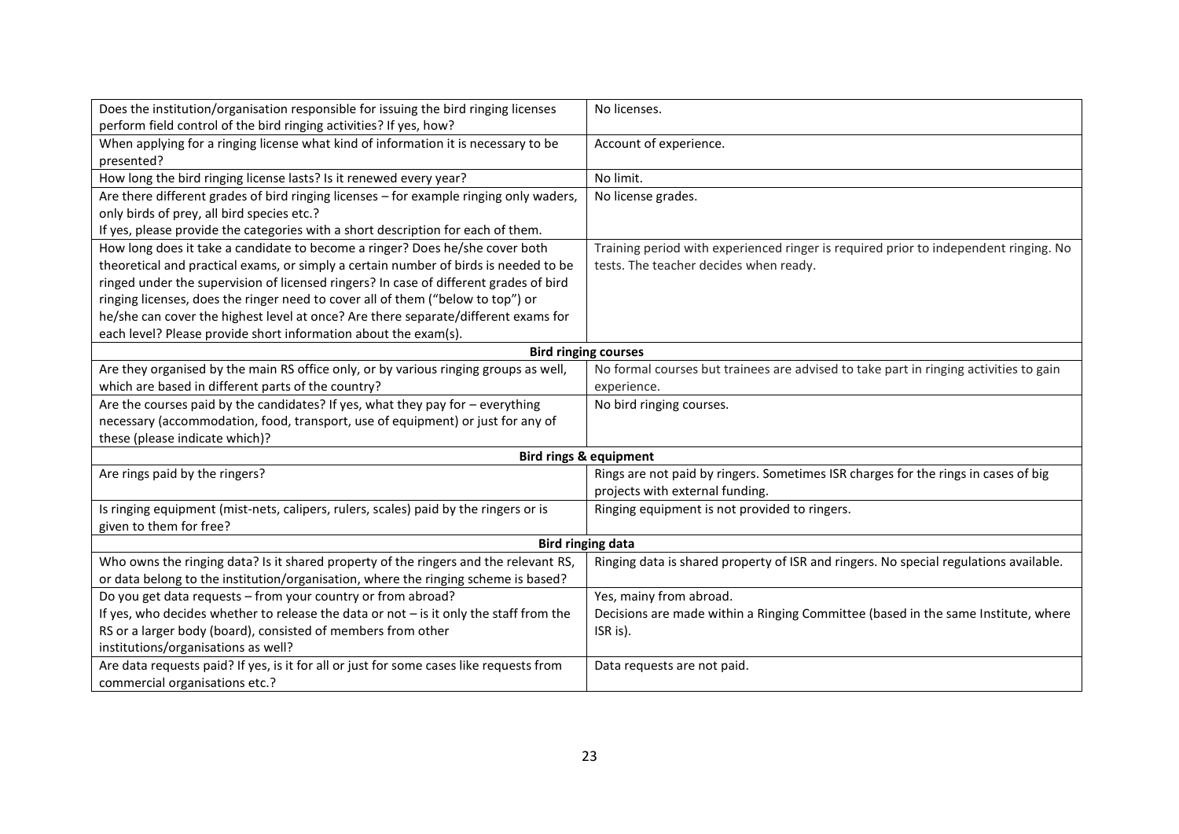| Does the institution/organisation responsible for issuing the bird ringing licenses<br>perform field control of the bird ringing activities? If yes, how? | No licenses.                                                                          |
|-----------------------------------------------------------------------------------------------------------------------------------------------------------|---------------------------------------------------------------------------------------|
| When applying for a ringing license what kind of information it is necessary to be                                                                        | Account of experience.                                                                |
| presented?                                                                                                                                                |                                                                                       |
| How long the bird ringing license lasts? Is it renewed every year?                                                                                        | No limit.                                                                             |
| Are there different grades of bird ringing licenses - for example ringing only waders,                                                                    | No license grades.                                                                    |
| only birds of prey, all bird species etc.?                                                                                                                |                                                                                       |
| If yes, please provide the categories with a short description for each of them.                                                                          |                                                                                       |
| How long does it take a candidate to become a ringer? Does he/she cover both                                                                              | Training period with experienced ringer is required prior to independent ringing. No  |
| theoretical and practical exams, or simply a certain number of birds is needed to be                                                                      | tests. The teacher decides when ready.                                                |
| ringed under the supervision of licensed ringers? In case of different grades of bird                                                                     |                                                                                       |
| ringing licenses, does the ringer need to cover all of them ("below to top") or                                                                           |                                                                                       |
| he/she can cover the highest level at once? Are there separate/different exams for                                                                        |                                                                                       |
| each level? Please provide short information about the exam(s).                                                                                           |                                                                                       |
| <b>Bird ringing courses</b>                                                                                                                               |                                                                                       |
| Are they organised by the main RS office only, or by various ringing groups as well,                                                                      | No formal courses but trainees are advised to take part in ringing activities to gain |
| which are based in different parts of the country?                                                                                                        | experience.                                                                           |
| Are the courses paid by the candidates? If yes, what they pay for $-$ everything                                                                          | No bird ringing courses.                                                              |
| necessary (accommodation, food, transport, use of equipment) or just for any of                                                                           |                                                                                       |
| these (please indicate which)?                                                                                                                            |                                                                                       |
|                                                                                                                                                           | <b>Bird rings &amp; equipment</b>                                                     |
| Are rings paid by the ringers?                                                                                                                            | Rings are not paid by ringers. Sometimes ISR charges for the rings in cases of big    |
|                                                                                                                                                           | projects with external funding.                                                       |
| Is ringing equipment (mist-nets, calipers, rulers, scales) paid by the ringers or is                                                                      | Ringing equipment is not provided to ringers.                                         |
| given to them for free?                                                                                                                                   |                                                                                       |
| <b>Bird ringing data</b>                                                                                                                                  |                                                                                       |
| Who owns the ringing data? Is it shared property of the ringers and the relevant RS,                                                                      | Ringing data is shared property of ISR and ringers. No special regulations available. |
| or data belong to the institution/organisation, where the ringing scheme is based?                                                                        |                                                                                       |
| Do you get data requests - from your country or from abroad?                                                                                              | Yes, mainy from abroad.                                                               |
| If yes, who decides whether to release the data or not $-$ is it only the staff from the                                                                  | Decisions are made within a Ringing Committee (based in the same Institute, where     |
| RS or a larger body (board), consisted of members from other                                                                                              | ISR is).                                                                              |
| institutions/organisations as well?                                                                                                                       |                                                                                       |
| Are data requests paid? If yes, is it for all or just for some cases like requests from                                                                   | Data requests are not paid.                                                           |
| commercial organisations etc.?                                                                                                                            |                                                                                       |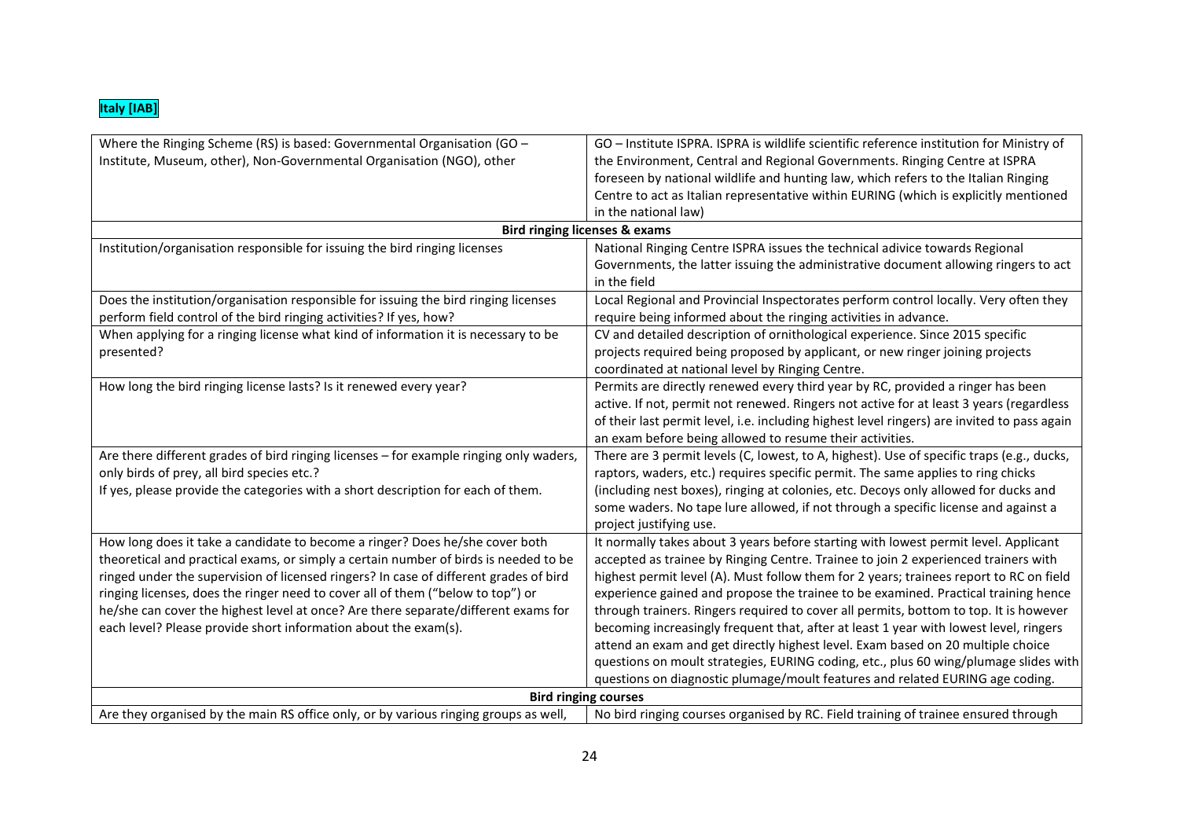| Where the Ringing Scheme (RS) is based: Governmental Organisation (GO -                | GO - Institute ISPRA. ISPRA is wildlife scientific reference institution for Ministry of    |
|----------------------------------------------------------------------------------------|---------------------------------------------------------------------------------------------|
| Institute, Museum, other), Non-Governmental Organisation (NGO), other                  | the Environment, Central and Regional Governments. Ringing Centre at ISPRA                  |
|                                                                                        | foreseen by national wildlife and hunting law, which refers to the Italian Ringing          |
|                                                                                        | Centre to act as Italian representative within EURING (which is explicitly mentioned        |
|                                                                                        | in the national law)                                                                        |
|                                                                                        | <b>Bird ringing licenses &amp; exams</b>                                                    |
| Institution/organisation responsible for issuing the bird ringing licenses             | National Ringing Centre ISPRA issues the technical adivice towards Regional                 |
|                                                                                        | Governments, the latter issuing the administrative document allowing ringers to act         |
|                                                                                        | in the field                                                                                |
| Does the institution/organisation responsible for issuing the bird ringing licenses    | Local Regional and Provincial Inspectorates perform control locally. Very often they        |
| perform field control of the bird ringing activities? If yes, how?                     | require being informed about the ringing activities in advance.                             |
| When applying for a ringing license what kind of information it is necessary to be     | CV and detailed description of ornithological experience. Since 2015 specific               |
| presented?                                                                             | projects required being proposed by applicant, or new ringer joining projects               |
|                                                                                        | coordinated at national level by Ringing Centre.                                            |
| How long the bird ringing license lasts? Is it renewed every year?                     | Permits are directly renewed every third year by RC, provided a ringer has been             |
|                                                                                        | active. If not, permit not renewed. Ringers not active for at least 3 years (regardless     |
|                                                                                        | of their last permit level, i.e. including highest level ringers) are invited to pass again |
|                                                                                        | an exam before being allowed to resume their activities.                                    |
| Are there different grades of bird ringing licenses - for example ringing only waders, | There are 3 permit levels (C, lowest, to A, highest). Use of specific traps (e.g., ducks,   |
| only birds of prey, all bird species etc.?                                             | raptors, waders, etc.) requires specific permit. The same applies to ring chicks            |
| If yes, please provide the categories with a short description for each of them.       | (including nest boxes), ringing at colonies, etc. Decoys only allowed for ducks and         |
|                                                                                        | some waders. No tape lure allowed, if not through a specific license and against a          |
|                                                                                        | project justifying use.                                                                     |
| How long does it take a candidate to become a ringer? Does he/she cover both           | It normally takes about 3 years before starting with lowest permit level. Applicant         |
| theoretical and practical exams, or simply a certain number of birds is needed to be   | accepted as trainee by Ringing Centre. Trainee to join 2 experienced trainers with          |
| ringed under the supervision of licensed ringers? In case of different grades of bird  | highest permit level (A). Must follow them for 2 years; trainees report to RC on field      |
| ringing licenses, does the ringer need to cover all of them ("below to top") or        | experience gained and propose the trainee to be examined. Practical training hence          |
| he/she can cover the highest level at once? Are there separate/different exams for     | through trainers. Ringers required to cover all permits, bottom to top. It is however       |
| each level? Please provide short information about the exam(s).                        | becoming increasingly frequent that, after at least 1 year with lowest level, ringers       |
|                                                                                        | attend an exam and get directly highest level. Exam based on 20 multiple choice             |
|                                                                                        | questions on moult strategies, EURING coding, etc., plus 60 wing/plumage slides with        |
|                                                                                        | questions on diagnostic plumage/moult features and related EURING age coding.               |
| <b>Bird ringing courses</b>                                                            |                                                                                             |
| Are they organised by the main RS office only, or by various ringing groups as well,   | No bird ringing courses organised by RC. Field training of trainee ensured through          |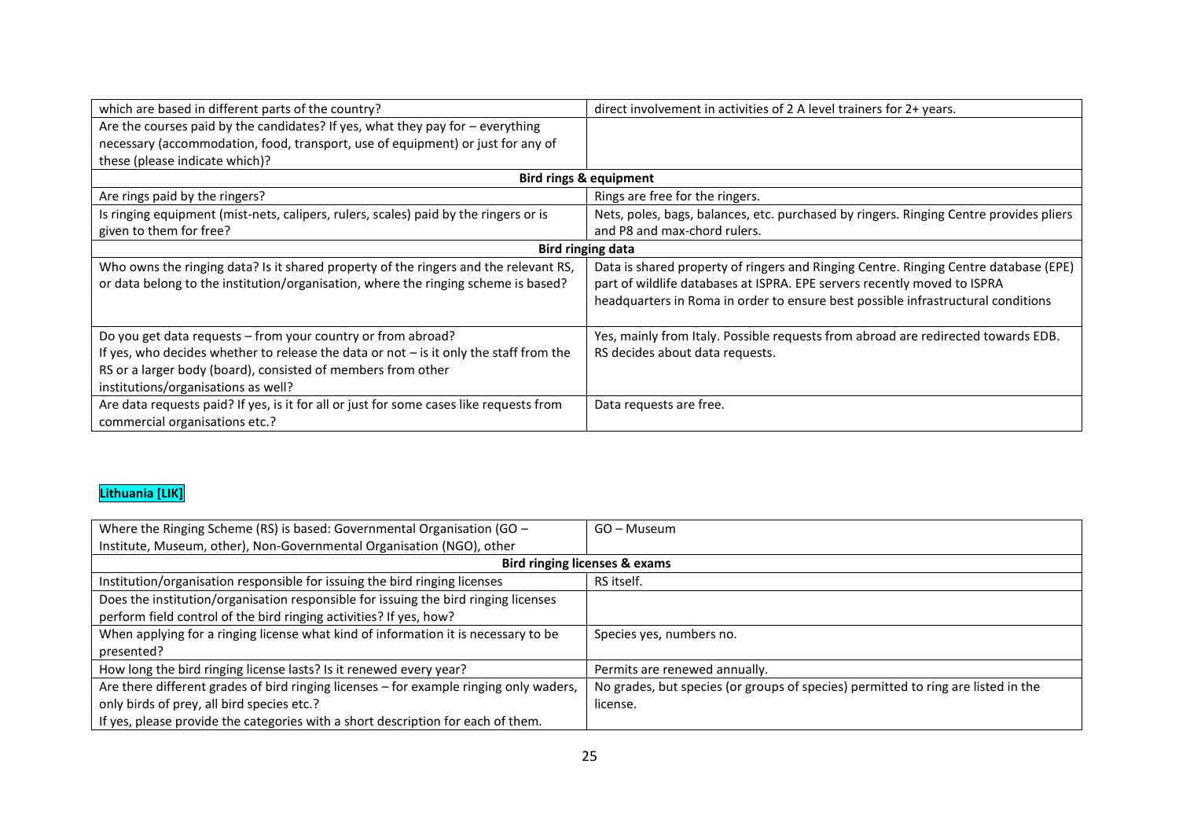| which are based in different parts of the country?                                                                                                                                                                                                              | direct involvement in activities of 2 A level trainers for 2+ years.                                                                                             |
|-----------------------------------------------------------------------------------------------------------------------------------------------------------------------------------------------------------------------------------------------------------------|------------------------------------------------------------------------------------------------------------------------------------------------------------------|
| Are the courses paid by the candidates? If yes, what they pay for $-$ everything                                                                                                                                                                                |                                                                                                                                                                  |
| necessary (accommodation, food, transport, use of equipment) or just for any of                                                                                                                                                                                 |                                                                                                                                                                  |
| these (please indicate which)?                                                                                                                                                                                                                                  |                                                                                                                                                                  |
|                                                                                                                                                                                                                                                                 | <b>Bird rings &amp; equipment</b>                                                                                                                                |
| Are rings paid by the ringers?                                                                                                                                                                                                                                  | Rings are free for the ringers.                                                                                                                                  |
| Is ringing equipment (mist-nets, calipers, rulers, scales) paid by the ringers or is                                                                                                                                                                            | Nets, poles, bags, balances, etc. purchased by ringers. Ringing Centre provides pliers                                                                           |
| given to them for free?                                                                                                                                                                                                                                         | and P8 and max-chord rulers.                                                                                                                                     |
| <b>Bird ringing data</b>                                                                                                                                                                                                                                        |                                                                                                                                                                  |
| Who owns the ringing data? Is it shared property of the ringers and the relevant RS,<br>or data belong to the institution/organisation, where the ringing scheme is based?                                                                                      | Data is shared property of ringers and Ringing Centre. Ringing Centre database (EPE)<br>part of wildlife databases at ISPRA. EPE servers recently moved to ISPRA |
|                                                                                                                                                                                                                                                                 | headquarters in Roma in order to ensure best possible infrastructural conditions                                                                                 |
| Do you get data requests - from your country or from abroad?<br>If yes, who decides whether to release the data or not $-$ is it only the staff from the<br>RS or a larger body (board), consisted of members from other<br>institutions/organisations as well? | Yes, mainly from Italy. Possible requests from abroad are redirected towards EDB.<br>RS decides about data requests.                                             |
| Are data requests paid? If yes, is it for all or just for some cases like requests from<br>commercial organisations etc.?                                                                                                                                       | Data requests are free.                                                                                                                                          |

### **Lithuania [LIK]**

| Where the Ringing Scheme (RS) is based: Governmental Organisation (GO $-$              | GO - Museum                                                                       |
|----------------------------------------------------------------------------------------|-----------------------------------------------------------------------------------|
| Institute, Museum, other), Non-Governmental Organisation (NGO), other                  |                                                                                   |
| <b>Bird ringing licenses &amp; exams</b>                                               |                                                                                   |
| Institution/organisation responsible for issuing the bird ringing licenses             | RS itself.                                                                        |
| Does the institution/organisation responsible for issuing the bird ringing licenses    |                                                                                   |
| perform field control of the bird ringing activities? If yes, how?                     |                                                                                   |
| When applying for a ringing license what kind of information it is necessary to be     | Species yes, numbers no.                                                          |
| presented?                                                                             |                                                                                   |
| How long the bird ringing license lasts? Is it renewed every year?                     | Permits are renewed annually.                                                     |
| Are there different grades of bird ringing licenses - for example ringing only waders, | No grades, but species (or groups of species) permitted to ring are listed in the |
| only birds of prey, all bird species etc.?                                             | license.                                                                          |
| If yes, please provide the categories with a short description for each of them.       |                                                                                   |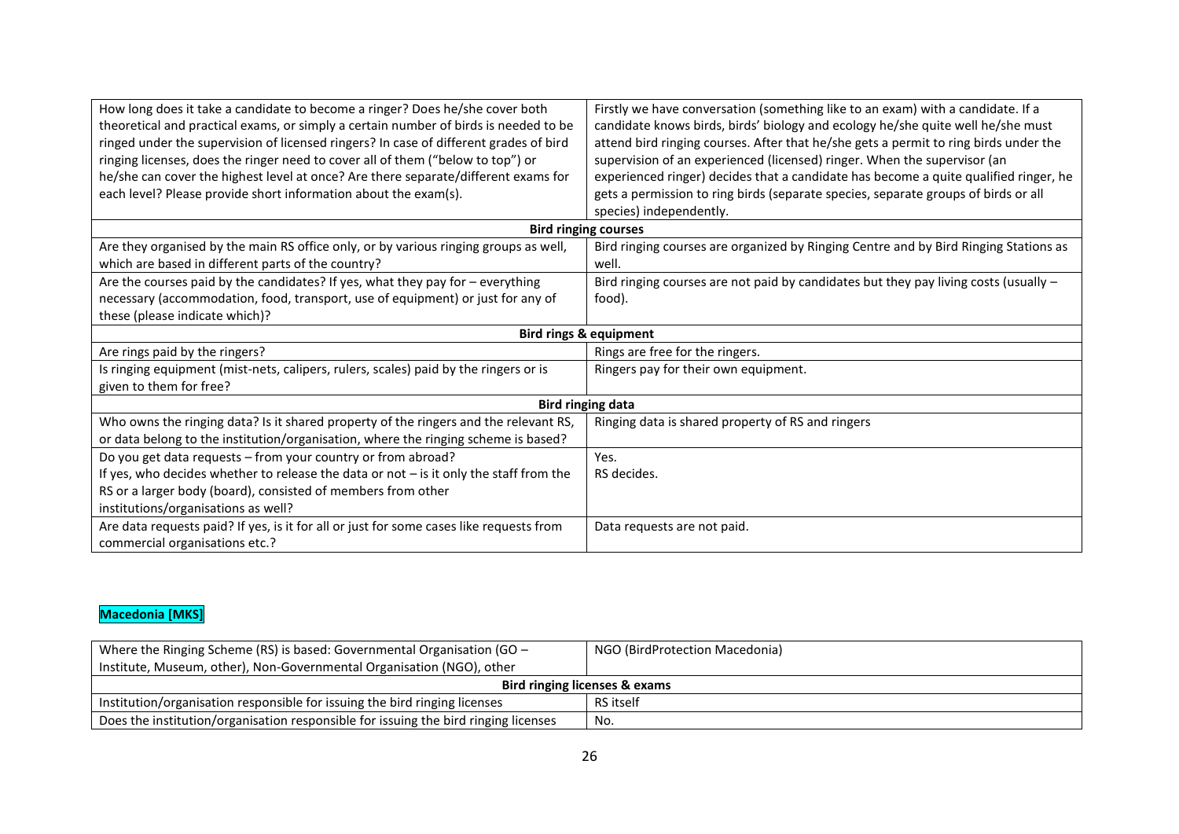| How long does it take a candidate to become a ringer? Does he/she cover both<br>theoretical and practical exams, or simply a certain number of birds is needed to be<br>ringed under the supervision of licensed ringers? In case of different grades of bird<br>ringing licenses, does the ringer need to cover all of them ("below to top") or<br>he/she can cover the highest level at once? Are there separate/different exams for | Firstly we have conversation (something like to an exam) with a candidate. If a<br>candidate knows birds, birds' biology and ecology he/she quite well he/she must<br>attend bird ringing courses. After that he/she gets a permit to ring birds under the<br>supervision of an experienced (licensed) ringer. When the supervisor (an<br>experienced ringer) decides that a candidate has become a quite qualified ringer, he |  |
|----------------------------------------------------------------------------------------------------------------------------------------------------------------------------------------------------------------------------------------------------------------------------------------------------------------------------------------------------------------------------------------------------------------------------------------|--------------------------------------------------------------------------------------------------------------------------------------------------------------------------------------------------------------------------------------------------------------------------------------------------------------------------------------------------------------------------------------------------------------------------------|--|
| each level? Please provide short information about the exam(s).                                                                                                                                                                                                                                                                                                                                                                        | gets a permission to ring birds (separate species, separate groups of birds or all<br>species) independently.                                                                                                                                                                                                                                                                                                                  |  |
| <b>Bird ringing courses</b>                                                                                                                                                                                                                                                                                                                                                                                                            |                                                                                                                                                                                                                                                                                                                                                                                                                                |  |
| Are they organised by the main RS office only, or by various ringing groups as well,<br>which are based in different parts of the country?                                                                                                                                                                                                                                                                                             | Bird ringing courses are organized by Ringing Centre and by Bird Ringing Stations as<br>well.                                                                                                                                                                                                                                                                                                                                  |  |
| Are the courses paid by the candidates? If yes, what they pay for - everything<br>necessary (accommodation, food, transport, use of equipment) or just for any of<br>these (please indicate which)?                                                                                                                                                                                                                                    | Bird ringing courses are not paid by candidates but they pay living costs (usually $-$<br>food).                                                                                                                                                                                                                                                                                                                               |  |
| <b>Bird rings &amp; equipment</b>                                                                                                                                                                                                                                                                                                                                                                                                      |                                                                                                                                                                                                                                                                                                                                                                                                                                |  |
| Are rings paid by the ringers?                                                                                                                                                                                                                                                                                                                                                                                                         | Rings are free for the ringers.                                                                                                                                                                                                                                                                                                                                                                                                |  |
| Is ringing equipment (mist-nets, calipers, rulers, scales) paid by the ringers or is<br>given to them for free?                                                                                                                                                                                                                                                                                                                        | Ringers pay for their own equipment.                                                                                                                                                                                                                                                                                                                                                                                           |  |
| <b>Bird ringing data</b>                                                                                                                                                                                                                                                                                                                                                                                                               |                                                                                                                                                                                                                                                                                                                                                                                                                                |  |
| Who owns the ringing data? Is it shared property of the ringers and the relevant RS,<br>or data belong to the institution/organisation, where the ringing scheme is based?                                                                                                                                                                                                                                                             | Ringing data is shared property of RS and ringers                                                                                                                                                                                                                                                                                                                                                                              |  |
| Do you get data requests - from your country or from abroad?                                                                                                                                                                                                                                                                                                                                                                           | Yes.                                                                                                                                                                                                                                                                                                                                                                                                                           |  |
| If yes, who decides whether to release the data or not $-$ is it only the staff from the                                                                                                                                                                                                                                                                                                                                               | RS decides.                                                                                                                                                                                                                                                                                                                                                                                                                    |  |
| RS or a larger body (board), consisted of members from other                                                                                                                                                                                                                                                                                                                                                                           |                                                                                                                                                                                                                                                                                                                                                                                                                                |  |
| institutions/organisations as well?                                                                                                                                                                                                                                                                                                                                                                                                    |                                                                                                                                                                                                                                                                                                                                                                                                                                |  |
| Are data requests paid? If yes, is it for all or just for some cases like requests from<br>commercial organisations etc.?                                                                                                                                                                                                                                                                                                              | Data requests are not paid.                                                                                                                                                                                                                                                                                                                                                                                                    |  |

#### **Macedonia [MKS]**

| Where the Ringing Scheme (RS) is based: Governmental Organisation (GO $-$           | NGO (BirdProtection Macedonia) |  |
|-------------------------------------------------------------------------------------|--------------------------------|--|
| Institute, Museum, other), Non-Governmental Organisation (NGO), other               |                                |  |
| Bird ringing licenses & exams                                                       |                                |  |
| Institution/organisation responsible for issuing the bird ringing licenses          | RS itself                      |  |
| Does the institution/organisation responsible for issuing the bird ringing licenses | No.                            |  |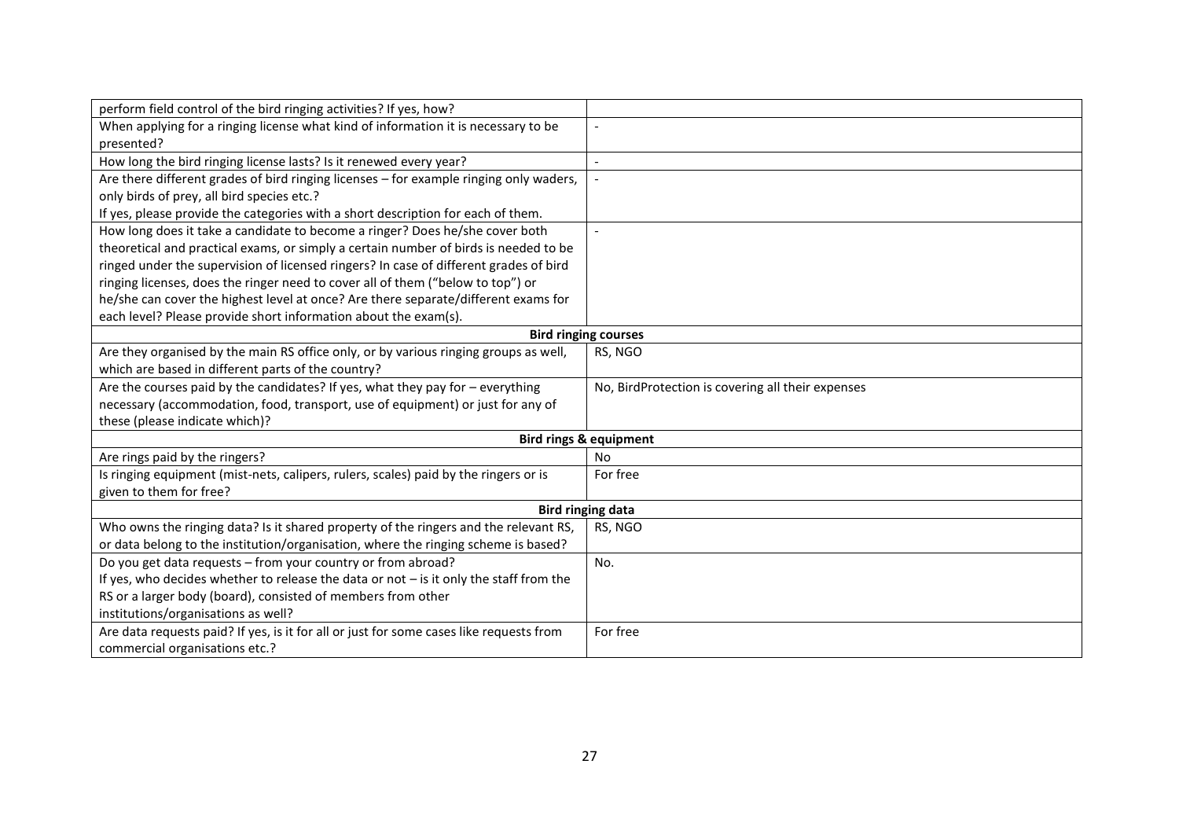| perform field control of the bird ringing activities? If yes, how?                       |                                                   |
|------------------------------------------------------------------------------------------|---------------------------------------------------|
| When applying for a ringing license what kind of information it is necessary to be       | $\overline{a}$                                    |
| presented?                                                                               |                                                   |
| How long the bird ringing license lasts? Is it renewed every year?                       | $\overline{\phantom{a}}$                          |
| Are there different grades of bird ringing licenses - for example ringing only waders,   |                                                   |
| only birds of prey, all bird species etc.?                                               |                                                   |
| If yes, please provide the categories with a short description for each of them.         |                                                   |
| How long does it take a candidate to become a ringer? Does he/she cover both             |                                                   |
| theoretical and practical exams, or simply a certain number of birds is needed to be     |                                                   |
| ringed under the supervision of licensed ringers? In case of different grades of bird    |                                                   |
| ringing licenses, does the ringer need to cover all of them ("below to top") or          |                                                   |
| he/she can cover the highest level at once? Are there separate/different exams for       |                                                   |
| each level? Please provide short information about the exam(s).                          |                                                   |
| <b>Bird ringing courses</b>                                                              |                                                   |
| Are they organised by the main RS office only, or by various ringing groups as well,     | RS, NGO                                           |
| which are based in different parts of the country?                                       |                                                   |
| Are the courses paid by the candidates? If yes, what they pay for $-$ everything         | No, BirdProtection is covering all their expenses |
| necessary (accommodation, food, transport, use of equipment) or just for any of          |                                                   |
| these (please indicate which)?                                                           |                                                   |
|                                                                                          | <b>Bird rings &amp; equipment</b>                 |
| Are rings paid by the ringers?                                                           | <b>No</b>                                         |
| Is ringing equipment (mist-nets, calipers, rulers, scales) paid by the ringers or is     | For free                                          |
| given to them for free?                                                                  |                                                   |
|                                                                                          | <b>Bird ringing data</b>                          |
| Who owns the ringing data? Is it shared property of the ringers and the relevant RS,     | RS, NGO                                           |
| or data belong to the institution/organisation, where the ringing scheme is based?       |                                                   |
| Do you get data requests - from your country or from abroad?                             | No.                                               |
| If yes, who decides whether to release the data or not $-$ is it only the staff from the |                                                   |
| RS or a larger body (board), consisted of members from other                             |                                                   |
| institutions/organisations as well?                                                      |                                                   |
| Are data requests paid? If yes, is it for all or just for some cases like requests from  | For free                                          |
| commercial organisations etc.?                                                           |                                                   |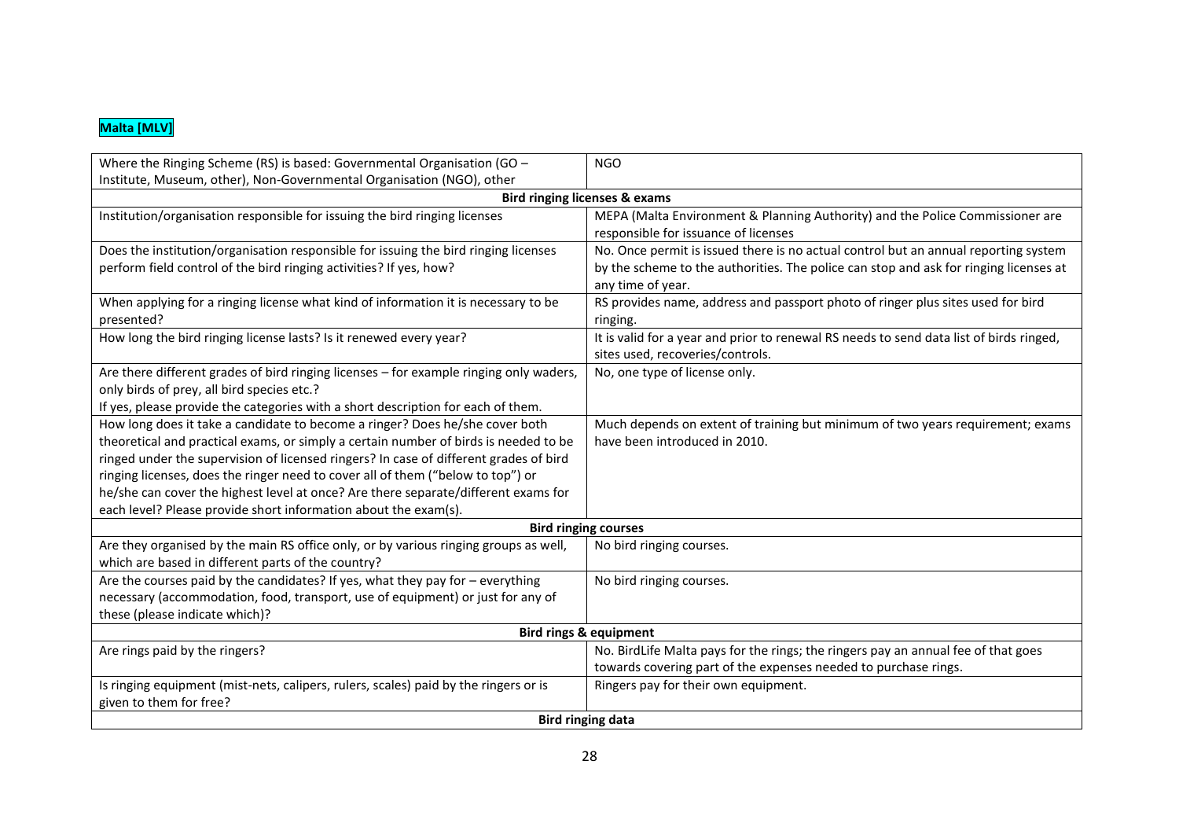## **Malta [MLV]**

| Where the Ringing Scheme (RS) is based: Governmental Organisation (GO -                                                                    | <b>NGO</b>                                                                              |  |
|--------------------------------------------------------------------------------------------------------------------------------------------|-----------------------------------------------------------------------------------------|--|
| Institute, Museum, other), Non-Governmental Organisation (NGO), other                                                                      |                                                                                         |  |
|                                                                                                                                            | <b>Bird ringing licenses &amp; exams</b>                                                |  |
| Institution/organisation responsible for issuing the bird ringing licenses                                                                 | MEPA (Malta Environment & Planning Authority) and the Police Commissioner are           |  |
|                                                                                                                                            | responsible for issuance of licenses                                                    |  |
| Does the institution/organisation responsible for issuing the bird ringing licenses                                                        | No. Once permit is issued there is no actual control but an annual reporting system     |  |
| perform field control of the bird ringing activities? If yes, how?                                                                         | by the scheme to the authorities. The police can stop and ask for ringing licenses at   |  |
|                                                                                                                                            | any time of year.                                                                       |  |
| When applying for a ringing license what kind of information it is necessary to be                                                         | RS provides name, address and passport photo of ringer plus sites used for bird         |  |
| presented?                                                                                                                                 | ringing.                                                                                |  |
| How long the bird ringing license lasts? Is it renewed every year?                                                                         | It is valid for a year and prior to renewal RS needs to send data list of birds ringed, |  |
|                                                                                                                                            | sites used, recoveries/controls.                                                        |  |
| Are there different grades of bird ringing licenses - for example ringing only waders,                                                     | No, one type of license only.                                                           |  |
| only birds of prey, all bird species etc.?                                                                                                 |                                                                                         |  |
| If yes, please provide the categories with a short description for each of them.                                                           |                                                                                         |  |
| How long does it take a candidate to become a ringer? Does he/she cover both                                                               | Much depends on extent of training but minimum of two years requirement; exams          |  |
| theoretical and practical exams, or simply a certain number of birds is needed to be                                                       | have been introduced in 2010.                                                           |  |
| ringed under the supervision of licensed ringers? In case of different grades of bird                                                      |                                                                                         |  |
| ringing licenses, does the ringer need to cover all of them ("below to top") or                                                            |                                                                                         |  |
| he/she can cover the highest level at once? Are there separate/different exams for                                                         |                                                                                         |  |
| each level? Please provide short information about the exam(s).                                                                            |                                                                                         |  |
| <b>Bird ringing courses</b>                                                                                                                |                                                                                         |  |
| Are they organised by the main RS office only, or by various ringing groups as well,<br>which are based in different parts of the country? | No bird ringing courses.                                                                |  |
| Are the courses paid by the candidates? If yes, what they pay for - everything                                                             | No bird ringing courses.                                                                |  |
| necessary (accommodation, food, transport, use of equipment) or just for any of                                                            |                                                                                         |  |
| these (please indicate which)?                                                                                                             |                                                                                         |  |
| <b>Bird rings &amp; equipment</b>                                                                                                          |                                                                                         |  |
| Are rings paid by the ringers?                                                                                                             | No. BirdLife Malta pays for the rings; the ringers pay an annual fee of that goes       |  |
|                                                                                                                                            | towards covering part of the expenses needed to purchase rings.                         |  |
| Is ringing equipment (mist-nets, calipers, rulers, scales) paid by the ringers or is                                                       | Ringers pay for their own equipment.                                                    |  |
| given to them for free?                                                                                                                    |                                                                                         |  |
| <b>Bird ringing data</b>                                                                                                                   |                                                                                         |  |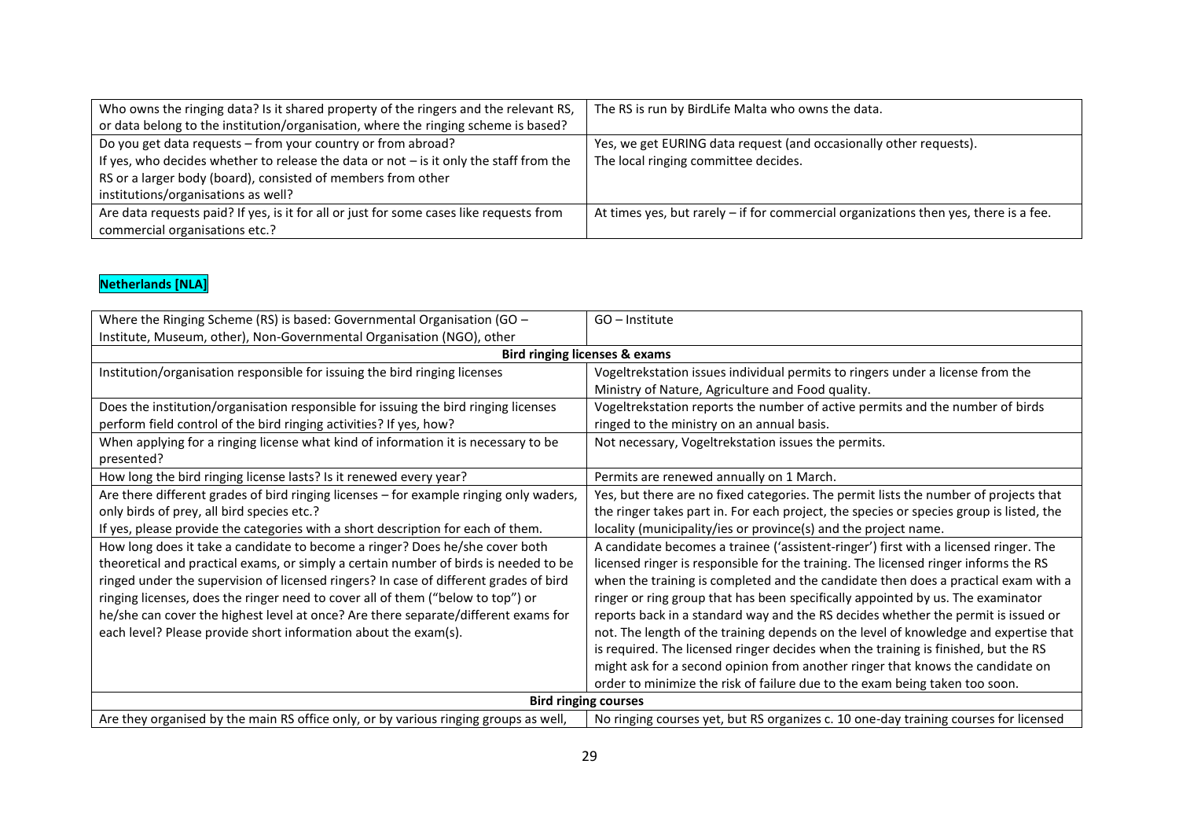| Who owns the ringing data? Is it shared property of the ringers and the relevant RS,<br>or data belong to the institution/organisation, where the ringing scheme is based? | The RS is run by BirdLife Malta who owns the data.                                     |
|----------------------------------------------------------------------------------------------------------------------------------------------------------------------------|----------------------------------------------------------------------------------------|
| Do you get data requests - from your country or from abroad?                                                                                                               | Yes, we get EURING data request (and occasionally other requests).                     |
| If yes, who decides whether to release the data or not – is it only the staff from the                                                                                     | The local ringing committee decides.                                                   |
| RS or a larger body (board), consisted of members from other                                                                                                               |                                                                                        |
| institutions/organisations as well?                                                                                                                                        |                                                                                        |
| Are data requests paid? If yes, is it for all or just for some cases like requests from                                                                                    | At times yes, but rarely $-$ if for commercial organizations then yes, there is a fee. |
| commercial organisations etc.?                                                                                                                                             |                                                                                        |

#### **Netherlands [NLA]**

| Where the Ringing Scheme (RS) is based: Governmental Organisation (GO -                | $GO$ – Institute                                                                        |
|----------------------------------------------------------------------------------------|-----------------------------------------------------------------------------------------|
|                                                                                        |                                                                                         |
| Institute, Museum, other), Non-Governmental Organisation (NGO), other                  |                                                                                         |
|                                                                                        | <b>Bird ringing licenses &amp; exams</b>                                                |
| Institution/organisation responsible for issuing the bird ringing licenses             | Vogeltrekstation issues individual permits to ringers under a license from the          |
|                                                                                        | Ministry of Nature, Agriculture and Food quality.                                       |
| Does the institution/organisation responsible for issuing the bird ringing licenses    | Vogeltrekstation reports the number of active permits and the number of birds           |
| perform field control of the bird ringing activities? If yes, how?                     | ringed to the ministry on an annual basis.                                              |
| When applying for a ringing license what kind of information it is necessary to be     | Not necessary, Vogeltrekstation issues the permits.                                     |
| presented?                                                                             |                                                                                         |
| How long the bird ringing license lasts? Is it renewed every year?                     | Permits are renewed annually on 1 March.                                                |
| Are there different grades of bird ringing licenses - for example ringing only waders, | Yes, but there are no fixed categories. The permit lists the number of projects that    |
| only birds of prey, all bird species etc.?                                             | the ringer takes part in. For each project, the species or species group is listed, the |
| If yes, please provide the categories with a short description for each of them.       | locality (municipality/ies or province(s) and the project name.                         |
| How long does it take a candidate to become a ringer? Does he/she cover both           | A candidate becomes a trainee ('assistent-ringer') first with a licensed ringer. The    |
| theoretical and practical exams, or simply a certain number of birds is needed to be   | licensed ringer is responsible for the training. The licensed ringer informs the RS     |
| ringed under the supervision of licensed ringers? In case of different grades of bird  | when the training is completed and the candidate then does a practical exam with a      |
| ringing licenses, does the ringer need to cover all of them ("below to top") or        | ringer or ring group that has been specifically appointed by us. The examinator         |
| he/she can cover the highest level at once? Are there separate/different exams for     | reports back in a standard way and the RS decides whether the permit is issued or       |
| each level? Please provide short information about the exam(s).                        | not. The length of the training depends on the level of knowledge and expertise that    |
|                                                                                        | is required. The licensed ringer decides when the training is finished, but the RS      |
|                                                                                        | might ask for a second opinion from another ringer that knows the candidate on          |
|                                                                                        | order to minimize the risk of failure due to the exam being taken too soon.             |
| <b>Bird ringing courses</b>                                                            |                                                                                         |
| Are they organised by the main RS office only, or by various ringing groups as well,   | No ringing courses yet, but RS organizes c. 10 one-day training courses for licensed    |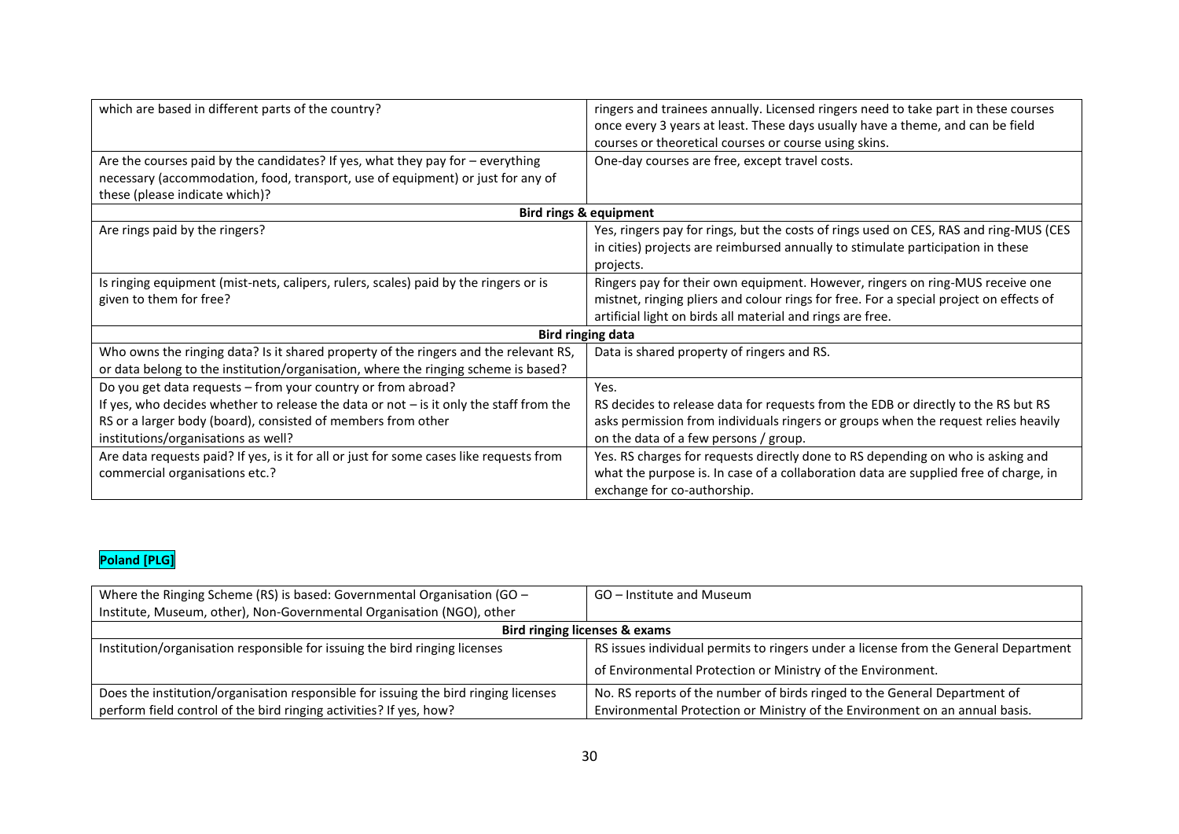| which are based in different parts of the country?                                       | ringers and trainees annually. Licensed ringers need to take part in these courses     |
|------------------------------------------------------------------------------------------|----------------------------------------------------------------------------------------|
|                                                                                          | once every 3 years at least. These days usually have a theme, and can be field         |
|                                                                                          | courses or theoretical courses or course using skins.                                  |
| Are the courses paid by the candidates? If yes, what they pay for $-$ everything         | One-day courses are free, except travel costs.                                         |
| necessary (accommodation, food, transport, use of equipment) or just for any of          |                                                                                        |
| these (please indicate which)?                                                           |                                                                                        |
|                                                                                          | <b>Bird rings &amp; equipment</b>                                                      |
| Are rings paid by the ringers?                                                           | Yes, ringers pay for rings, but the costs of rings used on CES, RAS and ring-MUS (CES  |
|                                                                                          | in cities) projects are reimbursed annually to stimulate participation in these        |
|                                                                                          | projects.                                                                              |
| Is ringing equipment (mist-nets, calipers, rulers, scales) paid by the ringers or is     | Ringers pay for their own equipment. However, ringers on ring-MUS receive one          |
| given to them for free?                                                                  | mistnet, ringing pliers and colour rings for free. For a special project on effects of |
|                                                                                          | artificial light on birds all material and rings are free.                             |
|                                                                                          | <b>Bird ringing data</b>                                                               |
| Who owns the ringing data? Is it shared property of the ringers and the relevant RS,     | Data is shared property of ringers and RS.                                             |
| or data belong to the institution/organisation, where the ringing scheme is based?       |                                                                                        |
| Do you get data requests - from your country or from abroad?                             | Yes.                                                                                   |
| If yes, who decides whether to release the data or not $-$ is it only the staff from the | RS decides to release data for requests from the EDB or directly to the RS but RS      |
| RS or a larger body (board), consisted of members from other                             | asks permission from individuals ringers or groups when the request relies heavily     |
| institutions/organisations as well?                                                      | on the data of a few persons / group.                                                  |
| Are data requests paid? If yes, is it for all or just for some cases like requests from  | Yes. RS charges for requests directly done to RS depending on who is asking and        |
| commercial organisations etc.?                                                           | what the purpose is. In case of a collaboration data are supplied free of charge, in   |
|                                                                                          | exchange for co-authorship.                                                            |

## **Poland [PLG]**

| Where the Ringing Scheme (RS) is based: Governmental Organisation (GO $-$           | GO – Institute and Museum                                                           |
|-------------------------------------------------------------------------------------|-------------------------------------------------------------------------------------|
| Institute, Museum, other), Non-Governmental Organisation (NGO), other               |                                                                                     |
| Bird ringing licenses & exams                                                       |                                                                                     |
| Institution/organisation responsible for issuing the bird ringing licenses          | RS issues individual permits to ringers under a license from the General Department |
|                                                                                     | of Environmental Protection or Ministry of the Environment.                         |
| Does the institution/organisation responsible for issuing the bird ringing licenses | No. RS reports of the number of birds ringed to the General Department of           |
| perform field control of the bird ringing activities? If yes, how?                  | Environmental Protection or Ministry of the Environment on an annual basis.         |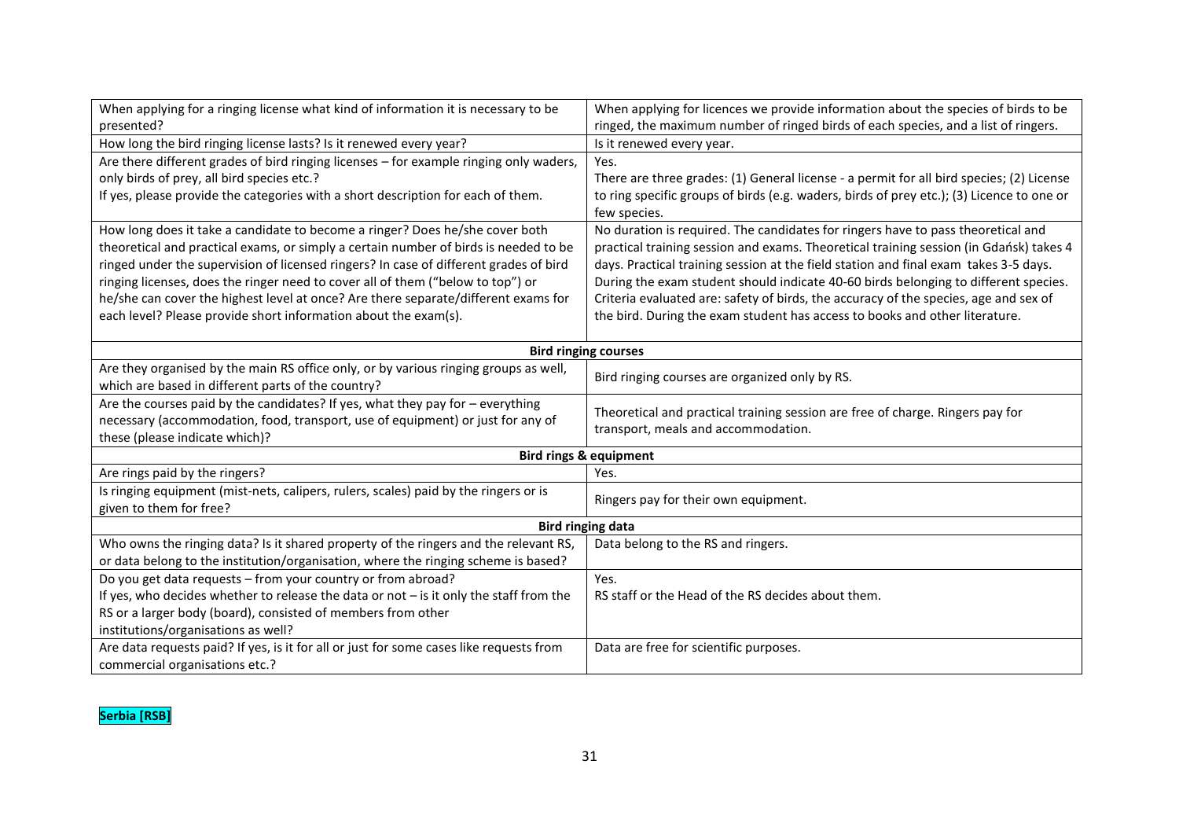| When applying for a ringing license what kind of information it is necessary to be       | When applying for licences we provide information about the species of birds to be        |  |
|------------------------------------------------------------------------------------------|-------------------------------------------------------------------------------------------|--|
| presented?                                                                               | ringed, the maximum number of ringed birds of each species, and a list of ringers.        |  |
| How long the bird ringing license lasts? Is it renewed every year?                       | Is it renewed every year.                                                                 |  |
| Are there different grades of bird ringing licenses - for example ringing only waders,   | Yes.                                                                                      |  |
| only birds of prey, all bird species etc.?                                               | There are three grades: (1) General license - a permit for all bird species; (2) License  |  |
| If yes, please provide the categories with a short description for each of them.         | to ring specific groups of birds (e.g. waders, birds of prey etc.); (3) Licence to one or |  |
|                                                                                          | few species.                                                                              |  |
| How long does it take a candidate to become a ringer? Does he/she cover both             | No duration is required. The candidates for ringers have to pass theoretical and          |  |
| theoretical and practical exams, or simply a certain number of birds is needed to be     | practical training session and exams. Theoretical training session (in Gdańsk) takes 4    |  |
| ringed under the supervision of licensed ringers? In case of different grades of bird    | days. Practical training session at the field station and final exam takes 3-5 days.      |  |
| ringing licenses, does the ringer need to cover all of them ("below to top") or          | During the exam student should indicate 40-60 birds belonging to different species.       |  |
| he/she can cover the highest level at once? Are there separate/different exams for       | Criteria evaluated are: safety of birds, the accuracy of the species, age and sex of      |  |
| each level? Please provide short information about the exam(s).                          | the bird. During the exam student has access to books and other literature.               |  |
|                                                                                          |                                                                                           |  |
| <b>Bird ringing courses</b>                                                              |                                                                                           |  |
| Are they organised by the main RS office only, or by various ringing groups as well,     | Bird ringing courses are organized only by RS.                                            |  |
| which are based in different parts of the country?                                       |                                                                                           |  |
| Are the courses paid by the candidates? If yes, what they pay for - everything           | Theoretical and practical training session are free of charge. Ringers pay for            |  |
| necessary (accommodation, food, transport, use of equipment) or just for any of          | transport, meals and accommodation.                                                       |  |
| these (please indicate which)?                                                           |                                                                                           |  |
| <b>Bird rings &amp; equipment</b>                                                        |                                                                                           |  |
| Are rings paid by the ringers?                                                           | Yes.                                                                                      |  |
| Is ringing equipment (mist-nets, calipers, rulers, scales) paid by the ringers or is     | Ringers pay for their own equipment.                                                      |  |
| given to them for free?                                                                  |                                                                                           |  |
| <b>Bird ringing data</b>                                                                 |                                                                                           |  |
| Who owns the ringing data? Is it shared property of the ringers and the relevant RS,     | Data belong to the RS and ringers.                                                        |  |
| or data belong to the institution/organisation, where the ringing scheme is based?       |                                                                                           |  |
| Do you get data requests - from your country or from abroad?                             | Yes.                                                                                      |  |
| If yes, who decides whether to release the data or not $-$ is it only the staff from the | RS staff or the Head of the RS decides about them.                                        |  |
| RS or a larger body (board), consisted of members from other                             |                                                                                           |  |
| institutions/organisations as well?                                                      |                                                                                           |  |
| Are data requests paid? If yes, is it for all or just for some cases like requests from  | Data are free for scientific purposes.                                                    |  |
| commercial organisations etc.?                                                           |                                                                                           |  |

## **Serbia [RSB]**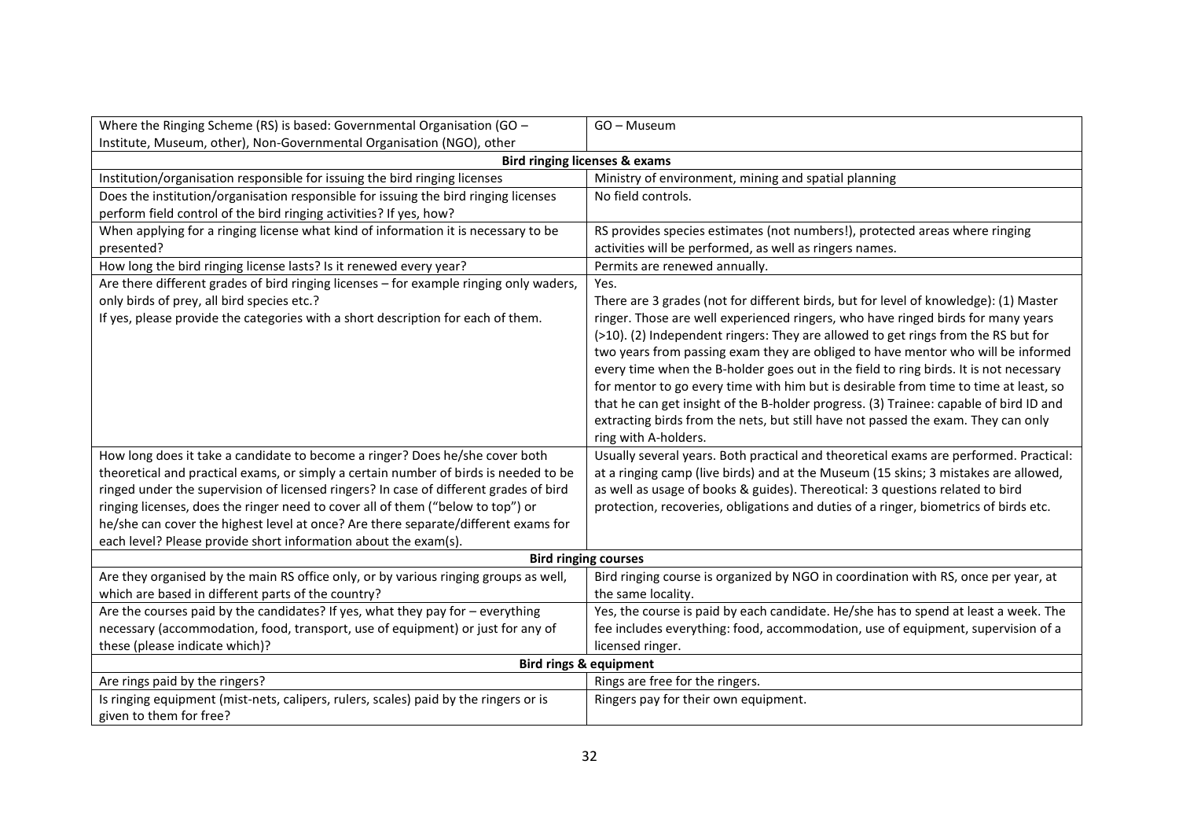| Where the Ringing Scheme (RS) is based: Governmental Organisation (GO -                                                                                                                                                                                                                                                           | GO - Museum                                                                                                                                                                                                                                                                                                                                                                                                                                                                                                                                                                                                                                                                                                                                                                                                                               |
|-----------------------------------------------------------------------------------------------------------------------------------------------------------------------------------------------------------------------------------------------------------------------------------------------------------------------------------|-------------------------------------------------------------------------------------------------------------------------------------------------------------------------------------------------------------------------------------------------------------------------------------------------------------------------------------------------------------------------------------------------------------------------------------------------------------------------------------------------------------------------------------------------------------------------------------------------------------------------------------------------------------------------------------------------------------------------------------------------------------------------------------------------------------------------------------------|
| Institute, Museum, other), Non-Governmental Organisation (NGO), other                                                                                                                                                                                                                                                             |                                                                                                                                                                                                                                                                                                                                                                                                                                                                                                                                                                                                                                                                                                                                                                                                                                           |
|                                                                                                                                                                                                                                                                                                                                   | <b>Bird ringing licenses &amp; exams</b>                                                                                                                                                                                                                                                                                                                                                                                                                                                                                                                                                                                                                                                                                                                                                                                                  |
| Institution/organisation responsible for issuing the bird ringing licenses                                                                                                                                                                                                                                                        | Ministry of environment, mining and spatial planning                                                                                                                                                                                                                                                                                                                                                                                                                                                                                                                                                                                                                                                                                                                                                                                      |
| Does the institution/organisation responsible for issuing the bird ringing licenses<br>perform field control of the bird ringing activities? If yes, how?                                                                                                                                                                         | No field controls.                                                                                                                                                                                                                                                                                                                                                                                                                                                                                                                                                                                                                                                                                                                                                                                                                        |
| When applying for a ringing license what kind of information it is necessary to be<br>presented?                                                                                                                                                                                                                                  | RS provides species estimates (not numbers!), protected areas where ringing<br>activities will be performed, as well as ringers names.                                                                                                                                                                                                                                                                                                                                                                                                                                                                                                                                                                                                                                                                                                    |
| How long the bird ringing license lasts? Is it renewed every year?                                                                                                                                                                                                                                                                | Permits are renewed annually.                                                                                                                                                                                                                                                                                                                                                                                                                                                                                                                                                                                                                                                                                                                                                                                                             |
| Are there different grades of bird ringing licenses - for example ringing only waders,<br>only birds of prey, all bird species etc.?<br>If yes, please provide the categories with a short description for each of them.<br>How long does it take a candidate to become a ringer? Does he/she cover both                          | Yes.<br>There are 3 grades (not for different birds, but for level of knowledge): (1) Master<br>ringer. Those are well experienced ringers, who have ringed birds for many years<br>(>10). (2) Independent ringers: They are allowed to get rings from the RS but for<br>two years from passing exam they are obliged to have mentor who will be informed<br>every time when the B-holder goes out in the field to ring birds. It is not necessary<br>for mentor to go every time with him but is desirable from time to time at least, so<br>that he can get insight of the B-holder progress. (3) Trainee: capable of bird ID and<br>extracting birds from the nets, but still have not passed the exam. They can only<br>ring with A-holders.<br>Usually several years. Both practical and theoretical exams are performed. Practical: |
| theoretical and practical exams, or simply a certain number of birds is needed to be                                                                                                                                                                                                                                              | at a ringing camp (live birds) and at the Museum (15 skins; 3 mistakes are allowed,                                                                                                                                                                                                                                                                                                                                                                                                                                                                                                                                                                                                                                                                                                                                                       |
| ringed under the supervision of licensed ringers? In case of different grades of bird<br>ringing licenses, does the ringer need to cover all of them ("below to top") or<br>he/she can cover the highest level at once? Are there separate/different exams for<br>each level? Please provide short information about the exam(s). | as well as usage of books & guides). Thereotical: 3 questions related to bird<br>protection, recoveries, obligations and duties of a ringer, biometrics of birds etc.                                                                                                                                                                                                                                                                                                                                                                                                                                                                                                                                                                                                                                                                     |
| <b>Bird ringing courses</b>                                                                                                                                                                                                                                                                                                       |                                                                                                                                                                                                                                                                                                                                                                                                                                                                                                                                                                                                                                                                                                                                                                                                                                           |
| Are they organised by the main RS office only, or by various ringing groups as well,<br>which are based in different parts of the country?                                                                                                                                                                                        | Bird ringing course is organized by NGO in coordination with RS, once per year, at<br>the same locality.                                                                                                                                                                                                                                                                                                                                                                                                                                                                                                                                                                                                                                                                                                                                  |
| Are the courses paid by the candidates? If yes, what they pay for - everything                                                                                                                                                                                                                                                    | Yes, the course is paid by each candidate. He/she has to spend at least a week. The                                                                                                                                                                                                                                                                                                                                                                                                                                                                                                                                                                                                                                                                                                                                                       |
| necessary (accommodation, food, transport, use of equipment) or just for any of                                                                                                                                                                                                                                                   | fee includes everything: food, accommodation, use of equipment, supervision of a                                                                                                                                                                                                                                                                                                                                                                                                                                                                                                                                                                                                                                                                                                                                                          |
| these (please indicate which)?                                                                                                                                                                                                                                                                                                    | licensed ringer.                                                                                                                                                                                                                                                                                                                                                                                                                                                                                                                                                                                                                                                                                                                                                                                                                          |
| <b>Bird rings &amp; equipment</b>                                                                                                                                                                                                                                                                                                 |                                                                                                                                                                                                                                                                                                                                                                                                                                                                                                                                                                                                                                                                                                                                                                                                                                           |
| Are rings paid by the ringers?                                                                                                                                                                                                                                                                                                    | Rings are free for the ringers.                                                                                                                                                                                                                                                                                                                                                                                                                                                                                                                                                                                                                                                                                                                                                                                                           |
| Is ringing equipment (mist-nets, calipers, rulers, scales) paid by the ringers or is<br>given to them for free?                                                                                                                                                                                                                   | Ringers pay for their own equipment.                                                                                                                                                                                                                                                                                                                                                                                                                                                                                                                                                                                                                                                                                                                                                                                                      |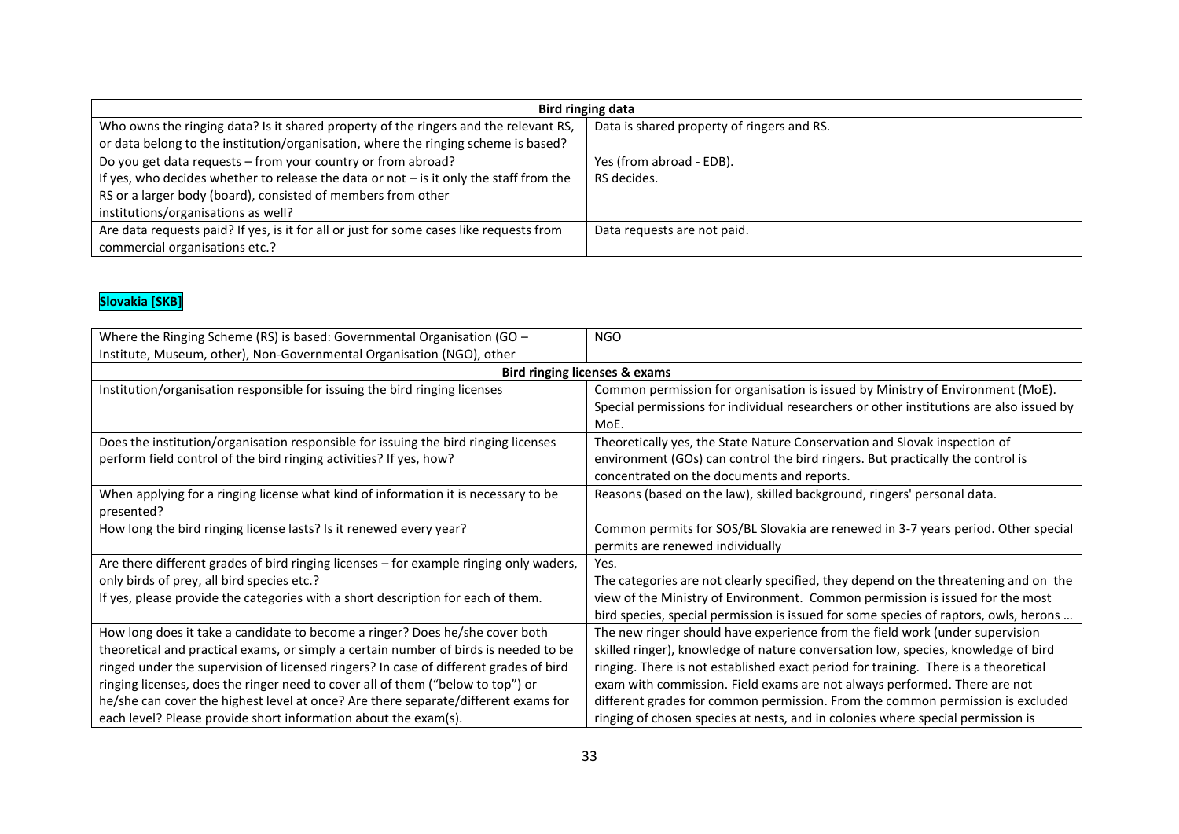| Bird ringing data                                                                        |                                            |
|------------------------------------------------------------------------------------------|--------------------------------------------|
| Who owns the ringing data? Is it shared property of the ringers and the relevant RS,     | Data is shared property of ringers and RS. |
| or data belong to the institution/organisation, where the ringing scheme is based?       |                                            |
| Do you get data requests - from your country or from abroad?                             | Yes (from abroad - EDB).                   |
| If yes, who decides whether to release the data or not $-$ is it only the staff from the | RS decides.                                |
| RS or a larger body (board), consisted of members from other                             |                                            |
| institutions/organisations as well?                                                      |                                            |
| Are data requests paid? If yes, is it for all or just for some cases like requests from  | Data requests are not paid.                |
| commercial organisations etc.?                                                           |                                            |

## **Slovakia [SKB]**

| <b>Bird ringing licenses &amp; exams</b>                                                                                                                                                                                                                                                                                                                                                                                                                                                                   |
|------------------------------------------------------------------------------------------------------------------------------------------------------------------------------------------------------------------------------------------------------------------------------------------------------------------------------------------------------------------------------------------------------------------------------------------------------------------------------------------------------------|
|                                                                                                                                                                                                                                                                                                                                                                                                                                                                                                            |
| Common permission for organisation is issued by Ministry of Environment (MoE).<br>Special permissions for individual researchers or other institutions are also issued by<br>MoE.                                                                                                                                                                                                                                                                                                                          |
| Theoretically yes, the State Nature Conservation and Slovak inspection of<br>environment (GOs) can control the bird ringers. But practically the control is<br>concentrated on the documents and reports.                                                                                                                                                                                                                                                                                                  |
| Reasons (based on the law), skilled background, ringers' personal data.                                                                                                                                                                                                                                                                                                                                                                                                                                    |
| Common permits for SOS/BL Slovakia are renewed in 3-7 years period. Other special<br>permits are renewed individually                                                                                                                                                                                                                                                                                                                                                                                      |
| Yes.                                                                                                                                                                                                                                                                                                                                                                                                                                                                                                       |
| The categories are not clearly specified, they depend on the threatening and on the                                                                                                                                                                                                                                                                                                                                                                                                                        |
| view of the Ministry of Environment. Common permission is issued for the most<br>bird species, special permission is issued for some species of raptors, owls, herons                                                                                                                                                                                                                                                                                                                                      |
| The new ringer should have experience from the field work (under supervision<br>skilled ringer), knowledge of nature conversation low, species, knowledge of bird<br>ringing. There is not established exact period for training. There is a theoretical<br>exam with commission. Field exams are not always performed. There are not<br>different grades for common permission. From the common permission is excluded<br>ringing of chosen species at nests, and in colonies where special permission is |
|                                                                                                                                                                                                                                                                                                                                                                                                                                                                                                            |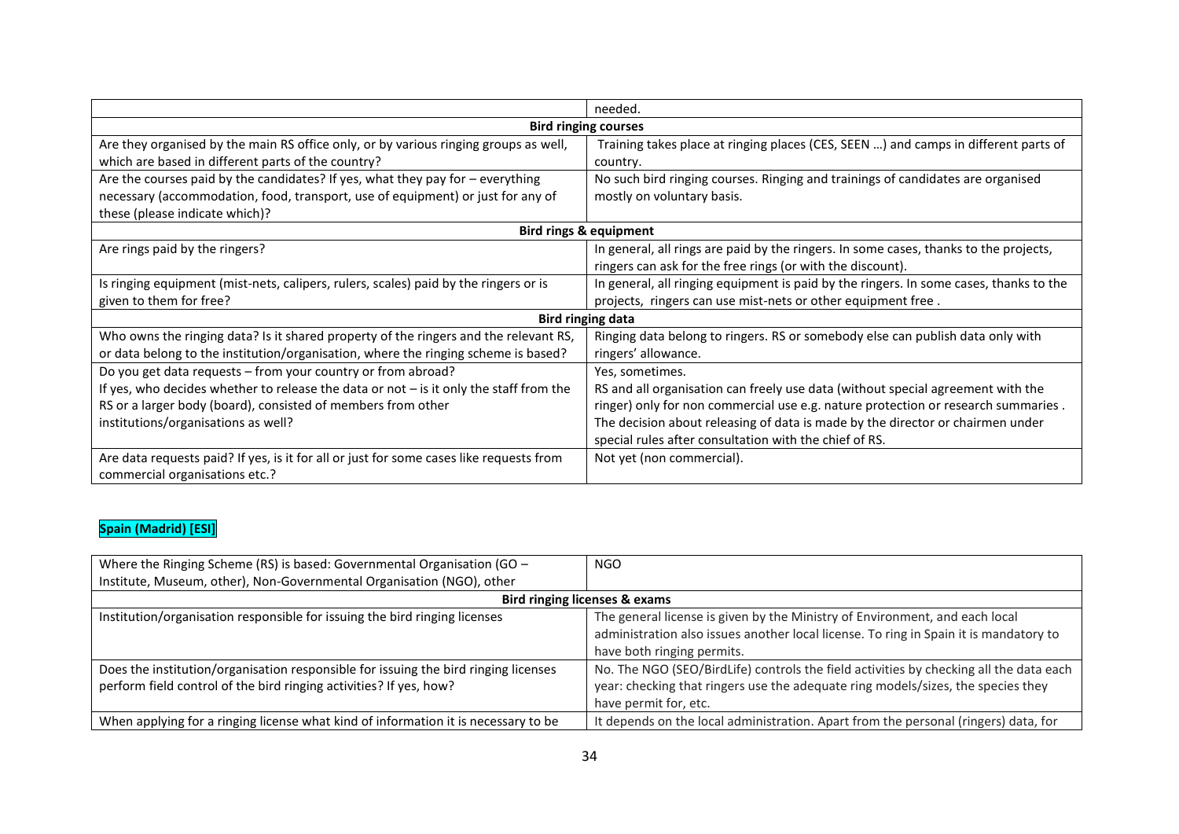|                                                                                                                   | needed.                                                                                |
|-------------------------------------------------------------------------------------------------------------------|----------------------------------------------------------------------------------------|
|                                                                                                                   | <b>Bird ringing courses</b>                                                            |
| Are they organised by the main RS office only, or by various ringing groups as well,                              | Training takes place at ringing places (CES, SEEN ) and camps in different parts of    |
| which are based in different parts of the country?                                                                | country.                                                                               |
| Are the courses paid by the candidates? If yes, what they pay for $-$ everything                                  | No such bird ringing courses. Ringing and trainings of candidates are organised        |
| necessary (accommodation, food, transport, use of equipment) or just for any of<br>these (please indicate which)? | mostly on voluntary basis.                                                             |
| <b>Bird rings &amp; equipment</b>                                                                                 |                                                                                        |
| Are rings paid by the ringers?                                                                                    | In general, all rings are paid by the ringers. In some cases, thanks to the projects,  |
|                                                                                                                   | ringers can ask for the free rings (or with the discount).                             |
| Is ringing equipment (mist-nets, calipers, rulers, scales) paid by the ringers or is                              | In general, all ringing equipment is paid by the ringers. In some cases, thanks to the |
| given to them for free?                                                                                           | projects, ringers can use mist-nets or other equipment free.                           |
|                                                                                                                   | <b>Bird ringing data</b>                                                               |
| Who owns the ringing data? Is it shared property of the ringers and the relevant RS,                              | Ringing data belong to ringers. RS or somebody else can publish data only with         |
| or data belong to the institution/organisation, where the ringing scheme is based?                                | ringers' allowance.                                                                    |
| Do you get data requests - from your country or from abroad?                                                      | Yes, sometimes.                                                                        |
| If yes, who decides whether to release the data or not $-$ is it only the staff from the                          | RS and all organisation can freely use data (without special agreement with the        |
| RS or a larger body (board), consisted of members from other                                                      | ringer) only for non commercial use e.g. nature protection or research summaries.      |
| institutions/organisations as well?                                                                               | The decision about releasing of data is made by the director or chairmen under         |
|                                                                                                                   | special rules after consultation with the chief of RS.                                 |
| Are data requests paid? If yes, is it for all or just for some cases like requests from                           | Not yet (non commercial).                                                              |
| commercial organisations etc.?                                                                                    |                                                                                        |

#### **Spain (Madrid) [ESI]**

| Where the Ringing Scheme (RS) is based: Governmental Organisation (GO -             | <b>NGO</b>                                                                             |
|-------------------------------------------------------------------------------------|----------------------------------------------------------------------------------------|
| Institute, Museum, other), Non-Governmental Organisation (NGO), other               |                                                                                        |
| Bird ringing licenses & exams                                                       |                                                                                        |
| Institution/organisation responsible for issuing the bird ringing licenses          | The general license is given by the Ministry of Environment, and each local            |
|                                                                                     | administration also issues another local license. To ring in Spain it is mandatory to  |
|                                                                                     | have both ringing permits.                                                             |
| Does the institution/organisation responsible for issuing the bird ringing licenses | No. The NGO (SEO/BirdLife) controls the field activities by checking all the data each |
| perform field control of the bird ringing activities? If yes, how?                  | year: checking that ringers use the adequate ring models/sizes, the species they       |
|                                                                                     | have permit for, etc.                                                                  |
| When applying for a ringing license what kind of information it is necessary to be  | It depends on the local administration. Apart from the personal (ringers) data, for    |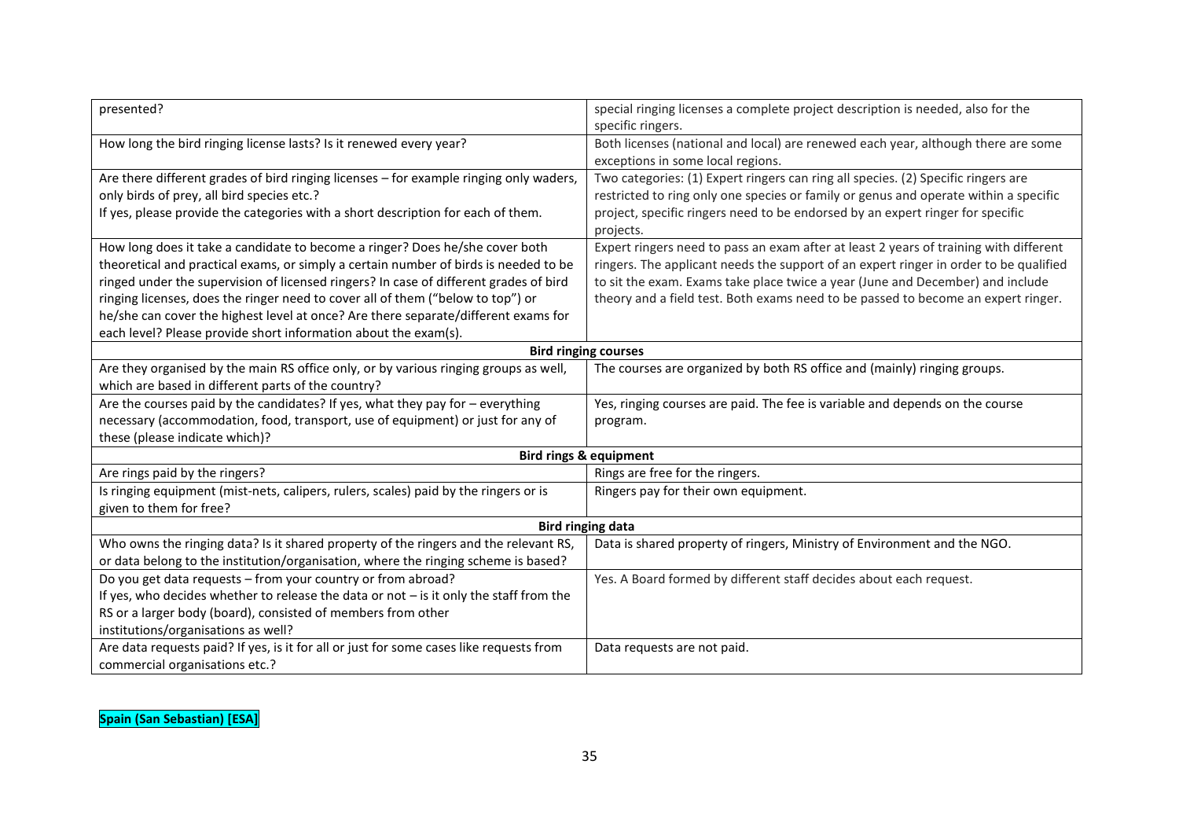| presented?                                                                               | special ringing licenses a complete project description is needed, also for the<br>specific ringers. |  |
|------------------------------------------------------------------------------------------|------------------------------------------------------------------------------------------------------|--|
| How long the bird ringing license lasts? Is it renewed every year?                       | Both licenses (national and local) are renewed each year, although there are some                    |  |
|                                                                                          | exceptions in some local regions.                                                                    |  |
| Are there different grades of bird ringing licenses - for example ringing only waders,   | Two categories: (1) Expert ringers can ring all species. (2) Specific ringers are                    |  |
| only birds of prey, all bird species etc.?                                               | restricted to ring only one species or family or genus and operate within a specific                 |  |
| If yes, please provide the categories with a short description for each of them.         | project, specific ringers need to be endorsed by an expert ringer for specific                       |  |
|                                                                                          | projects.                                                                                            |  |
| How long does it take a candidate to become a ringer? Does he/she cover both             | Expert ringers need to pass an exam after at least 2 years of training with different                |  |
| theoretical and practical exams, or simply a certain number of birds is needed to be     | ringers. The applicant needs the support of an expert ringer in order to be qualified                |  |
| ringed under the supervision of licensed ringers? In case of different grades of bird    | to sit the exam. Exams take place twice a year (June and December) and include                       |  |
| ringing licenses, does the ringer need to cover all of them ("below to top") or          | theory and a field test. Both exams need to be passed to become an expert ringer.                    |  |
| he/she can cover the highest level at once? Are there separate/different exams for       |                                                                                                      |  |
| each level? Please provide short information about the exam(s).                          |                                                                                                      |  |
| <b>Bird ringing courses</b>                                                              |                                                                                                      |  |
| Are they organised by the main RS office only, or by various ringing groups as well,     | The courses are organized by both RS office and (mainly) ringing groups.                             |  |
| which are based in different parts of the country?                                       |                                                                                                      |  |
| Are the courses paid by the candidates? If yes, what they pay for - everything           | Yes, ringing courses are paid. The fee is variable and depends on the course                         |  |
| necessary (accommodation, food, transport, use of equipment) or just for any of          | program.                                                                                             |  |
| these (please indicate which)?                                                           |                                                                                                      |  |
|                                                                                          | <b>Bird rings &amp; equipment</b>                                                                    |  |
| Are rings paid by the ringers?                                                           | Rings are free for the ringers.                                                                      |  |
| Is ringing equipment (mist-nets, calipers, rulers, scales) paid by the ringers or is     | Ringers pay for their own equipment.                                                                 |  |
| given to them for free?                                                                  |                                                                                                      |  |
| <b>Bird ringing data</b>                                                                 |                                                                                                      |  |
| Who owns the ringing data? Is it shared property of the ringers and the relevant RS,     | Data is shared property of ringers, Ministry of Environment and the NGO.                             |  |
| or data belong to the institution/organisation, where the ringing scheme is based?       |                                                                                                      |  |
| Do you get data requests - from your country or from abroad?                             | Yes. A Board formed by different staff decides about each request.                                   |  |
| If yes, who decides whether to release the data or not $-$ is it only the staff from the |                                                                                                      |  |
| RS or a larger body (board), consisted of members from other                             |                                                                                                      |  |
| institutions/organisations as well?                                                      |                                                                                                      |  |
| Are data requests paid? If yes, is it for all or just for some cases like requests from  | Data requests are not paid.                                                                          |  |
| commercial organisations etc.?                                                           |                                                                                                      |  |

**Spain (San Sebastian) [ESA]**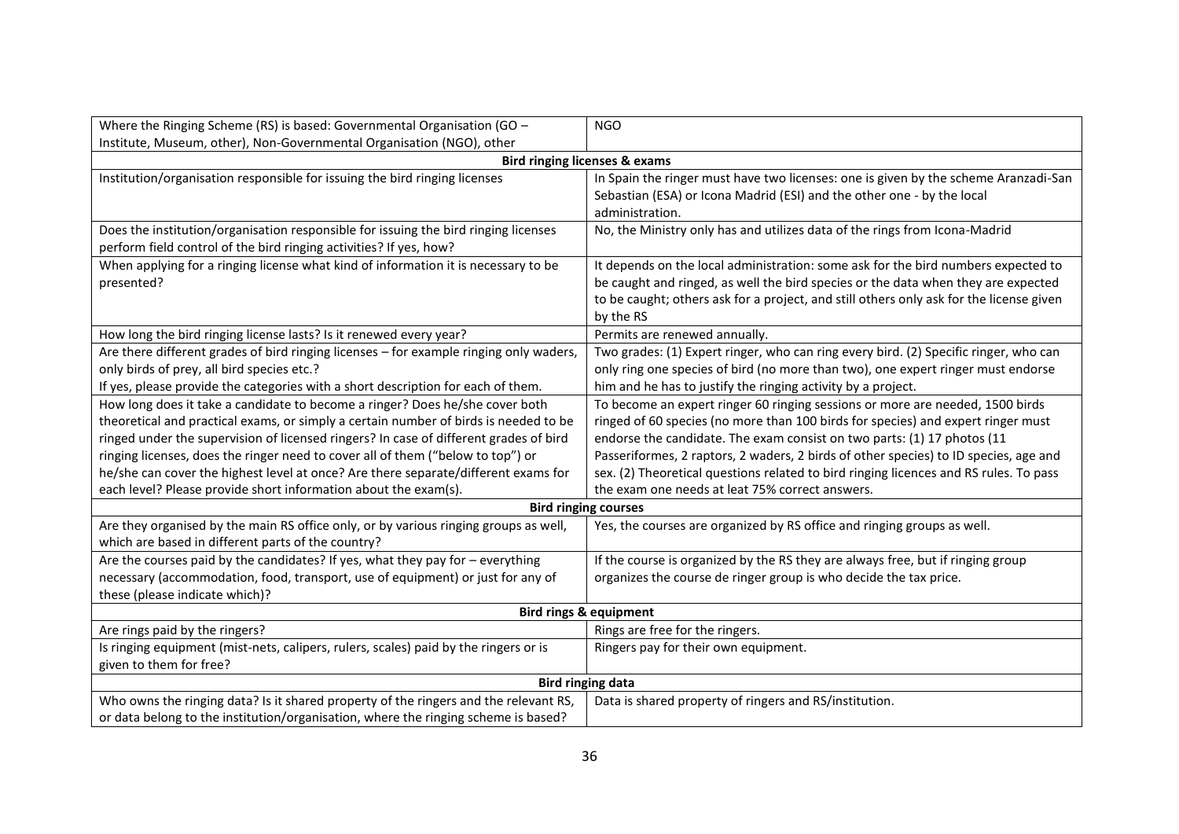| Where the Ringing Scheme (RS) is based: Governmental Organisation (GO -                                                                                                                                                                                                                                                                                                                                                                                                                                   | <b>NGO</b>                                                                                                                                                                                                                                                                                                                                                                                                                                                                       |
|-----------------------------------------------------------------------------------------------------------------------------------------------------------------------------------------------------------------------------------------------------------------------------------------------------------------------------------------------------------------------------------------------------------------------------------------------------------------------------------------------------------|----------------------------------------------------------------------------------------------------------------------------------------------------------------------------------------------------------------------------------------------------------------------------------------------------------------------------------------------------------------------------------------------------------------------------------------------------------------------------------|
| Institute, Museum, other), Non-Governmental Organisation (NGO), other                                                                                                                                                                                                                                                                                                                                                                                                                                     |                                                                                                                                                                                                                                                                                                                                                                                                                                                                                  |
|                                                                                                                                                                                                                                                                                                                                                                                                                                                                                                           | <b>Bird ringing licenses &amp; exams</b>                                                                                                                                                                                                                                                                                                                                                                                                                                         |
| Institution/organisation responsible for issuing the bird ringing licenses                                                                                                                                                                                                                                                                                                                                                                                                                                | In Spain the ringer must have two licenses: one is given by the scheme Aranzadi-San<br>Sebastian (ESA) or Icona Madrid (ESI) and the other one - by the local<br>administration.                                                                                                                                                                                                                                                                                                 |
| Does the institution/organisation responsible for issuing the bird ringing licenses<br>perform field control of the bird ringing activities? If yes, how?                                                                                                                                                                                                                                                                                                                                                 | No, the Ministry only has and utilizes data of the rings from Icona-Madrid                                                                                                                                                                                                                                                                                                                                                                                                       |
| When applying for a ringing license what kind of information it is necessary to be<br>presented?                                                                                                                                                                                                                                                                                                                                                                                                          | It depends on the local administration: some ask for the bird numbers expected to<br>be caught and ringed, as well the bird species or the data when they are expected<br>to be caught; others ask for a project, and still others only ask for the license given<br>by the RS                                                                                                                                                                                                   |
| How long the bird ringing license lasts? Is it renewed every year?                                                                                                                                                                                                                                                                                                                                                                                                                                        | Permits are renewed annually.                                                                                                                                                                                                                                                                                                                                                                                                                                                    |
| Are there different grades of bird ringing licenses - for example ringing only waders,<br>only birds of prey, all bird species etc.?<br>If yes, please provide the categories with a short description for each of them.                                                                                                                                                                                                                                                                                  | Two grades: (1) Expert ringer, who can ring every bird. (2) Specific ringer, who can<br>only ring one species of bird (no more than two), one expert ringer must endorse<br>him and he has to justify the ringing activity by a project.                                                                                                                                                                                                                                         |
| How long does it take a candidate to become a ringer? Does he/she cover both<br>theoretical and practical exams, or simply a certain number of birds is needed to be<br>ringed under the supervision of licensed ringers? In case of different grades of bird<br>ringing licenses, does the ringer need to cover all of them ("below to top") or<br>he/she can cover the highest level at once? Are there separate/different exams for<br>each level? Please provide short information about the exam(s). | To become an expert ringer 60 ringing sessions or more are needed, 1500 birds<br>ringed of 60 species (no more than 100 birds for species) and expert ringer must<br>endorse the candidate. The exam consist on two parts: (1) 17 photos (11<br>Passeriformes, 2 raptors, 2 waders, 2 birds of other species) to ID species, age and<br>sex. (2) Theoretical questions related to bird ringing licences and RS rules. To pass<br>the exam one needs at leat 75% correct answers. |
|                                                                                                                                                                                                                                                                                                                                                                                                                                                                                                           | <b>Bird ringing courses</b>                                                                                                                                                                                                                                                                                                                                                                                                                                                      |
| Are they organised by the main RS office only, or by various ringing groups as well,<br>which are based in different parts of the country?                                                                                                                                                                                                                                                                                                                                                                | Yes, the courses are organized by RS office and ringing groups as well.                                                                                                                                                                                                                                                                                                                                                                                                          |
| Are the courses paid by the candidates? If yes, what they pay for $-$ everything<br>necessary (accommodation, food, transport, use of equipment) or just for any of<br>these (please indicate which)?                                                                                                                                                                                                                                                                                                     | If the course is organized by the RS they are always free, but if ringing group<br>organizes the course de ringer group is who decide the tax price.                                                                                                                                                                                                                                                                                                                             |
| <b>Bird rings &amp; equipment</b>                                                                                                                                                                                                                                                                                                                                                                                                                                                                         |                                                                                                                                                                                                                                                                                                                                                                                                                                                                                  |
| Are rings paid by the ringers?                                                                                                                                                                                                                                                                                                                                                                                                                                                                            | Rings are free for the ringers.                                                                                                                                                                                                                                                                                                                                                                                                                                                  |
| Is ringing equipment (mist-nets, calipers, rulers, scales) paid by the ringers or is<br>given to them for free?                                                                                                                                                                                                                                                                                                                                                                                           | Ringers pay for their own equipment.                                                                                                                                                                                                                                                                                                                                                                                                                                             |
| <b>Bird ringing data</b>                                                                                                                                                                                                                                                                                                                                                                                                                                                                                  |                                                                                                                                                                                                                                                                                                                                                                                                                                                                                  |
| Who owns the ringing data? Is it shared property of the ringers and the relevant RS,<br>or data belong to the institution/organisation, where the ringing scheme is based?                                                                                                                                                                                                                                                                                                                                | Data is shared property of ringers and RS/institution.                                                                                                                                                                                                                                                                                                                                                                                                                           |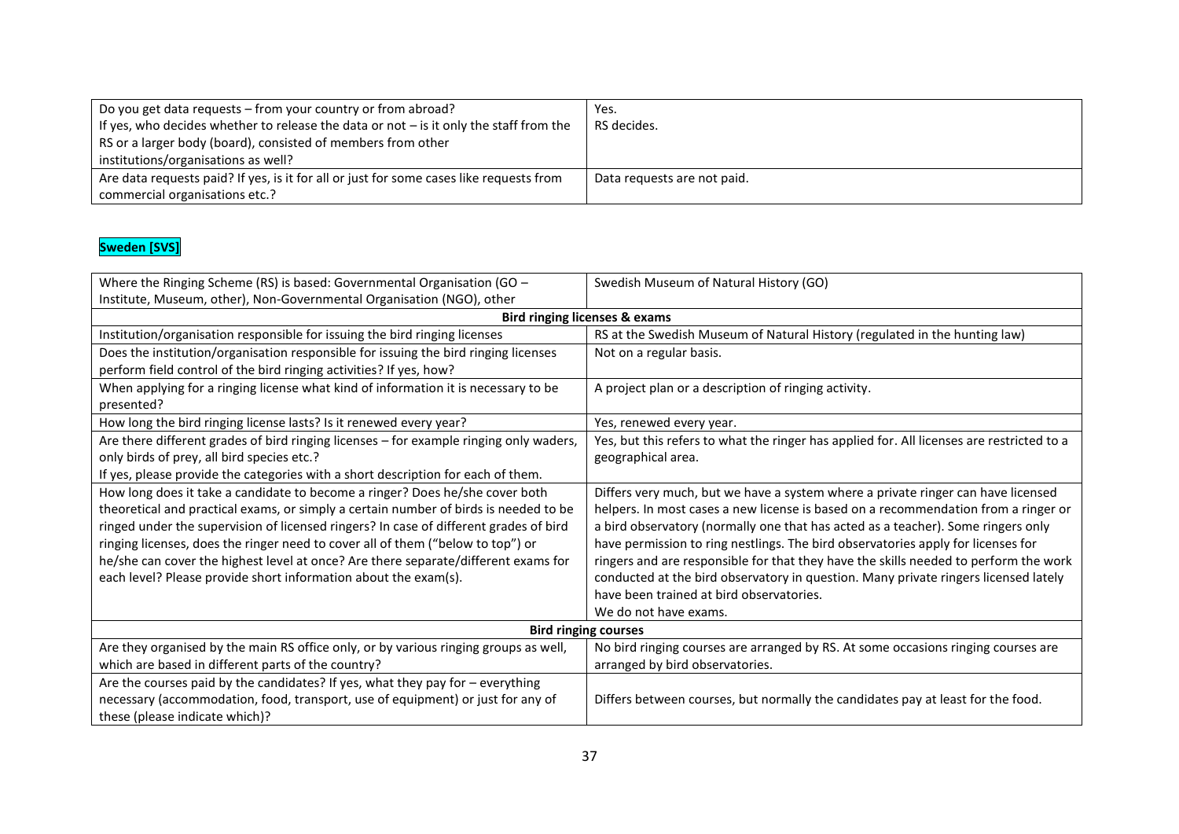| Do you get data requests – from your country or from abroad?<br>If yes, who decides whether to release the data or not $-$ is it only the staff from the<br>RS or a larger body (board), consisted of members from other<br>institutions/organisations as well? | Yes.<br>RS decides.         |
|-----------------------------------------------------------------------------------------------------------------------------------------------------------------------------------------------------------------------------------------------------------------|-----------------------------|
| Are data requests paid? If yes, is it for all or just for some cases like requests from<br>commercial organisations etc.?                                                                                                                                       | Data requests are not paid. |

#### **Sweden [SVS]**

| Where the Ringing Scheme (RS) is based: Governmental Organisation (GO -                | Swedish Museum of Natural History (GO)                                                    |
|----------------------------------------------------------------------------------------|-------------------------------------------------------------------------------------------|
| Institute, Museum, other), Non-Governmental Organisation (NGO), other                  |                                                                                           |
|                                                                                        | <b>Bird ringing licenses &amp; exams</b>                                                  |
| Institution/organisation responsible for issuing the bird ringing licenses             | RS at the Swedish Museum of Natural History (regulated in the hunting law)                |
| Does the institution/organisation responsible for issuing the bird ringing licenses    | Not on a regular basis.                                                                   |
| perform field control of the bird ringing activities? If yes, how?                     |                                                                                           |
| When applying for a ringing license what kind of information it is necessary to be     | A project plan or a description of ringing activity.                                      |
| presented?                                                                             |                                                                                           |
| How long the bird ringing license lasts? Is it renewed every year?                     | Yes, renewed every year.                                                                  |
| Are there different grades of bird ringing licenses - for example ringing only waders, | Yes, but this refers to what the ringer has applied for. All licenses are restricted to a |
| only birds of prey, all bird species etc.?                                             | geographical area.                                                                        |
| If yes, please provide the categories with a short description for each of them.       |                                                                                           |
| How long does it take a candidate to become a ringer? Does he/she cover both           | Differs very much, but we have a system where a private ringer can have licensed          |
| theoretical and practical exams, or simply a certain number of birds is needed to be   | helpers. In most cases a new license is based on a recommendation from a ringer or        |
| ringed under the supervision of licensed ringers? In case of different grades of bird  | a bird observatory (normally one that has acted as a teacher). Some ringers only          |
| ringing licenses, does the ringer need to cover all of them ("below to top") or        | have permission to ring nestlings. The bird observatories apply for licenses for          |
| he/she can cover the highest level at once? Are there separate/different exams for     | ringers and are responsible for that they have the skills needed to perform the work      |
| each level? Please provide short information about the exam(s).                        | conducted at the bird observatory in question. Many private ringers licensed lately       |
|                                                                                        | have been trained at bird observatories.                                                  |
|                                                                                        | We do not have exams.                                                                     |
| <b>Bird ringing courses</b>                                                            |                                                                                           |
| Are they organised by the main RS office only, or by various ringing groups as well,   | No bird ringing courses are arranged by RS. At some occasions ringing courses are         |
| which are based in different parts of the country?                                     | arranged by bird observatories.                                                           |
| Are the courses paid by the candidates? If yes, what they pay for $-$ everything       |                                                                                           |
| necessary (accommodation, food, transport, use of equipment) or just for any of        | Differs between courses, but normally the candidates pay at least for the food.           |
| these (please indicate which)?                                                         |                                                                                           |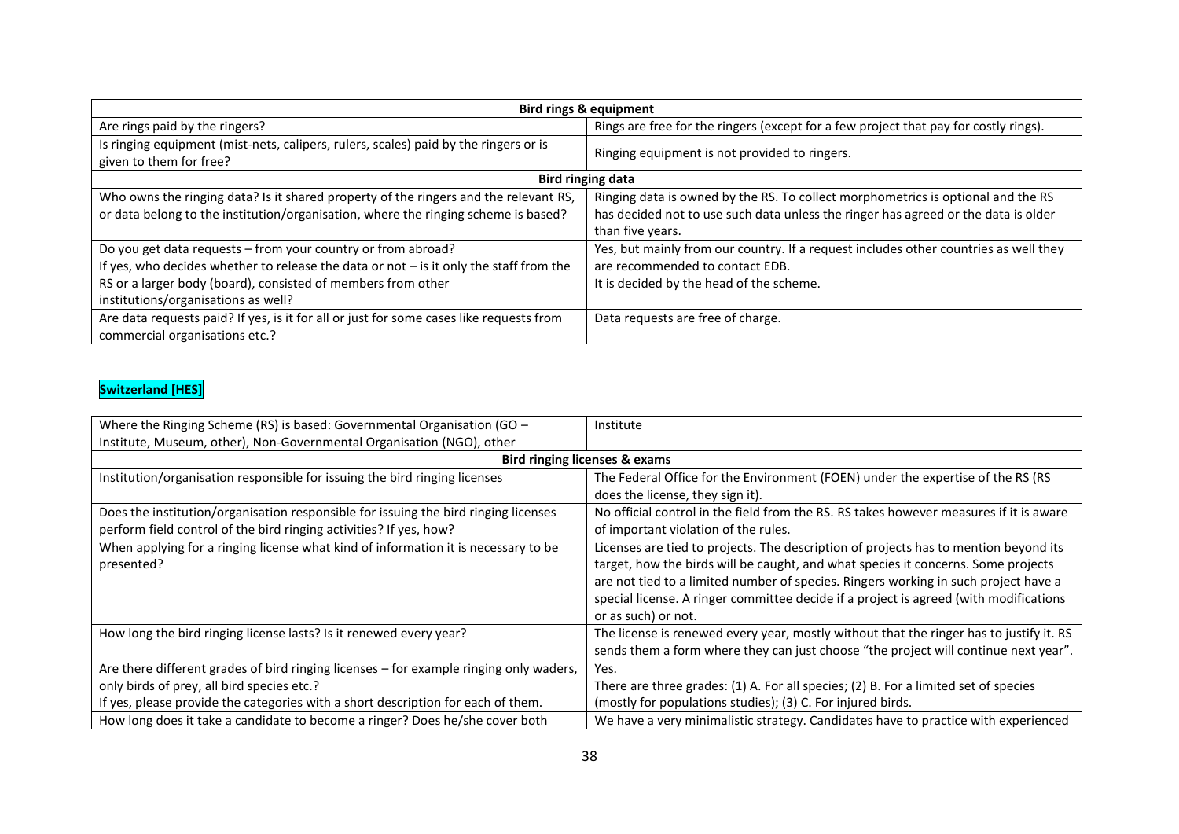| <b>Bird rings &amp; equipment</b>                                                                                                                                                                                                                               |                                                                                                                                                                                            |  |
|-----------------------------------------------------------------------------------------------------------------------------------------------------------------------------------------------------------------------------------------------------------------|--------------------------------------------------------------------------------------------------------------------------------------------------------------------------------------------|--|
| Are rings paid by the ringers?                                                                                                                                                                                                                                  | Rings are free for the ringers (except for a few project that pay for costly rings).                                                                                                       |  |
| Is ringing equipment (mist-nets, calipers, rulers, scales) paid by the ringers or is<br>given to them for free?                                                                                                                                                 | Ringing equipment is not provided to ringers.                                                                                                                                              |  |
| <b>Bird ringing data</b>                                                                                                                                                                                                                                        |                                                                                                                                                                                            |  |
| Who owns the ringing data? Is it shared property of the ringers and the relevant RS,<br>or data belong to the institution/organisation, where the ringing scheme is based?                                                                                      | Ringing data is owned by the RS. To collect morphometrics is optional and the RS<br>has decided not to use such data unless the ringer has agreed or the data is older<br>than five years. |  |
| Do you get data requests - from your country or from abroad?<br>If yes, who decides whether to release the data or not $-$ is it only the staff from the<br>RS or a larger body (board), consisted of members from other<br>institutions/organisations as well? | Yes, but mainly from our country. If a request includes other countries as well they<br>are recommended to contact EDB.<br>It is decided by the head of the scheme.                        |  |
| Are data requests paid? If yes, is it for all or just for some cases like requests from<br>commercial organisations etc.?                                                                                                                                       | Data requests are free of charge.                                                                                                                                                          |  |

#### **Switzerland [HES]**

| Where the Ringing Scheme (RS) is based: Governmental Organisation (GO -                | Institute                                                                               |
|----------------------------------------------------------------------------------------|-----------------------------------------------------------------------------------------|
| Institute, Museum, other), Non-Governmental Organisation (NGO), other                  |                                                                                         |
|                                                                                        | <b>Bird ringing licenses &amp; exams</b>                                                |
| Institution/organisation responsible for issuing the bird ringing licenses             | The Federal Office for the Environment (FOEN) under the expertise of the RS (RS         |
|                                                                                        | does the license, they sign it).                                                        |
| Does the institution/organisation responsible for issuing the bird ringing licenses    | No official control in the field from the RS. RS takes however measures if it is aware  |
| perform field control of the bird ringing activities? If yes, how?                     | of important violation of the rules.                                                    |
| When applying for a ringing license what kind of information it is necessary to be     | Licenses are tied to projects. The description of projects has to mention beyond its    |
| presented?                                                                             | target, how the birds will be caught, and what species it concerns. Some projects       |
|                                                                                        | are not tied to a limited number of species. Ringers working in such project have a     |
|                                                                                        | special license. A ringer committee decide if a project is agreed (with modifications   |
|                                                                                        | or as such) or not.                                                                     |
| How long the bird ringing license lasts? Is it renewed every year?                     | The license is renewed every year, mostly without that the ringer has to justify it. RS |
|                                                                                        | sends them a form where they can just choose "the project will continue next year".     |
| Are there different grades of bird ringing licenses – for example ringing only waders, | Yes.                                                                                    |
| only birds of prey, all bird species etc.?                                             | There are three grades: (1) A. For all species; (2) B. For a limited set of species     |
| If yes, please provide the categories with a short description for each of them.       | (mostly for populations studies); (3) C. For injured birds.                             |
| How long does it take a candidate to become a ringer? Does he/she cover both           | We have a very minimalistic strategy. Candidates have to practice with experienced      |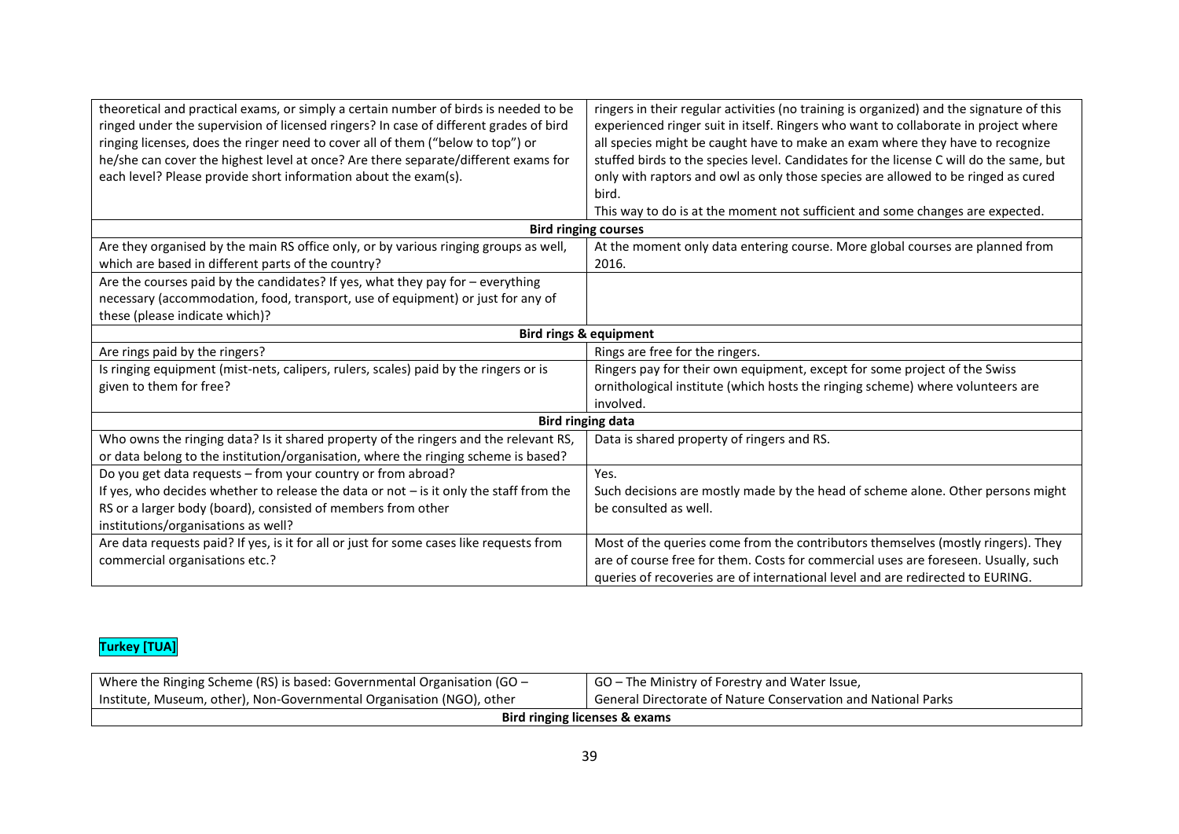| theoretical and practical exams, or simply a certain number of birds is needed to be     | ringers in their regular activities (no training is organized) and the signature of this |
|------------------------------------------------------------------------------------------|------------------------------------------------------------------------------------------|
| ringed under the supervision of licensed ringers? In case of different grades of bird    | experienced ringer suit in itself. Ringers who want to collaborate in project where      |
| ringing licenses, does the ringer need to cover all of them ("below to top") or          | all species might be caught have to make an exam where they have to recognize            |
| he/she can cover the highest level at once? Are there separate/different exams for       | stuffed birds to the species level. Candidates for the license C will do the same, but   |
| each level? Please provide short information about the exam(s).                          | only with raptors and owl as only those species are allowed to be ringed as cured        |
|                                                                                          | bird.                                                                                    |
|                                                                                          | This way to do is at the moment not sufficient and some changes are expected.            |
|                                                                                          | <b>Bird ringing courses</b>                                                              |
| Are they organised by the main RS office only, or by various ringing groups as well,     | At the moment only data entering course. More global courses are planned from            |
| which are based in different parts of the country?                                       | 2016.                                                                                    |
| Are the courses paid by the candidates? If yes, what they pay for - everything           |                                                                                          |
| necessary (accommodation, food, transport, use of equipment) or just for any of          |                                                                                          |
| these (please indicate which)?                                                           |                                                                                          |
| <b>Bird rings &amp; equipment</b>                                                        |                                                                                          |
| Are rings paid by the ringers?                                                           | Rings are free for the ringers.                                                          |
| Is ringing equipment (mist-nets, calipers, rulers, scales) paid by the ringers or is     | Ringers pay for their own equipment, except for some project of the Swiss                |
| given to them for free?                                                                  | ornithological institute (which hosts the ringing scheme) where volunteers are           |
|                                                                                          | involved.                                                                                |
| <b>Bird ringing data</b>                                                                 |                                                                                          |
| Who owns the ringing data? Is it shared property of the ringers and the relevant RS,     | Data is shared property of ringers and RS.                                               |
| or data belong to the institution/organisation, where the ringing scheme is based?       |                                                                                          |
| Do you get data requests - from your country or from abroad?                             | Yes.                                                                                     |
| If yes, who decides whether to release the data or not $-$ is it only the staff from the | Such decisions are mostly made by the head of scheme alone. Other persons might          |
| RS or a larger body (board), consisted of members from other                             | be consulted as well.                                                                    |
| institutions/organisations as well?                                                      |                                                                                          |
| Are data requests paid? If yes, is it for all or just for some cases like requests from  | Most of the queries come from the contributors themselves (mostly ringers). They         |
| commercial organisations etc.?                                                           | are of course free for them. Costs for commercial uses are foreseen. Usually, such       |
|                                                                                          | queries of recoveries are of international level and are redirected to EURING.           |

## **Turkey [TUA]**

| Where the Ringing Scheme (RS) is based: Governmental Organisation (GO $-$ | GO – The Ministry of Forestry and Water Issue,                       |
|---------------------------------------------------------------------------|----------------------------------------------------------------------|
| Institute, Museum, other), Non-Governmental Organisation (NGO), other     | <b>General Directorate of Nature Conservation and National Parks</b> |
| Bird ringing licenses & exams                                             |                                                                      |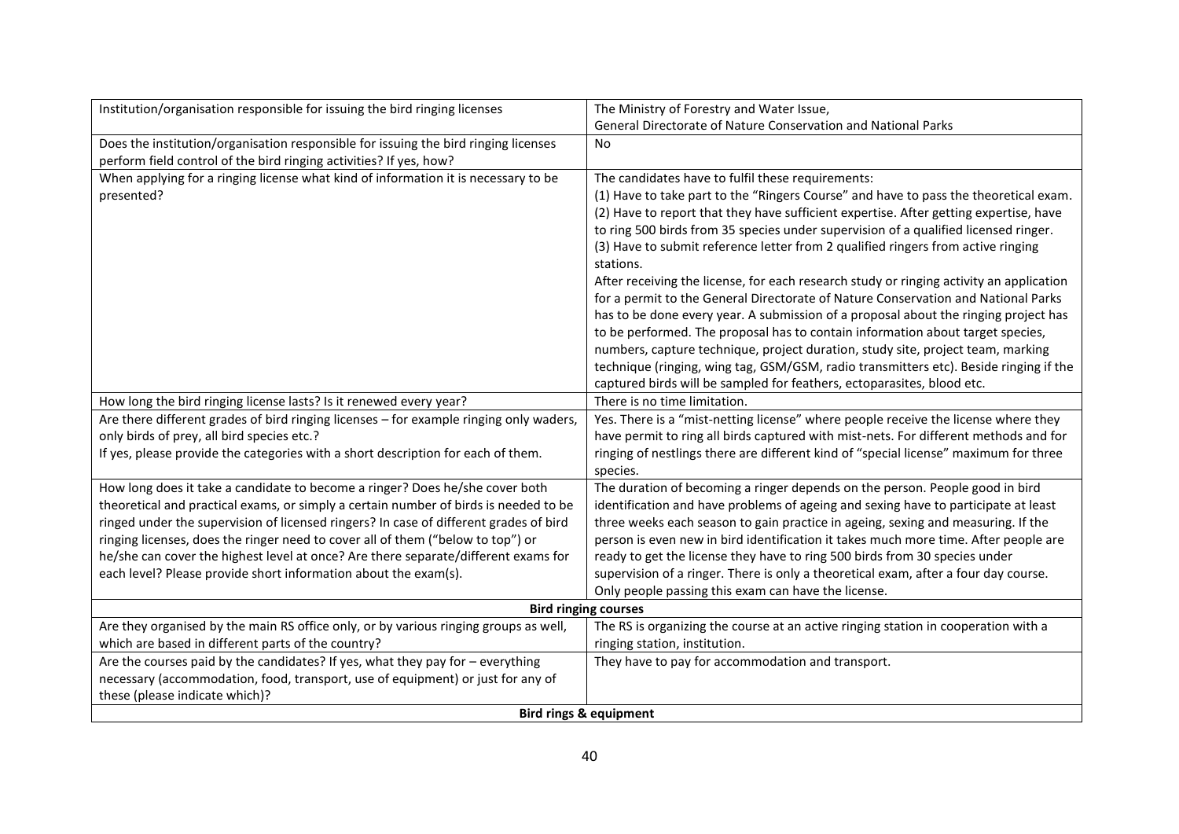| Institution/organisation responsible for issuing the bird ringing licenses             | The Ministry of Forestry and Water Issue,                                               |
|----------------------------------------------------------------------------------------|-----------------------------------------------------------------------------------------|
|                                                                                        | General Directorate of Nature Conservation and National Parks                           |
| Does the institution/organisation responsible for issuing the bird ringing licenses    | <b>No</b>                                                                               |
| perform field control of the bird ringing activities? If yes, how?                     |                                                                                         |
| When applying for a ringing license what kind of information it is necessary to be     | The candidates have to fulfil these requirements:                                       |
| presented?                                                                             | (1) Have to take part to the "Ringers Course" and have to pass the theoretical exam.    |
|                                                                                        | (2) Have to report that they have sufficient expertise. After getting expertise, have   |
|                                                                                        | to ring 500 birds from 35 species under supervision of a qualified licensed ringer.     |
|                                                                                        | (3) Have to submit reference letter from 2 qualified ringers from active ringing        |
|                                                                                        | stations.                                                                               |
|                                                                                        | After receiving the license, for each research study or ringing activity an application |
|                                                                                        | for a permit to the General Directorate of Nature Conservation and National Parks       |
|                                                                                        | has to be done every year. A submission of a proposal about the ringing project has     |
|                                                                                        | to be performed. The proposal has to contain information about target species,          |
|                                                                                        | numbers, capture technique, project duration, study site, project team, marking         |
|                                                                                        | technique (ringing, wing tag, GSM/GSM, radio transmitters etc). Beside ringing if the   |
|                                                                                        | captured birds will be sampled for feathers, ectoparasites, blood etc.                  |
| How long the bird ringing license lasts? Is it renewed every year?                     | There is no time limitation.                                                            |
| Are there different grades of bird ringing licenses - for example ringing only waders, | Yes. There is a "mist-netting license" where people receive the license where they      |
| only birds of prey, all bird species etc.?                                             | have permit to ring all birds captured with mist-nets. For different methods and for    |
| If yes, please provide the categories with a short description for each of them.       | ringing of nestlings there are different kind of "special license" maximum for three    |
|                                                                                        | species.                                                                                |
| How long does it take a candidate to become a ringer? Does he/she cover both           | The duration of becoming a ringer depends on the person. People good in bird            |
| theoretical and practical exams, or simply a certain number of birds is needed to be   | identification and have problems of ageing and sexing have to participate at least      |
| ringed under the supervision of licensed ringers? In case of different grades of bird  | three weeks each season to gain practice in ageing, sexing and measuring. If the        |
| ringing licenses, does the ringer need to cover all of them ("below to top") or        | person is even new in bird identification it takes much more time. After people are     |
| he/she can cover the highest level at once? Are there separate/different exams for     | ready to get the license they have to ring 500 birds from 30 species under              |
| each level? Please provide short information about the exam(s).                        | supervision of a ringer. There is only a theoretical exam, after a four day course.     |
|                                                                                        | Only people passing this exam can have the license.                                     |
| <b>Bird ringing courses</b>                                                            |                                                                                         |
| Are they organised by the main RS office only, or by various ringing groups as well,   | The RS is organizing the course at an active ringing station in cooperation with a      |
| which are based in different parts of the country?                                     | ringing station, institution.                                                           |
| Are the courses paid by the candidates? If yes, what they pay for - everything         | They have to pay for accommodation and transport.                                       |
| necessary (accommodation, food, transport, use of equipment) or just for any of        |                                                                                         |
| these (please indicate which)?                                                         |                                                                                         |
| <b>Bird rings &amp; equipment</b>                                                      |                                                                                         |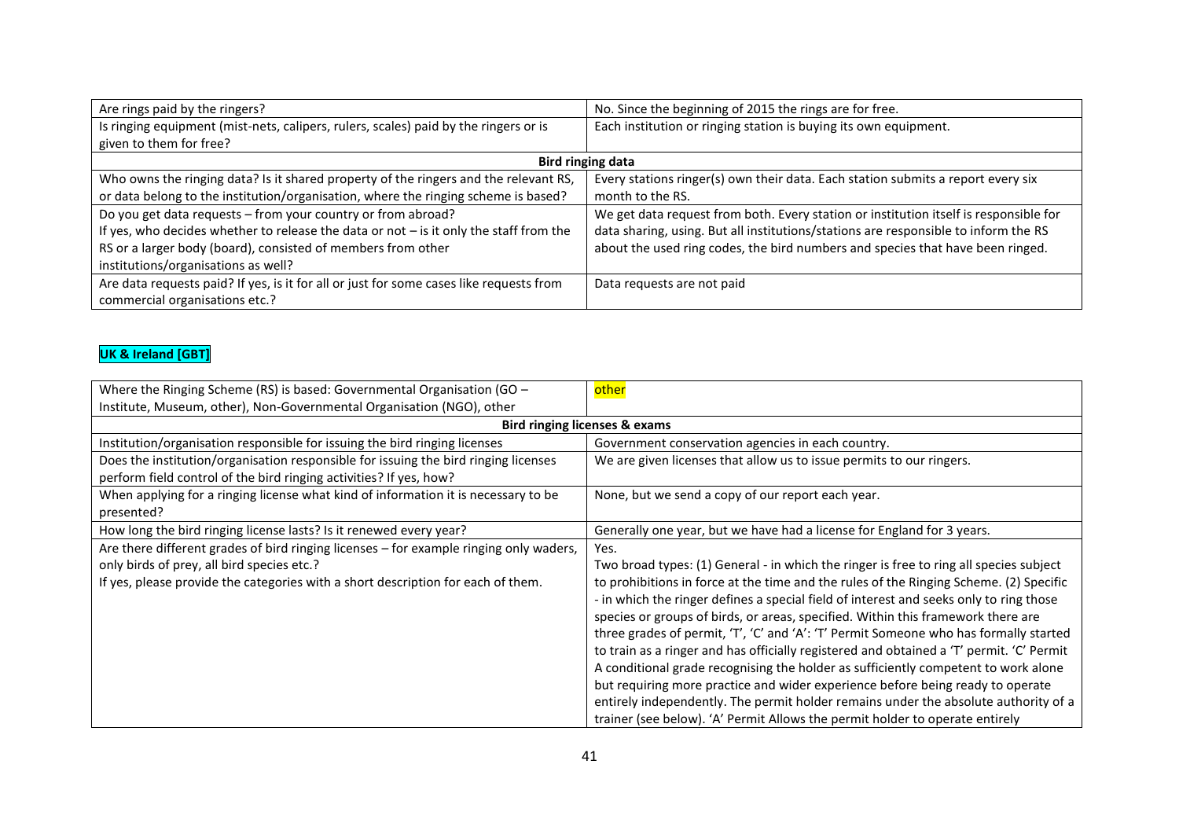| Are rings paid by the ringers?                                                           | No. Since the beginning of 2015 the rings are for free.                               |
|------------------------------------------------------------------------------------------|---------------------------------------------------------------------------------------|
| Is ringing equipment (mist-nets, calipers, rulers, scales) paid by the ringers or is     | Each institution or ringing station is buying its own equipment.                      |
| given to them for free?                                                                  |                                                                                       |
|                                                                                          | <b>Bird ringing data</b>                                                              |
| Who owns the ringing data? Is it shared property of the ringers and the relevant RS,     | Every stations ringer(s) own their data. Each station submits a report every six      |
| or data belong to the institution/organisation, where the ringing scheme is based?       | month to the RS.                                                                      |
| Do you get data requests - from your country or from abroad?                             | We get data request from both. Every station or institution itself is responsible for |
| If yes, who decides whether to release the data or not $-$ is it only the staff from the | data sharing, using. But all institutions/stations are responsible to inform the RS   |
| RS or a larger body (board), consisted of members from other                             | about the used ring codes, the bird numbers and species that have been ringed.        |
| institutions/organisations as well?                                                      |                                                                                       |
| Are data requests paid? If yes, is it for all or just for some cases like requests from  | Data requests are not paid                                                            |
| commercial organisations etc.?                                                           |                                                                                       |

## **UK & Ireland [GBT]**

| Where the Ringing Scheme (RS) is based: Governmental Organisation (GO $-$                                                                                                                                                | <u>other</u>                                                                                                                                                                                                                                                                                                                                                                                                                                                                                                                                                                                                                                                                                                                                                                                                                                                                                               |
|--------------------------------------------------------------------------------------------------------------------------------------------------------------------------------------------------------------------------|------------------------------------------------------------------------------------------------------------------------------------------------------------------------------------------------------------------------------------------------------------------------------------------------------------------------------------------------------------------------------------------------------------------------------------------------------------------------------------------------------------------------------------------------------------------------------------------------------------------------------------------------------------------------------------------------------------------------------------------------------------------------------------------------------------------------------------------------------------------------------------------------------------|
| Institute, Museum, other), Non-Governmental Organisation (NGO), other                                                                                                                                                    |                                                                                                                                                                                                                                                                                                                                                                                                                                                                                                                                                                                                                                                                                                                                                                                                                                                                                                            |
| <b>Bird ringing licenses &amp; exams</b>                                                                                                                                                                                 |                                                                                                                                                                                                                                                                                                                                                                                                                                                                                                                                                                                                                                                                                                                                                                                                                                                                                                            |
| Institution/organisation responsible for issuing the bird ringing licenses                                                                                                                                               | Government conservation agencies in each country.                                                                                                                                                                                                                                                                                                                                                                                                                                                                                                                                                                                                                                                                                                                                                                                                                                                          |
| Does the institution/organisation responsible for issuing the bird ringing licenses<br>perform field control of the bird ringing activities? If yes, how?                                                                | We are given licenses that allow us to issue permits to our ringers.                                                                                                                                                                                                                                                                                                                                                                                                                                                                                                                                                                                                                                                                                                                                                                                                                                       |
| When applying for a ringing license what kind of information it is necessary to be<br>presented?                                                                                                                         | None, but we send a copy of our report each year.                                                                                                                                                                                                                                                                                                                                                                                                                                                                                                                                                                                                                                                                                                                                                                                                                                                          |
| How long the bird ringing license lasts? Is it renewed every year?                                                                                                                                                       | Generally one year, but we have had a license for England for 3 years.                                                                                                                                                                                                                                                                                                                                                                                                                                                                                                                                                                                                                                                                                                                                                                                                                                     |
| Are there different grades of bird ringing licenses - for example ringing only waders,<br>only birds of prey, all bird species etc.?<br>If yes, please provide the categories with a short description for each of them. | Yes.<br>Two broad types: (1) General - in which the ringer is free to ring all species subject<br>to prohibitions in force at the time and the rules of the Ringing Scheme. (2) Specific<br>- in which the ringer defines a special field of interest and seeks only to ring those<br>species or groups of birds, or areas, specified. Within this framework there are<br>three grades of permit, 'T', 'C' and 'A': 'T' Permit Someone who has formally started<br>to train as a ringer and has officially registered and obtained a 'T' permit. 'C' Permit<br>A conditional grade recognising the holder as sufficiently competent to work alone<br>but requiring more practice and wider experience before being ready to operate<br>entirely independently. The permit holder remains under the absolute authority of a<br>trainer (see below). 'A' Permit Allows the permit holder to operate entirely |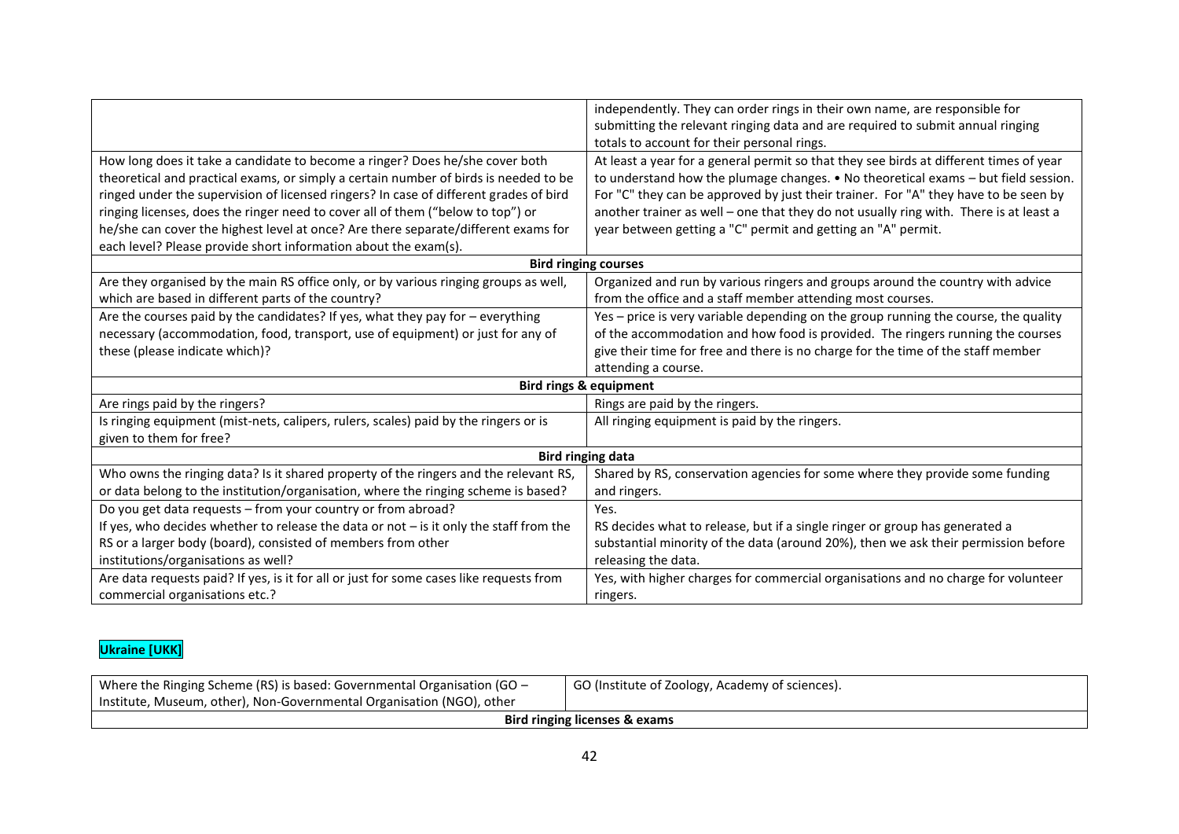|                                                                                          | independently. They can order rings in their own name, are responsible for                   |
|------------------------------------------------------------------------------------------|----------------------------------------------------------------------------------------------|
|                                                                                          | submitting the relevant ringing data and are required to submit annual ringing               |
|                                                                                          | totals to account for their personal rings.                                                  |
| How long does it take a candidate to become a ringer? Does he/she cover both             | At least a year for a general permit so that they see birds at different times of year       |
| theoretical and practical exams, or simply a certain number of birds is needed to be     | to understand how the plumage changes. $\bullet$ No theoretical exams $-$ but field session. |
| ringed under the supervision of licensed ringers? In case of different grades of bird    | For "C" they can be approved by just their trainer. For "A" they have to be seen by          |
| ringing licenses, does the ringer need to cover all of them ("below to top") or          | another trainer as well - one that they do not usually ring with. There is at least a        |
| he/she can cover the highest level at once? Are there separate/different exams for       | year between getting a "C" permit and getting an "A" permit.                                 |
| each level? Please provide short information about the exam(s).                          |                                                                                              |
|                                                                                          | <b>Bird ringing courses</b>                                                                  |
| Are they organised by the main RS office only, or by various ringing groups as well,     | Organized and run by various ringers and groups around the country with advice               |
| which are based in different parts of the country?                                       | from the office and a staff member attending most courses.                                   |
| Are the courses paid by the candidates? If yes, what they pay for $-$ everything         | Yes - price is very variable depending on the group running the course, the quality          |
| necessary (accommodation, food, transport, use of equipment) or just for any of          | of the accommodation and how food is provided. The ringers running the courses               |
| these (please indicate which)?                                                           | give their time for free and there is no charge for the time of the staff member             |
|                                                                                          | attending a course.                                                                          |
|                                                                                          | <b>Bird rings &amp; equipment</b>                                                            |
| Are rings paid by the ringers?                                                           | Rings are paid by the ringers.                                                               |
| Is ringing equipment (mist-nets, calipers, rulers, scales) paid by the ringers or is     | All ringing equipment is paid by the ringers.                                                |
| given to them for free?                                                                  |                                                                                              |
| <b>Bird ringing data</b>                                                                 |                                                                                              |
| Who owns the ringing data? Is it shared property of the ringers and the relevant RS,     | Shared by RS, conservation agencies for some where they provide some funding                 |
| or data belong to the institution/organisation, where the ringing scheme is based?       | and ringers.                                                                                 |
| Do you get data requests - from your country or from abroad?                             | Yes.                                                                                         |
| If yes, who decides whether to release the data or not $-$ is it only the staff from the | RS decides what to release, but if a single ringer or group has generated a                  |
| RS or a larger body (board), consisted of members from other                             | substantial minority of the data (around 20%), then we ask their permission before           |
| institutions/organisations as well?                                                      | releasing the data.                                                                          |
| Are data requests paid? If yes, is it for all or just for some cases like requests from  | Yes, with higher charges for commercial organisations and no charge for volunteer            |
| commercial organisations etc.?                                                           | ringers.                                                                                     |

## **Ukraine [UKK]**

| Where the Ringing Scheme (RS) is based: Governmental Organisation (GO - | GO (Institute of Zoology, Academy of sciences). |
|-------------------------------------------------------------------------|-------------------------------------------------|
| Institute, Museum, other), Non-Governmental Organisation (NGO), other   |                                                 |
| Bird ringing licenses & exams                                           |                                                 |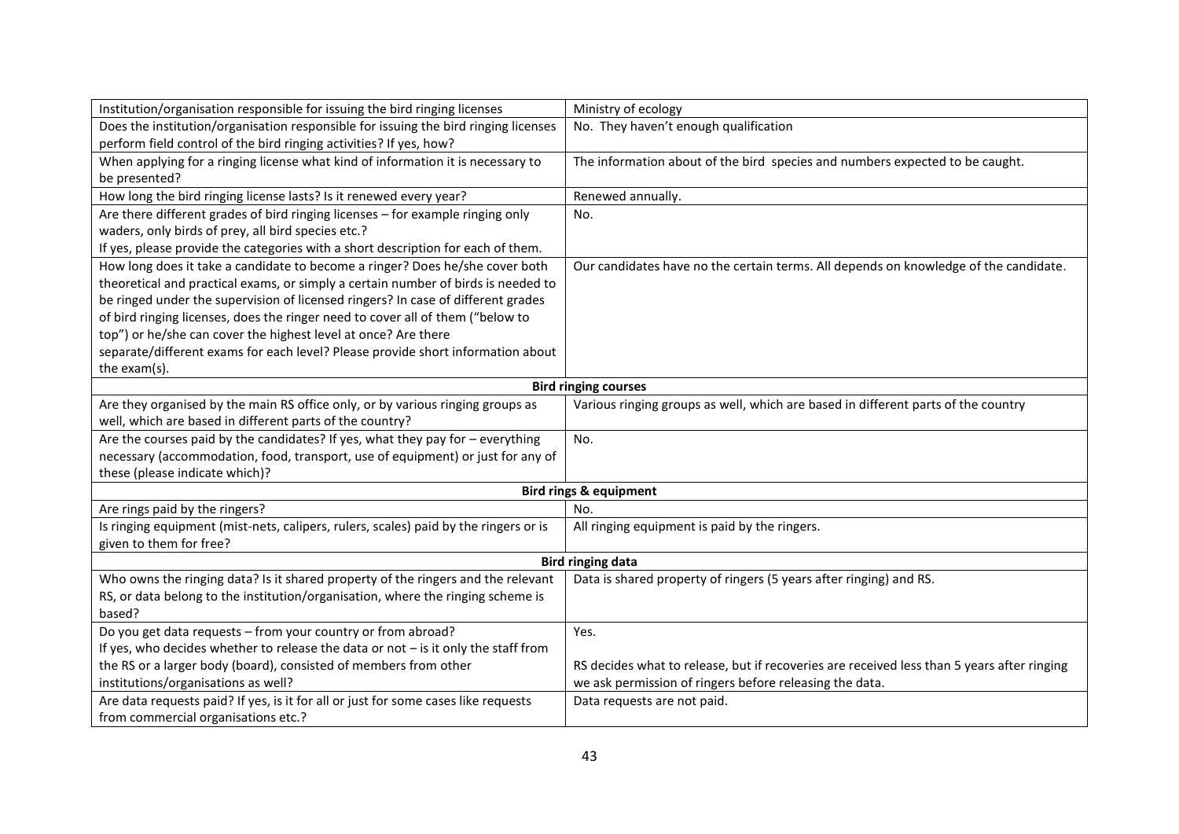| Institution/organisation responsible for issuing the bird ringing licenses           | Ministry of ecology                                                                        |
|--------------------------------------------------------------------------------------|--------------------------------------------------------------------------------------------|
| Does the institution/organisation responsible for issuing the bird ringing licenses  | No. They haven't enough qualification                                                      |
| perform field control of the bird ringing activities? If yes, how?                   |                                                                                            |
| When applying for a ringing license what kind of information it is necessary to      | The information about of the bird species and numbers expected to be caught.               |
| be presented?                                                                        |                                                                                            |
| How long the bird ringing license lasts? Is it renewed every year?                   | Renewed annually.                                                                          |
| Are there different grades of bird ringing licenses - for example ringing only       | No.                                                                                        |
| waders, only birds of prey, all bird species etc.?                                   |                                                                                            |
| If yes, please provide the categories with a short description for each of them.     |                                                                                            |
| How long does it take a candidate to become a ringer? Does he/she cover both         | Our candidates have no the certain terms. All depends on knowledge of the candidate.       |
| theoretical and practical exams, or simply a certain number of birds is needed to    |                                                                                            |
| be ringed under the supervision of licensed ringers? In case of different grades     |                                                                                            |
| of bird ringing licenses, does the ringer need to cover all of them ("below to       |                                                                                            |
| top") or he/she can cover the highest level at once? Are there                       |                                                                                            |
| separate/different exams for each level? Please provide short information about      |                                                                                            |
| the exam(s).                                                                         |                                                                                            |
| <b>Bird ringing courses</b>                                                          |                                                                                            |
| Are they organised by the main RS office only, or by various ringing groups as       | Various ringing groups as well, which are based in different parts of the country          |
| well, which are based in different parts of the country?                             |                                                                                            |
| Are the courses paid by the candidates? If yes, what they pay for - everything       | No.                                                                                        |
| necessary (accommodation, food, transport, use of equipment) or just for any of      |                                                                                            |
| these (please indicate which)?                                                       |                                                                                            |
|                                                                                      | <b>Bird rings &amp; equipment</b>                                                          |
| Are rings paid by the ringers?                                                       | No.                                                                                        |
| Is ringing equipment (mist-nets, calipers, rulers, scales) paid by the ringers or is | All ringing equipment is paid by the ringers.                                              |
| given to them for free?                                                              |                                                                                            |
| <b>Bird ringing data</b>                                                             |                                                                                            |
| Who owns the ringing data? Is it shared property of the ringers and the relevant     | Data is shared property of ringers (5 years after ringing) and RS.                         |
| RS, or data belong to the institution/organisation, where the ringing scheme is      |                                                                                            |
| based?                                                                               |                                                                                            |
| Do you get data requests - from your country or from abroad?                         | Yes.                                                                                       |
| If yes, who decides whether to release the data or not $-$ is it only the staff from |                                                                                            |
| the RS or a larger body (board), consisted of members from other                     | RS decides what to release, but if recoveries are received less than 5 years after ringing |
| institutions/organisations as well?                                                  | we ask permission of ringers before releasing the data.                                    |
| Are data requests paid? If yes, is it for all or just for some cases like requests   | Data requests are not paid.                                                                |
| from commercial organisations etc.?                                                  |                                                                                            |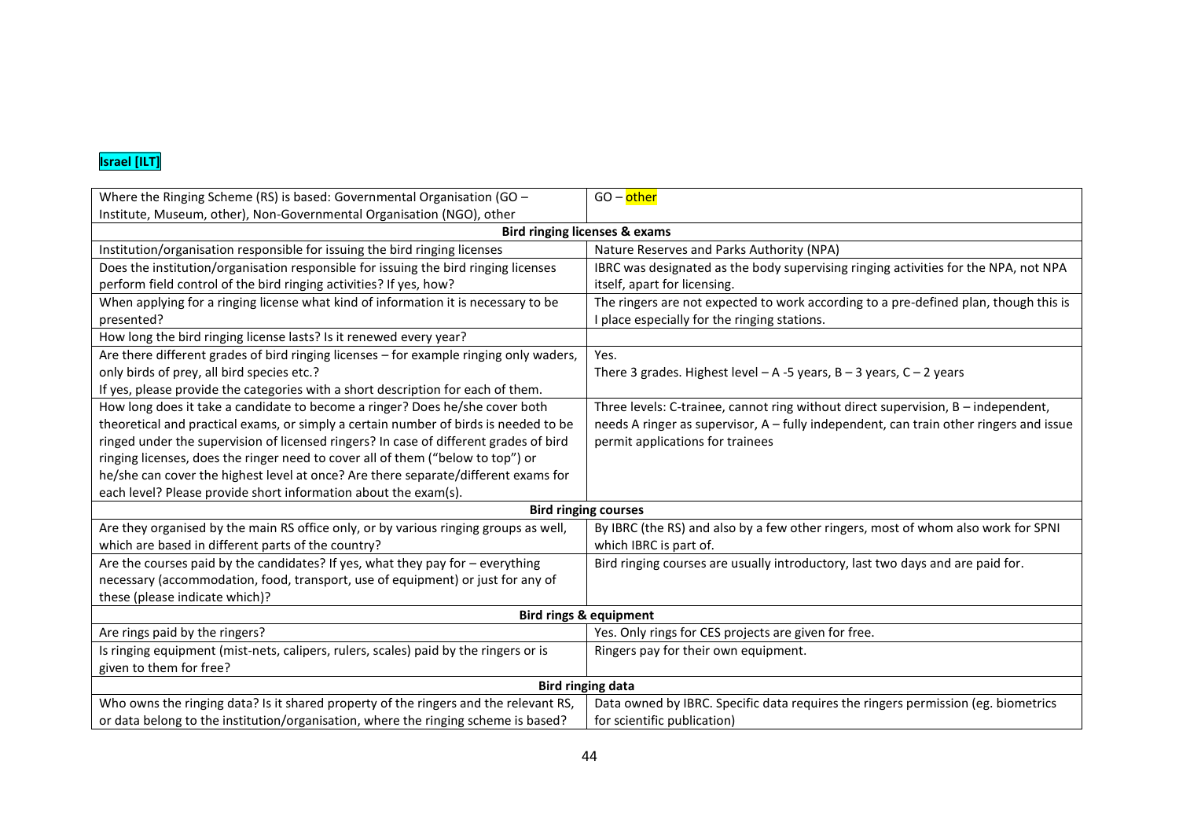#### **Israel [ILT]**

| Where the Ringing Scheme (RS) is based: Governmental Organisation (GO -                | GO - other                                                                             |  |
|----------------------------------------------------------------------------------------|----------------------------------------------------------------------------------------|--|
| Institute, Museum, other), Non-Governmental Organisation (NGO), other                  |                                                                                        |  |
|                                                                                        | <b>Bird ringing licenses &amp; exams</b>                                               |  |
| Institution/organisation responsible for issuing the bird ringing licenses             | Nature Reserves and Parks Authority (NPA)                                              |  |
| Does the institution/organisation responsible for issuing the bird ringing licenses    | IBRC was designated as the body supervising ringing activities for the NPA, not NPA    |  |
| perform field control of the bird ringing activities? If yes, how?                     | itself, apart for licensing.                                                           |  |
| When applying for a ringing license what kind of information it is necessary to be     | The ringers are not expected to work according to a pre-defined plan, though this is   |  |
| presented?                                                                             | I place especially for the ringing stations.                                           |  |
| How long the bird ringing license lasts? Is it renewed every year?                     |                                                                                        |  |
| Are there different grades of bird ringing licenses - for example ringing only waders, | Yes.                                                                                   |  |
| only birds of prey, all bird species etc.?                                             | There 3 grades. Highest level - A -5 years, $B - 3$ years, $C - 2$ years               |  |
| If yes, please provide the categories with a short description for each of them.       |                                                                                        |  |
| How long does it take a candidate to become a ringer? Does he/she cover both           | Three levels: C-trainee, cannot ring without direct supervision, B - independent,      |  |
| theoretical and practical exams, or simply a certain number of birds is needed to be   | needs A ringer as supervisor, A - fully independent, can train other ringers and issue |  |
| ringed under the supervision of licensed ringers? In case of different grades of bird  | permit applications for trainees                                                       |  |
| ringing licenses, does the ringer need to cover all of them ("below to top") or        |                                                                                        |  |
| he/she can cover the highest level at once? Are there separate/different exams for     |                                                                                        |  |
| each level? Please provide short information about the exam(s).                        |                                                                                        |  |
|                                                                                        | <b>Bird ringing courses</b>                                                            |  |
| Are they organised by the main RS office only, or by various ringing groups as well,   | By IBRC (the RS) and also by a few other ringers, most of whom also work for SPNI      |  |
| which are based in different parts of the country?                                     | which IBRC is part of.                                                                 |  |
| Are the courses paid by the candidates? If yes, what they pay for - everything         | Bird ringing courses are usually introductory, last two days and are paid for.         |  |
| necessary (accommodation, food, transport, use of equipment) or just for any of        |                                                                                        |  |
| these (please indicate which)?                                                         |                                                                                        |  |
| <b>Bird rings &amp; equipment</b>                                                      |                                                                                        |  |
| Are rings paid by the ringers?                                                         | Yes. Only rings for CES projects are given for free.                                   |  |
| Is ringing equipment (mist-nets, calipers, rulers, scales) paid by the ringers or is   | Ringers pay for their own equipment.                                                   |  |
| given to them for free?                                                                |                                                                                        |  |
| <b>Bird ringing data</b>                                                               |                                                                                        |  |
| Who owns the ringing data? Is it shared property of the ringers and the relevant RS,   | Data owned by IBRC. Specific data requires the ringers permission (eg. biometrics      |  |
| or data belong to the institution/organisation, where the ringing scheme is based?     | for scientific publication)                                                            |  |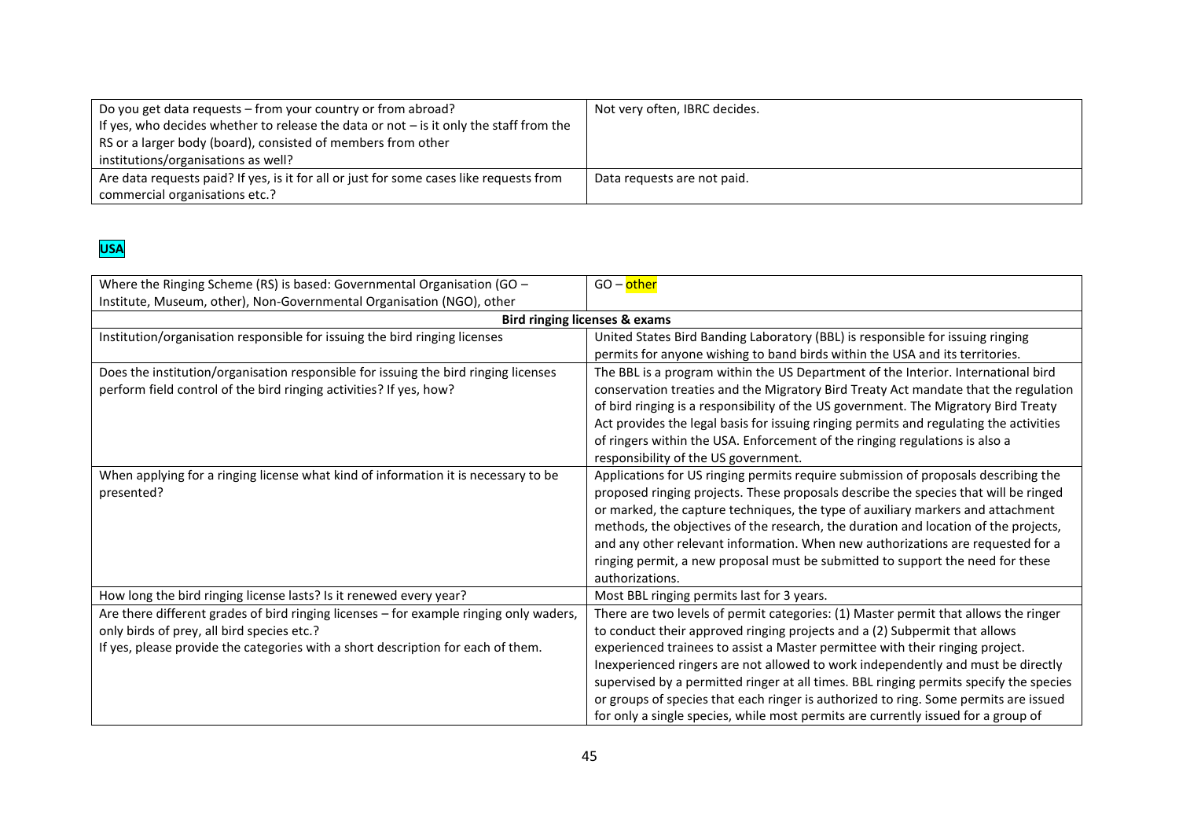| Do you get data requests - from your country or from abroad?<br>If yes, who decides whether to release the data or not $-$ is it only the staff from the<br>RS or a larger body (board), consisted of members from other<br>institutions/organisations as well? | Not very often, IBRC decides. |
|-----------------------------------------------------------------------------------------------------------------------------------------------------------------------------------------------------------------------------------------------------------------|-------------------------------|
| Are data requests paid? If yes, is it for all or just for some cases like requests from<br>commercial organisations etc.?                                                                                                                                       | Data reguests are not paid.   |

# **USA**

| Where the Ringing Scheme (RS) is based: Governmental Organisation (GO -<br>Institute, Museum, other), Non-Governmental Organisation (NGO), other                                                                         | GO – other                                                                                                                                                                                                                                                                                                                                                                                                                                                                                                                                                                                                    |
|--------------------------------------------------------------------------------------------------------------------------------------------------------------------------------------------------------------------------|---------------------------------------------------------------------------------------------------------------------------------------------------------------------------------------------------------------------------------------------------------------------------------------------------------------------------------------------------------------------------------------------------------------------------------------------------------------------------------------------------------------------------------------------------------------------------------------------------------------|
| <b>Bird ringing licenses &amp; exams</b>                                                                                                                                                                                 |                                                                                                                                                                                                                                                                                                                                                                                                                                                                                                                                                                                                               |
| Institution/organisation responsible for issuing the bird ringing licenses                                                                                                                                               | United States Bird Banding Laboratory (BBL) is responsible for issuing ringing<br>permits for anyone wishing to band birds within the USA and its territories.                                                                                                                                                                                                                                                                                                                                                                                                                                                |
| Does the institution/organisation responsible for issuing the bird ringing licenses<br>perform field control of the bird ringing activities? If yes, how?                                                                | The BBL is a program within the US Department of the Interior. International bird<br>conservation treaties and the Migratory Bird Treaty Act mandate that the regulation<br>of bird ringing is a responsibility of the US government. The Migratory Bird Treaty<br>Act provides the legal basis for issuing ringing permits and regulating the activities<br>of ringers within the USA. Enforcement of the ringing regulations is also a<br>responsibility of the US government.                                                                                                                              |
| When applying for a ringing license what kind of information it is necessary to be<br>presented?                                                                                                                         | Applications for US ringing permits require submission of proposals describing the<br>proposed ringing projects. These proposals describe the species that will be ringed<br>or marked, the capture techniques, the type of auxiliary markers and attachment<br>methods, the objectives of the research, the duration and location of the projects,<br>and any other relevant information. When new authorizations are requested for a<br>ringing permit, a new proposal must be submitted to support the need for these<br>authorizations.                                                                   |
| How long the bird ringing license lasts? Is it renewed every year?                                                                                                                                                       | Most BBL ringing permits last for 3 years.                                                                                                                                                                                                                                                                                                                                                                                                                                                                                                                                                                    |
| Are there different grades of bird ringing licenses - for example ringing only waders,<br>only birds of prey, all bird species etc.?<br>If yes, please provide the categories with a short description for each of them. | There are two levels of permit categories: (1) Master permit that allows the ringer<br>to conduct their approved ringing projects and a (2) Subpermit that allows<br>experienced trainees to assist a Master permittee with their ringing project.<br>Inexperienced ringers are not allowed to work independently and must be directly<br>supervised by a permitted ringer at all times. BBL ringing permits specify the species<br>or groups of species that each ringer is authorized to ring. Some permits are issued<br>for only a single species, while most permits are currently issued for a group of |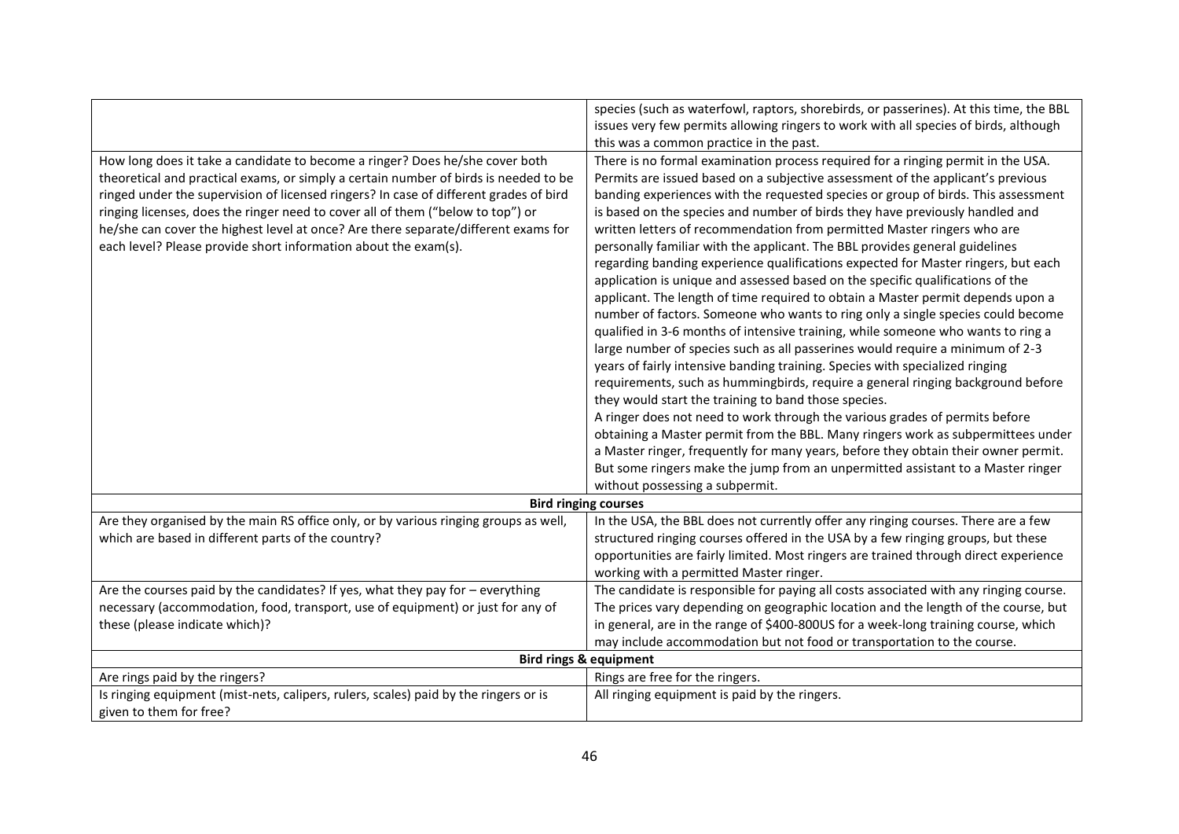|                                                                                       | species (such as waterfowl, raptors, shorebirds, or passerines). At this time, the BBL |
|---------------------------------------------------------------------------------------|----------------------------------------------------------------------------------------|
|                                                                                       | issues very few permits allowing ringers to work with all species of birds, although   |
|                                                                                       | this was a common practice in the past.                                                |
| How long does it take a candidate to become a ringer? Does he/she cover both          | There is no formal examination process required for a ringing permit in the USA.       |
| theoretical and practical exams, or simply a certain number of birds is needed to be  | Permits are issued based on a subjective assessment of the applicant's previous        |
| ringed under the supervision of licensed ringers? In case of different grades of bird | banding experiences with the requested species or group of birds. This assessment      |
| ringing licenses, does the ringer need to cover all of them ("below to top") or       | is based on the species and number of birds they have previously handled and           |
| he/she can cover the highest level at once? Are there separate/different exams for    | written letters of recommendation from permitted Master ringers who are                |
| each level? Please provide short information about the exam(s).                       | personally familiar with the applicant. The BBL provides general guidelines            |
|                                                                                       | regarding banding experience qualifications expected for Master ringers, but each      |
|                                                                                       | application is unique and assessed based on the specific qualifications of the         |
|                                                                                       | applicant. The length of time required to obtain a Master permit depends upon a        |
|                                                                                       | number of factors. Someone who wants to ring only a single species could become        |
|                                                                                       | qualified in 3-6 months of intensive training, while someone who wants to ring a       |
|                                                                                       | large number of species such as all passerines would require a minimum of 2-3          |
|                                                                                       | years of fairly intensive banding training. Species with specialized ringing           |
|                                                                                       | requirements, such as hummingbirds, require a general ringing background before        |
|                                                                                       | they would start the training to band those species.                                   |
|                                                                                       | A ringer does not need to work through the various grades of permits before            |
|                                                                                       |                                                                                        |
|                                                                                       | obtaining a Master permit from the BBL. Many ringers work as subpermittees under       |
|                                                                                       | a Master ringer, frequently for many years, before they obtain their owner permit.     |
|                                                                                       | But some ringers make the jump from an unpermitted assistant to a Master ringer        |
|                                                                                       | without possessing a subpermit.                                                        |
|                                                                                       | <b>Bird ringing courses</b>                                                            |
| Are they organised by the main RS office only, or by various ringing groups as well,  | In the USA, the BBL does not currently offer any ringing courses. There are a few      |
| which are based in different parts of the country?                                    | structured ringing courses offered in the USA by a few ringing groups, but these       |
|                                                                                       | opportunities are fairly limited. Most ringers are trained through direct experience   |
|                                                                                       | working with a permitted Master ringer.                                                |
| Are the courses paid by the candidates? If yes, what they pay for - everything        | The candidate is responsible for paying all costs associated with any ringing course.  |
| necessary (accommodation, food, transport, use of equipment) or just for any of       | The prices vary depending on geographic location and the length of the course, but     |
| these (please indicate which)?                                                        | in general, are in the range of \$400-800US for a week-long training course, which     |
|                                                                                       | may include accommodation but not food or transportation to the course.                |
|                                                                                       | <b>Bird rings &amp; equipment</b>                                                      |
| Are rings paid by the ringers?                                                        | Rings are free for the ringers.                                                        |
| Is ringing equipment (mist-nets, calipers, rulers, scales) paid by the ringers or is  | All ringing equipment is paid by the ringers.                                          |
| given to them for free?                                                               |                                                                                        |